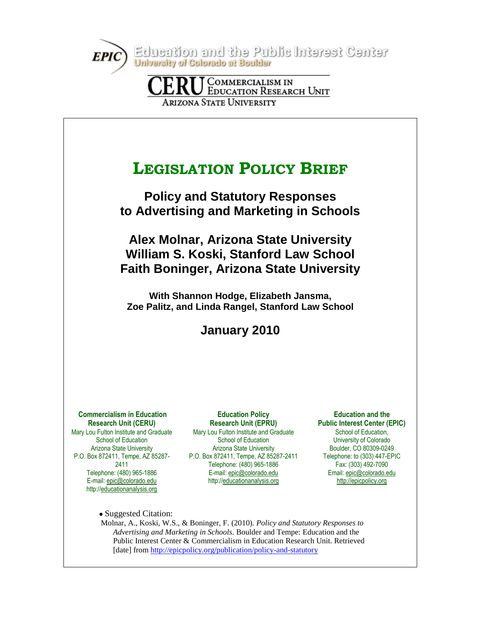Education and the Public Interest Center University of Colorado at Boulder

**COMMERCIALISM IN EDUCATION RESEARCH UNIT ARIZONA STATE UNIVERSITY** 



[date] from<http://epicpolicy.org/publication/policy-and-statutory>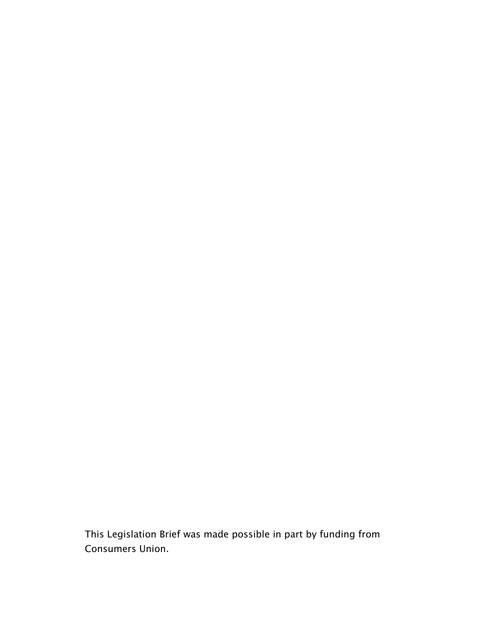This Legislation Brief was made possible in part by funding from Consumers Union.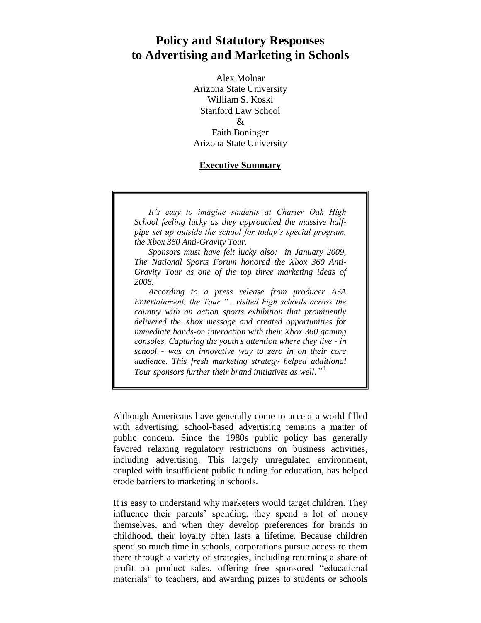# **Policy and Statutory Responses to Advertising and Marketing in Schools**

Alex Molnar Arizona State University William S. Koski Stanford Law School & Faith Boninger Arizona State University

#### **Executive Summary**

*It's easy to imagine students at Charter Oak High School feeling lucky as they approached the massive halfpipe set up outside the school for today's special program, the Xbox 360 Anti-Gravity Tour.* 

*Sponsors must have felt lucky also: in January 2009, The National Sports Forum honored the Xbox 360 Anti-Gravity Tour as one of the top three marketing ideas of 2008.* 

*According to a press release from producer ASA Entertainment, the Tour "…visited high schools across the country with an action sports exhibition that prominently delivered the Xbox message and created opportunities for immediate hands-on interaction with their Xbox 360 gaming consoles. Capturing the youth's attention where they live - in school - was an innovative way to zero in on their core audience. This fresh marketing strategy helped additional Tour sponsors further their brand initiatives as well."* 1

Although Americans have generally come to accept a world filled with advertising, school-based advertising remains a matter of public concern. Since the 1980s public policy has generally favored relaxing regulatory restrictions on business activities, including advertising. This largely unregulated environment, coupled with insufficient public funding for education, has helped erode barriers to marketing in schools.

It is easy to understand why marketers would target children. They influence their parents' spending, they spend a lot of money themselves, and when they develop preferences for brands in childhood, their loyalty often lasts a lifetime. Because children spend so much time in schools, corporations pursue access to them there through a variety of strategies, including returning a share of profit on product sales, offering free sponsored "educational" materials" to teachers, and awarding prizes to students or schools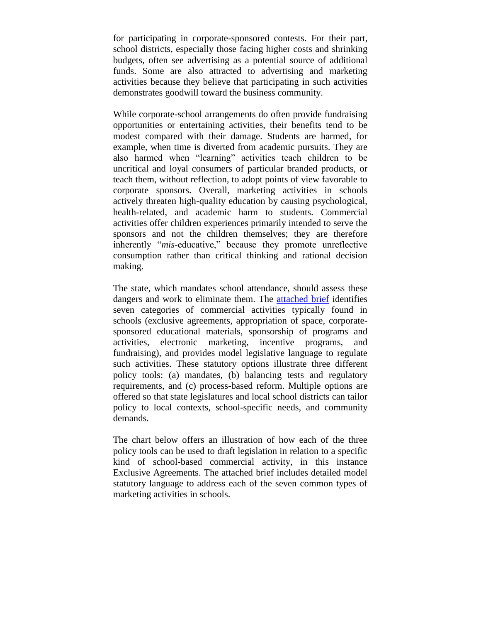for participating in corporate-sponsored contests. For their part, school districts, especially those facing higher costs and shrinking budgets, often see advertising as a potential source of additional funds. Some are also attracted to advertising and marketing activities because they believe that participating in such activities demonstrates goodwill toward the business community.

While corporate-school arrangements do often provide fundraising opportunities or entertaining activities, their benefits tend to be modest compared with their damage. Students are harmed, for example, when time is diverted from academic pursuits. They are also harmed when "learning" activities teach children to be uncritical and loyal consumers of particular branded products, or teach them, without reflection, to adopt points of view favorable to corporate sponsors. Overall, marketing activities in schools actively threaten high-quality education by causing psychological, health-related, and academic harm to students. Commercial activities offer children experiences primarily intended to serve the sponsors and not the children themselves; they are therefore inherently "mis-educative," because they promote unreflective consumption rather than critical thinking and rational decision making.

The state, which mandates school attendance, should assess these dangers and work to eliminate them. The [attached brief](http://epicpolicy.org/publication/policy-and-statutory) identifies seven categories of commercial activities typically found in schools (exclusive agreements, appropriation of space, corporatesponsored educational materials, sponsorship of programs and activities, electronic marketing, incentive programs, and fundraising), and provides model legislative language to regulate such activities. These statutory options illustrate three different policy tools: (a) mandates, (b) balancing tests and regulatory requirements, and (c) process-based reform. Multiple options are offered so that state legislatures and local school districts can tailor policy to local contexts, school-specific needs, and community demands.

The chart below offers an illustration of how each of the three policy tools can be used to draft legislation in relation to a specific kind of school-based commercial activity, in this instance Exclusive Agreements. The attached brief includes detailed model statutory language to address each of the seven common types of marketing activities in schools.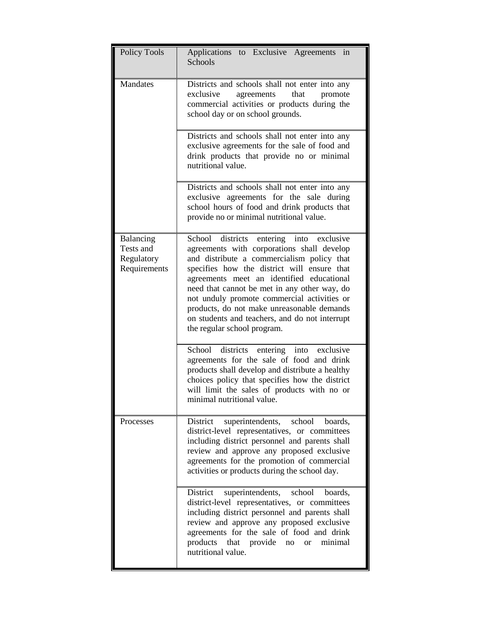| <b>Policy Tools</b>                                  | Applications to Exclusive Agreements<br>in<br>Schools                                                                                                                                                                                                                                                                                                                                                                                                                |
|------------------------------------------------------|----------------------------------------------------------------------------------------------------------------------------------------------------------------------------------------------------------------------------------------------------------------------------------------------------------------------------------------------------------------------------------------------------------------------------------------------------------------------|
| Mandates                                             | Districts and schools shall not enter into any<br>exclusive<br>agreements<br>that<br>promote<br>commercial activities or products during the<br>school day or on school grounds.                                                                                                                                                                                                                                                                                     |
|                                                      | Districts and schools shall not enter into any<br>exclusive agreements for the sale of food and<br>drink products that provide no or minimal<br>nutritional value.                                                                                                                                                                                                                                                                                                   |
|                                                      | Districts and schools shall not enter into any<br>exclusive agreements for the sale during<br>school hours of food and drink products that<br>provide no or minimal nutritional value.                                                                                                                                                                                                                                                                               |
| Balancing<br>Tests and<br>Regulatory<br>Requirements | School districts<br>entering into<br>exclusive<br>agreements with corporations shall develop<br>and distribute a commercialism policy that<br>specifies how the district will ensure that<br>agreements meet an identified educational<br>need that cannot be met in any other way, do<br>not unduly promote commercial activities or<br>products, do not make unreasonable demands<br>on students and teachers, and do not interrupt<br>the regular school program. |
|                                                      | School districts entering into exclusive<br>agreements for the sale of food and drink<br>products shall develop and distribute a healthy<br>choices policy that specifies how the district<br>will limit the sales of products with no or<br>minimal nutritional value.                                                                                                                                                                                              |
| Processes                                            | District superintendents, school boards,<br>district-level representatives, or committees<br>including district personnel and parents shall<br>review and approve any proposed exclusive<br>agreements for the promotion of commercial<br>activities or products during the school day.                                                                                                                                                                              |
|                                                      | superintendents, school boards,<br>District<br>district-level representatives, or committees<br>including district personnel and parents shall<br>review and approve any proposed exclusive<br>agreements for the sale of food and drink<br>products that provide no or minimal<br>nutritional value.                                                                                                                                                                |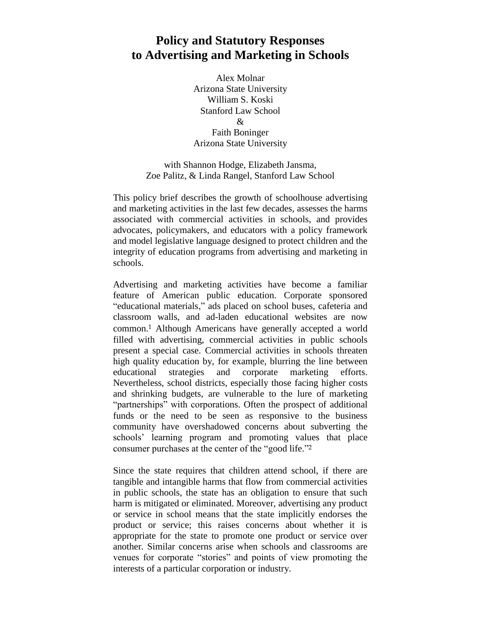## **Policy and Statutory Responses to Advertising and Marketing in Schools**

Alex Molnar Arizona State University William S. Koski Stanford Law School  $\mathcal{R}$ Faith Boninger Arizona State University

with Shannon Hodge, Elizabeth Jansma, Zoe Palitz, & Linda Rangel, Stanford Law School

This policy brief describes the growth of schoolhouse advertising and marketing activities in the last few decades, assesses the harms associated with commercial activities in schools, and provides advocates, policymakers, and educators with a policy framework and model legislative language designed to protect children and the integrity of education programs from advertising and marketing in schools.

Advertising and marketing activities have become a familiar feature of American public education. Corporate sponsored "educational materials," ads placed on school buses, cafeteria and classroom walls, and ad-laden educational websites are now common. <sup>1</sup> Although Americans have generally accepted a world filled with advertising, commercial activities in public schools present a special case. Commercial activities in schools threaten high quality education by, for example, blurring the line between educational strategies and corporate marketing efforts. Nevertheless, school districts, especially those facing higher costs and shrinking budgets, are vulnerable to the lure of marketing "partnerships" with corporations. Often the prospect of additional funds or the need to be seen as responsive to the business community have overshadowed concerns about subverting the schools' learning program and promoting values that place consumer purchases at the center of the "good life."<sup>2</sup>

Since the state requires that children attend school, if there are tangible and intangible harms that flow from commercial activities in public schools, the state has an obligation to ensure that such harm is mitigated or eliminated. Moreover, advertising any product or service in school means that the state implicitly endorses the product or service; this raises concerns about whether it is appropriate for the state to promote one product or service over another. Similar concerns arise when schools and classrooms are venues for corporate "stories" and points of view promoting the interests of a particular corporation or industry.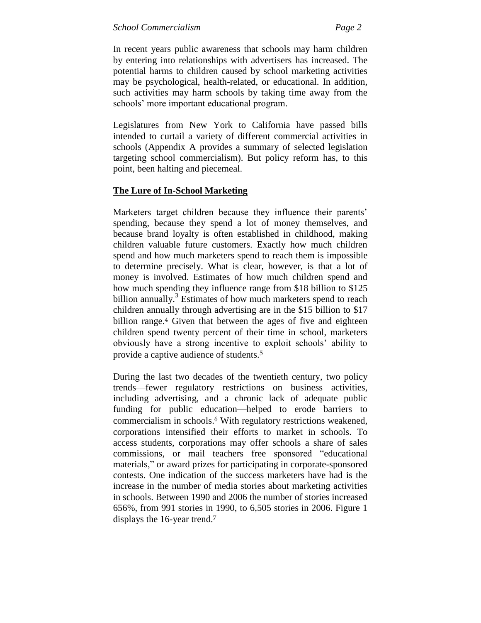In recent years public awareness that schools may harm children by entering into relationships with advertisers has increased. The potential harms to children caused by school marketing activities may be psychological, health-related, or educational. In addition, such activities may harm schools by taking time away from the schools' more important educational program.

Legislatures from New York to California have passed bills intended to curtail a variety of different commercial activities in schools (Appendix A provides a summary of selected legislation targeting school commercialism). But policy reform has, to this point, been halting and piecemeal.

### **The Lure of In-School Marketing**

Marketers target children because they influence their parents' spending, because they spend a lot of money themselves, and because brand loyalty is often established in childhood, making children valuable future customers. Exactly how much children spend and how much marketers spend to reach them is impossible to determine precisely. What is clear, however, is that a lot of money is involved. Estimates of how much children spend and how much spending they influence range from \$18 billion to \$125 billion annually.<sup>3</sup> Estimates of how much marketers spend to reach children annually through advertising are in the \$15 billion to \$17 billion range. <sup>4</sup> Given that between the ages of five and eighteen children spend twenty percent of their time in school, marketers obviously have a strong incentive to exploit schools' ability to provide a captive audience of students.<sup>5</sup>

During the last two decades of the twentieth century, two policy trends—fewer regulatory restrictions on business activities, including advertising, and a chronic lack of adequate public funding for public education—helped to erode barriers to commercialism in schools.<sup>6</sup> With regulatory restrictions weakened, corporations intensified their efforts to market in schools. To access students, corporations may offer schools a share of sales commissions, or mail teachers free sponsored "educational materials," or award prizes for participating in corporate-sponsored contests. One indication of the success marketers have had is the increase in the number of media stories about marketing activities in schools. Between 1990 and 2006 the number of stories increased 656%, from 991 stories in 1990, to 6,505 stories in 2006. Figure 1 displays the 16-year trend.7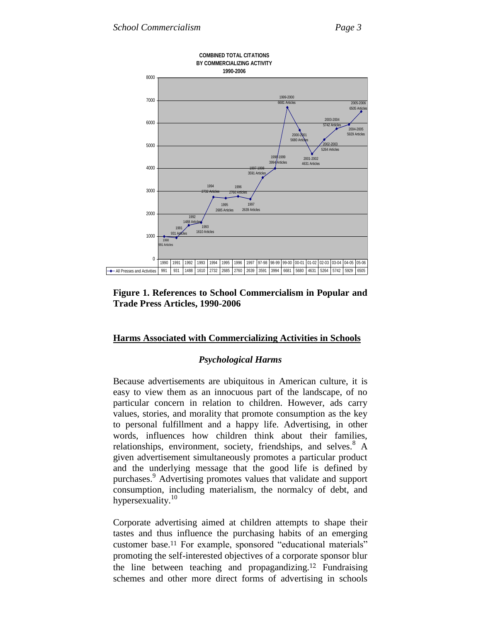



#### **Harms Associated with Commercializing Activities in Schools**

#### *Psychological Harms*

Because advertisements are ubiquitous in American culture, it is easy to view them as an innocuous part of the landscape, of no particular concern in relation to children. However, ads carry values, stories, and morality that promote consumption as the key to personal fulfillment and a happy life. Advertising, in other words, influences how children think about their families, relationships, environment, society, friendships, and selves.<sup>8</sup> A given advertisement simultaneously promotes a particular product and the underlying message that the good life is defined by purchases.<sup>9</sup> Advertising promotes values that validate and support consumption, including materialism, the normalcy of debt, and hypersexuality.<sup>10</sup>

Corporate advertising aimed at children attempts to shape their tastes and thus influence the purchasing habits of an emerging customer base.<sup>11</sup> For example, sponsored "educational materials" promoting the self-interested objectives of a corporate sponsor blur the line between teaching and propagandizing.<sup>12</sup> Fundraising schemes and other more direct forms of advertising in schools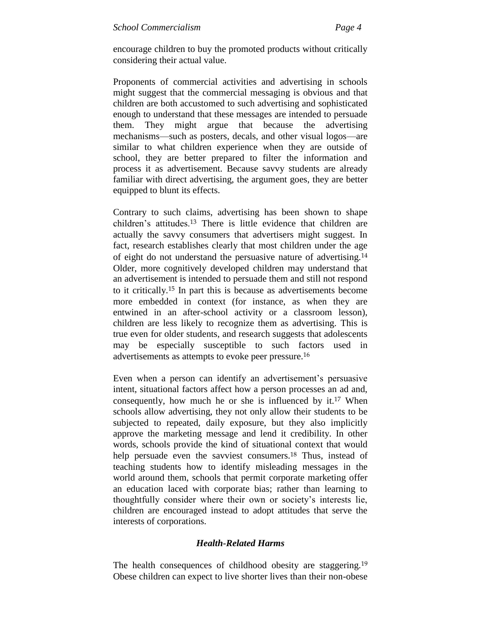encourage children to buy the promoted products without critically considering their actual value.

Proponents of commercial activities and advertising in schools might suggest that the commercial messaging is obvious and that children are both accustomed to such advertising and sophisticated enough to understand that these messages are intended to persuade them. They might argue that because the advertising mechanisms—such as posters, decals, and other visual logos—are similar to what children experience when they are outside of school, they are better prepared to filter the information and process it as advertisement. Because savvy students are already familiar with direct advertising, the argument goes, they are better equipped to blunt its effects.

Contrary to such claims, advertising has been shown to shape children's attitudes.<sup>13</sup> There is little evidence that children are actually the savvy consumers that advertisers might suggest. In fact, research establishes clearly that most children under the age of eight do not understand the persuasive nature of advertising.<sup>14</sup> Older, more cognitively developed children may understand that an advertisement is intended to persuade them and still not respond to it critically.<sup>15</sup> In part this is because as advertisements become more embedded in context (for instance, as when they are entwined in an after-school activity or a classroom lesson), children are less likely to recognize them as advertising. This is true even for older students, and research suggests that adolescents may be especially susceptible to such factors used in advertisements as attempts to evoke peer pressure.<sup>16</sup>

Even when a person can identify an advertisement's persuasive intent, situational factors affect how a person processes an ad and, consequently, how much he or she is influenced by it.<sup>17</sup> When schools allow advertising, they not only allow their students to be subjected to repeated, daily exposure, but they also implicitly approve the marketing message and lend it credibility. In other words, schools provide the kind of situational context that would help persuade even the savviest consumers.<sup>18</sup> Thus, instead of teaching students how to identify misleading messages in the world around them, schools that permit corporate marketing offer an education laced with corporate bias; rather than learning to thoughtfully consider where their own or society's interests lie, children are encouraged instead to adopt attitudes that serve the interests of corporations.

### *Health-Related Harms*

The health consequences of childhood obesity are staggering.<sup>19</sup> Obese children can expect to live shorter lives than their non-obese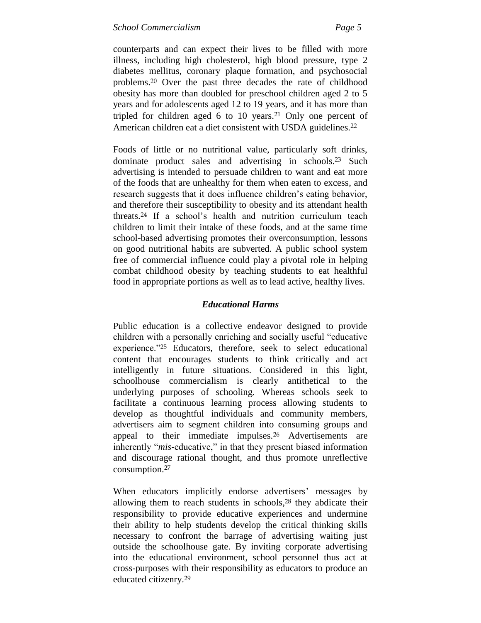counterparts and can expect their lives to be filled with more illness, including high cholesterol, high blood pressure, type 2 diabetes mellitus, coronary plaque formation, and psychosocial problems.<sup>20</sup> Over the past three decades the rate of childhood obesity has more than doubled for preschool children aged 2 to 5 years and for adolescents aged 12 to 19 years, and it has more than tripled for children aged 6 to 10 years.<sup>21</sup> Only one percent of American children eat a diet consistent with USDA guidelines.<sup>22</sup>

Foods of little or no nutritional value, particularly soft drinks, dominate product sales and advertising in schools.<sup>23</sup> Such advertising is intended to persuade children to want and eat more of the foods that are unhealthy for them when eaten to excess, and research suggests that it does influence children's eating behavior, and therefore their susceptibility to obesity and its attendant health threats.<sup>24</sup> If a school's health and nutrition curriculum teach children to limit their intake of these foods, and at the same time school-based advertising promotes their overconsumption, lessons on good nutritional habits are subverted. A public school system free of commercial influence could play a pivotal role in helping combat childhood obesity by teaching students to eat healthful food in appropriate portions as well as to lead active, healthy lives.

### *Educational Harms*

Public education is a collective endeavor designed to provide children with a personally enriching and socially useful "educative" experience."<sup>25</sup> Educators, therefore, seek to select educational content that encourages students to think critically and act intelligently in future situations. Considered in this light, schoolhouse commercialism is clearly antithetical to the underlying purposes of schooling. Whereas schools seek to facilitate a continuous learning process allowing students to develop as thoughtful individuals and community members, advertisers aim to segment children into consuming groups and appeal to their immediate impulses.<sup>26</sup> Advertisements are inherently "*mis*-educative," in that they present biased information and discourage rational thought, and thus promote unreflective consumption.<sup>27</sup>

When educators implicitly endorse advertisers' messages by allowing them to reach students in schools, <sup>28</sup> they abdicate their responsibility to provide educative experiences and undermine their ability to help students develop the critical thinking skills necessary to confront the barrage of advertising waiting just outside the schoolhouse gate. By inviting corporate advertising into the educational environment, school personnel thus act at cross-purposes with their responsibility as educators to produce an educated citizenry.29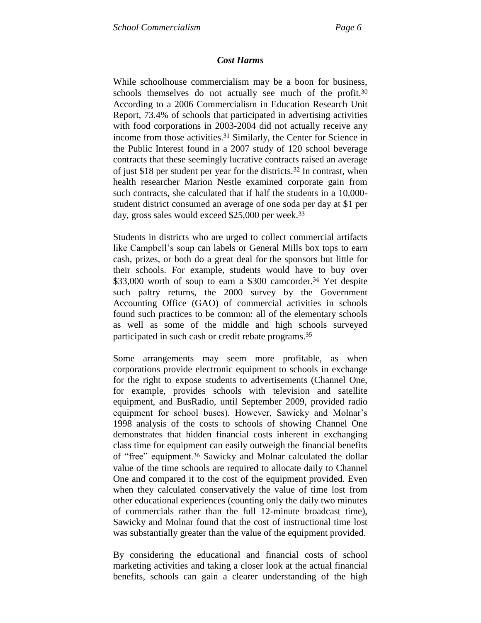### *Cost Harms*

While schoolhouse commercialism may be a boon for business, schools themselves do not actually see much of the profit.<sup>30</sup> According to a 2006 Commercialism in Education Research Unit Report, 73.4% of schools that participated in advertising activities with food corporations in 2003-2004 did not actually receive any income from those activities.<sup>31</sup> Similarly, the Center for Science in the Public Interest found in a 2007 study of 120 school beverage contracts that these seemingly lucrative contracts raised an average of just \$18 per student per year for the districts.<sup>32</sup> In contrast, when health researcher Marion Nestle examined corporate gain from such contracts, she calculated that if half the students in a 10,000 student district consumed an average of one soda per day at \$1 per day, gross sales would exceed \$25,000 per week.<sup>33</sup>

Students in districts who are urged to collect commercial artifacts like Campbell's soup can labels or General Mills box tops to earn cash, prizes, or both do a great deal for the sponsors but little for their schools. For example, students would have to buy over \$33,000 worth of soup to earn a \$300 camcorder.<sup>34</sup> Yet despite such paltry returns, the 2000 survey by the Government Accounting Office (GAO) of commercial activities in schools found such practices to be common: all of the elementary schools as well as some of the middle and high schools surveyed participated in such cash or credit rebate programs. 35

Some arrangements may seem more profitable, as when corporations provide electronic equipment to schools in exchange for the right to expose students to advertisements (Channel One, for example, provides schools with television and satellite equipment, and BusRadio, until September 2009, provided radio equipment for school buses). However, Sawicky and Molnar's 1998 analysis of the costs to schools of showing Channel One demonstrates that hidden financial costs inherent in exchanging class time for equipment can easily outweigh the financial benefits of "free" equipment.<sup>36</sup> Sawicky and Molnar calculated the dollar value of the time schools are required to allocate daily to Channel One and compared it to the cost of the equipment provided. Even when they calculated conservatively the value of time lost from other educational experiences (counting only the daily two minutes of commercials rather than the full 12-minute broadcast time), Sawicky and Molnar found that the cost of instructional time lost was substantially greater than the value of the equipment provided.

By considering the educational and financial costs of school marketing activities and taking a closer look at the actual financial benefits, schools can gain a clearer understanding of the high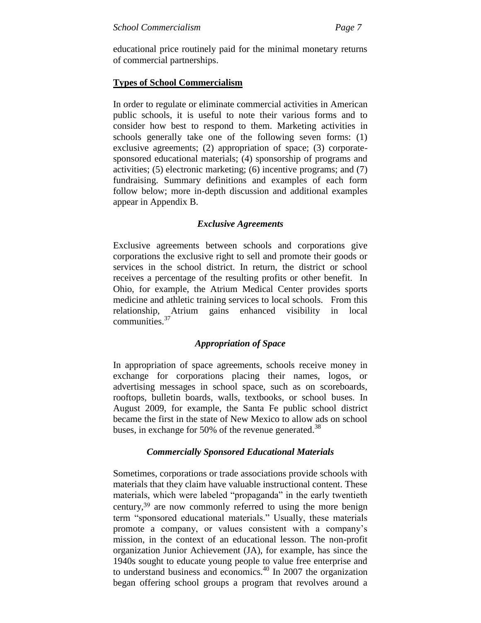educational price routinely paid for the minimal monetary returns of commercial partnerships.

### **Types of School Commercialism**

In order to regulate or eliminate commercial activities in American public schools, it is useful to note their various forms and to consider how best to respond to them. Marketing activities in schools generally take one of the following seven forms: (1) exclusive agreements; (2) appropriation of space; (3) corporatesponsored educational materials; (4) sponsorship of programs and activities; (5) electronic marketing; (6) incentive programs; and (7) fundraising. Summary definitions and examples of each form follow below; more in-depth discussion and additional examples appear in Appendix B.

### *Exclusive Agreements*

Exclusive agreements between schools and corporations give corporations the exclusive right to sell and promote their goods or services in the school district. In return, the district or school receives a percentage of the resulting profits or other benefit. In Ohio, for example, the Atrium Medical Center provides sports medicine and athletic training services to local schools. From this relationship, Atrium gains enhanced visibility in local communities.<sup>37</sup>

### *Appropriation of Space*

In appropriation of space agreements, schools receive money in exchange for corporations placing their names, logos, or advertising messages in school space, such as on scoreboards, rooftops, bulletin boards, walls, textbooks, or school buses. In August 2009, for example, the Santa Fe public school district became the first in the state of New Mexico to allow ads on school buses, in exchange for 50% of the revenue generated.<sup>38</sup>

### *Commercially Sponsored Educational Materials*

Sometimes, corporations or trade associations provide schools with materials that they claim have valuable instructional content. These materials, which were labeled "propaganda" in the early twentieth century,<sup>39</sup> are now commonly referred to using the more benign term "sponsored educational materials." Usually, these materials promote a company, or values consistent with a company's mission, in the context of an educational lesson. The non-profit organization Junior Achievement (JA), for example, has since the 1940s sought to educate young people to value free enterprise and to understand business and economics.<sup>40</sup> In 2007 the organization began offering school groups a program that revolves around a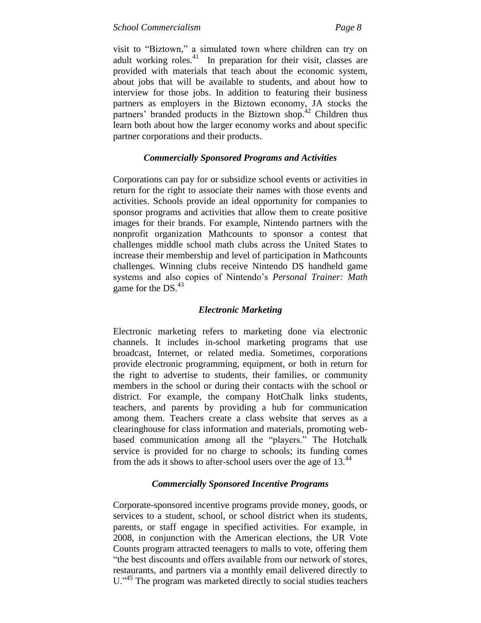visit to "Biztown," a simulated town where children can try on adult working roles.<sup>41</sup> In preparation for their visit, classes are provided with materials that teach about the economic system, about jobs that will be available to students, and about how to interview for those jobs. In addition to featuring their business partners as employers in the Biztown economy, JA stocks the partners' branded products in the Biztown shop.<sup>42</sup> Children thus learn both about how the larger economy works and about specific partner corporations and their products.

### *Commercially Sponsored Programs and Activities*

Corporations can pay for or subsidize school events or activities in return for the right to associate their names with those events and activities. Schools provide an ideal opportunity for companies to sponsor programs and activities that allow them to create positive images for their brands. For example, Nintendo partners with the nonprofit organization Mathcounts to sponsor a contest that challenges middle school math clubs across the United States to increase their membership and level of participation in Mathcounts challenges. Winning clubs receive Nintendo DS handheld game systems and also copies of Nintendo's *Personal Trainer: Math* game for the  $DS<sup>43</sup>$ 

### *Electronic Marketing*

Electronic marketing refers to marketing done via electronic channels. It includes in-school marketing programs that use broadcast, Internet, or related media. Sometimes, corporations provide electronic programming, equipment, or both in return for the right to advertise to students, their families, or community members in the school or during their contacts with the school or district. For example, the company HotChalk links students, teachers, and parents by providing a hub for communication among them. Teachers create a class website that serves as a clearinghouse for class information and materials, promoting webbased communication among all the "players." The Hotchalk service is provided for no charge to schools; its funding comes from the ads it shows to after-school users over the age of 13.<sup>44</sup>

### *Commercially Sponsored Incentive Programs*

Corporate-sponsored incentive programs provide money, goods, or services to a student, school, or school district when its students, parents, or staff engage in specified activities. For example, in 2008, in conjunction with the American elections, the UR Vote Counts program attracted teenagers to malls to vote, offering them "the best discounts and offers available from our network of stores, restaurants, and partners via a monthly email delivered directly to U.<sup>345</sup> The program was marketed directly to social studies teachers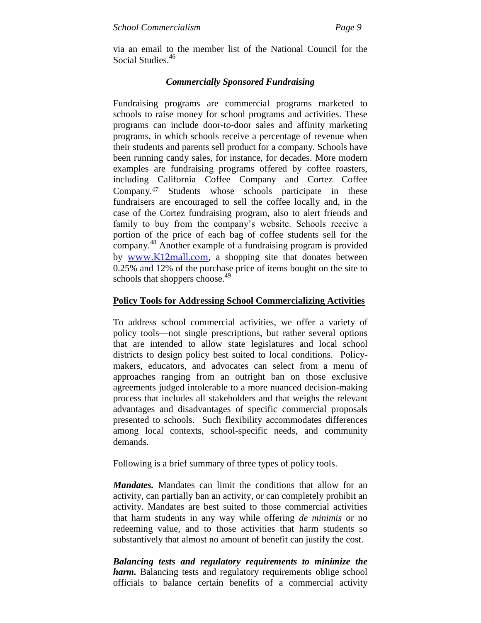via an email to the member list of the National Council for the Social Studies.<sup>46</sup>

### *Commercially Sponsored Fundraising*

Fundraising programs are commercial programs marketed to schools to raise money for school programs and activities. These programs can include door-to-door sales and affinity marketing programs, in which schools receive a percentage of revenue when their students and parents sell product for a company. Schools have been running candy sales, for instance, for decades. More modern examples are fundraising programs offered by coffee roasters, including California Coffee Company and Cortez Coffee Company.<sup>47</sup> Students whose schools participate in these fundraisers are encouraged to sell the coffee locally and, in the case of the Cortez fundraising program, also to alert friends and family to buy from the company's website. Schools receive a portion of the price of each bag of coffee students sell for the company. <sup>48</sup> Another example of a fundraising program is provided by [www.K12mall.com](http://www.k12mall.com/), a shopping site that donates between 0.25% and 12% of the purchase price of items bought on the site to schools that shoppers choose.<sup>49</sup>

### **Policy Tools for Addressing School Commercializing Activities**

To address school commercial activities, we offer a variety of policy tools—not single prescriptions, but rather several options that are intended to allow state legislatures and local school districts to design policy best suited to local conditions. Policymakers, educators, and advocates can select from a menu of approaches ranging from an outright ban on those exclusive agreements judged intolerable to a more nuanced decision-making process that includes all stakeholders and that weighs the relevant advantages and disadvantages of specific commercial proposals presented to schools. Such flexibility accommodates differences among local contexts, school-specific needs, and community demands.

Following is a brief summary of three types of policy tools.

*Mandates.* Mandates can limit the conditions that allow for an activity, can partially ban an activity, or can completely prohibit an activity. Mandates are best suited to those commercial activities that harm students in any way while offering *de minimis* or no redeeming value, and to those activities that harm students so substantively that almost no amount of benefit can justify the cost.

*Balancing tests and regulatory requirements to minimize the harm.* Balancing tests and regulatory requirements oblige school officials to balance certain benefits of a commercial activity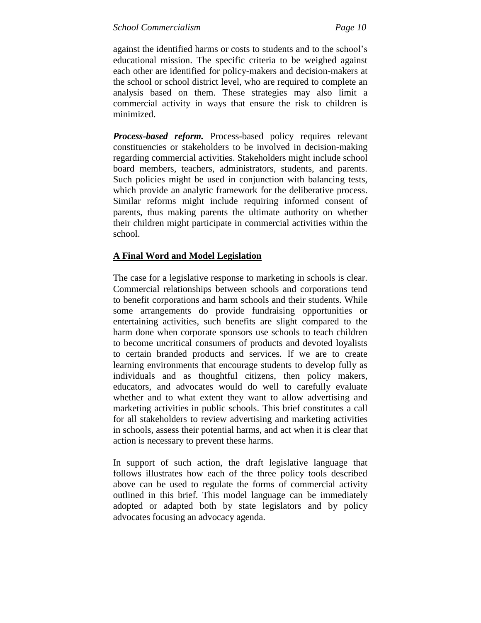against the identified harms or costs to students and to the school's educational mission. The specific criteria to be weighed against each other are identified for policy-makers and decision-makers at the school or school district level, who are required to complete an analysis based on them. These strategies may also limit a commercial activity in ways that ensure the risk to children is minimized.

*Process-based reform.* Process-based policy requires relevant constituencies or stakeholders to be involved in decision-making regarding commercial activities. Stakeholders might include school board members, teachers, administrators, students, and parents. Such policies might be used in conjunction with balancing tests, which provide an analytic framework for the deliberative process. Similar reforms might include requiring informed consent of parents, thus making parents the ultimate authority on whether their children might participate in commercial activities within the school.

### **A Final Word and Model Legislation**

The case for a legislative response to marketing in schools is clear. Commercial relationships between schools and corporations tend to benefit corporations and harm schools and their students. While some arrangements do provide fundraising opportunities or entertaining activities, such benefits are slight compared to the harm done when corporate sponsors use schools to teach children to become uncritical consumers of products and devoted loyalists to certain branded products and services. If we are to create learning environments that encourage students to develop fully as individuals and as thoughtful citizens, then policy makers, educators, and advocates would do well to carefully evaluate whether and to what extent they want to allow advertising and marketing activities in public schools. This brief constitutes a call for all stakeholders to review advertising and marketing activities in schools, assess their potential harms, and act when it is clear that action is necessary to prevent these harms.

In support of such action, the draft legislative language that follows illustrates how each of the three policy tools described above can be used to regulate the forms of commercial activity outlined in this brief. This model language can be immediately adopted or adapted both by state legislators and by policy advocates focusing an advocacy agenda.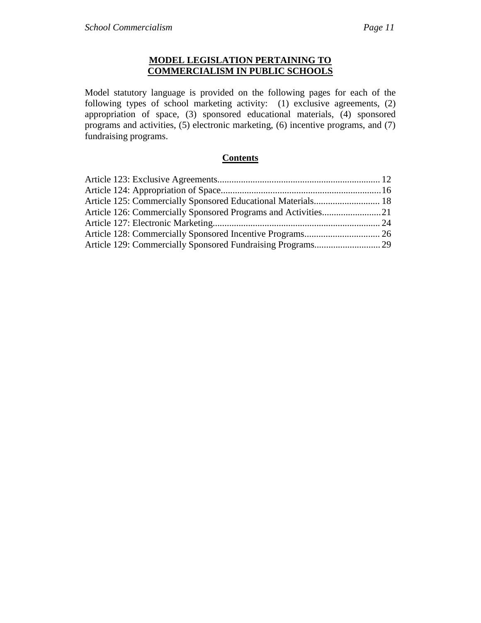### **MODEL LEGISLATION PERTAINING TO COMMERCIALISM IN PUBLIC SCHOOLS**

Model statutory language is provided on the following pages for each of the following types of school marketing activity: (1) exclusive agreements, (2) appropriation of space, (3) sponsored educational materials, (4) sponsored programs and activities, (5) electronic marketing, (6) incentive programs, and (7) fundraising programs.

### **Contents**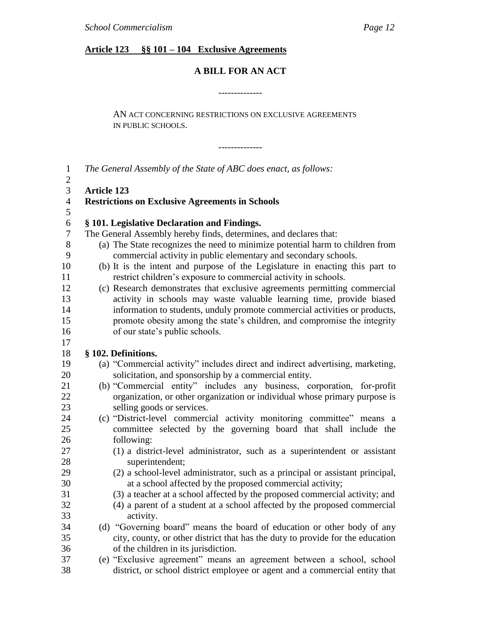### **Article 123 §§ 101 – 104 Exclusive Agreements**

## **A BILL FOR AN ACT**

--------------

AN ACT CONCERNING RESTRICTIONS ON EXCLUSIVE AGREEMENTS IN PUBLIC SCHOOLS.

--------------

| $\mathbf{1}$     | The General Assembly of the State of ABC does enact, as follows:               |
|------------------|--------------------------------------------------------------------------------|
| $\mathfrak{2}$   |                                                                                |
| 3                | <b>Article 123</b>                                                             |
| $\overline{4}$   | <b>Restrictions on Exclusive Agreements in Schools</b>                         |
| 5                |                                                                                |
| $\boldsymbol{6}$ | § 101. Legislative Declaration and Findings.                                   |
| $\tau$           | The General Assembly hereby finds, determines, and declares that:              |
| 8                | (a) The State recognizes the need to minimize potential harm to children from  |
| 9                | commercial activity in public elementary and secondary schools.                |
| 10               | (b) It is the intent and purpose of the Legislature in enacting this part to   |
| 11               | restrict children's exposure to commercial activity in schools.                |
| 12               | (c) Research demonstrates that exclusive agreements permitting commercial      |
| 13               | activity in schools may waste valuable learning time, provide biased           |
| 14               | information to students, unduly promote commercial activities or products,     |
| 15               | promote obesity among the state's children, and compromise the integrity       |
| 16               | of our state's public schools.                                                 |
| 17               |                                                                                |
| 18               | § 102. Definitions.                                                            |
| 19               | (a) "Commercial activity" includes direct and indirect advertising, marketing, |
| 20               | solicitation, and sponsorship by a commercial entity.                          |
| 21               | (b) "Commercial entity" includes any business, corporation, for-profit         |
| 22               | organization, or other organization or individual whose primary purpose is     |
| 23               | selling goods or services.                                                     |
| 24               | (c) "District-level commercial activity monitoring committee" means a          |
| 25               | committee selected by the governing board that shall include the               |
| 26               | following:                                                                     |
| 27               | (1) a district-level administrator, such as a superintendent or assistant      |
| 28               | superintendent;                                                                |
| 29               | (2) a school-level administrator, such as a principal or assistant principal,  |
| 30               | at a school affected by the proposed commercial activity;                      |
| 31               | (3) a teacher at a school affected by the proposed commercial activity; and    |
| 32               | (4) a parent of a student at a school affected by the proposed commercial      |
| 33               | activity.                                                                      |
| 34               | (d) "Governing board" means the board of education or other body of any        |
| 35               | city, county, or other district that has the duty to provide for the education |
| 36<br>37         | of the children in its jurisdiction.                                           |
|                  | (e) "Exclusive agreement" means an agreement between a school, school          |
| 38               | district, or school district employee or agent and a commercial entity that    |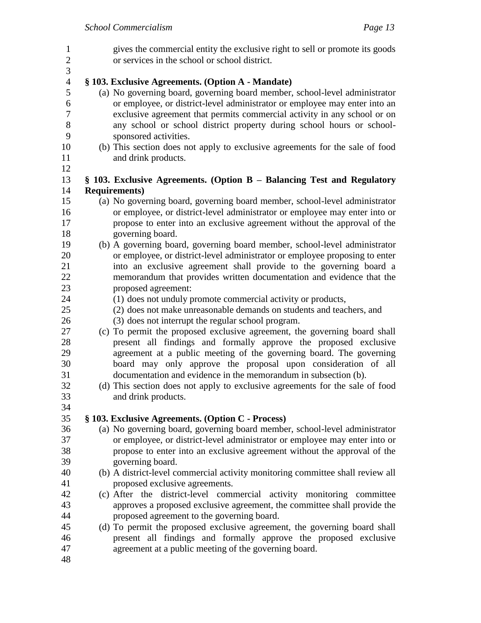gives the commercial entity the exclusive right to sell or promote its goods or services in the school or school district. **§ 103. Exclusive Agreements. (Option A - Mandate)** (a) No governing board, governing board member, school-level administrator or employee, or district-level administrator or employee may enter into an exclusive agreement that permits commercial activity in any school or on any school or school district property during school hours or school- sponsored activities. (b) This section does not apply to exclusive agreements for the sale of food and drink products. **§ 103. Exclusive Agreements. (Option B – Balancing Test and Regulatory Requirements)** (a) No governing board, governing board member, school-level administrator or employee, or district-level administrator or employee may enter into or propose to enter into an exclusive agreement without the approval of the governing board. (b) A governing board, governing board member, school-level administrator or employee, or district-level administrator or employee proposing to enter into an exclusive agreement shall provide to the governing board a memorandum that provides written documentation and evidence that the proposed agreement: (1) does not unduly promote commercial activity or products, (2) does not make unreasonable demands on students and teachers, and (3) does not interrupt the regular school program. (c) To permit the proposed exclusive agreement, the governing board shall present all findings and formally approve the proposed exclusive agreement at a public meeting of the governing board. The governing board may only approve the proposal upon consideration of all documentation and evidence in the memorandum in subsection (b). (d) This section does not apply to exclusive agreements for the sale of food and drink products. **§ 103. Exclusive Agreements. (Option C - Process)** (a) No governing board, governing board member, school-level administrator or employee, or district-level administrator or employee may enter into or propose to enter into an exclusive agreement without the approval of the governing board. (b) A district-level commercial activity monitoring committee shall review all proposed exclusive agreements. (c) After the district-level commercial activity monitoring committee approves a proposed exclusive agreement, the committee shall provide the proposed agreement to the governing board. (d) To permit the proposed exclusive agreement, the governing board shall present all findings and formally approve the proposed exclusive agreement at a public meeting of the governing board.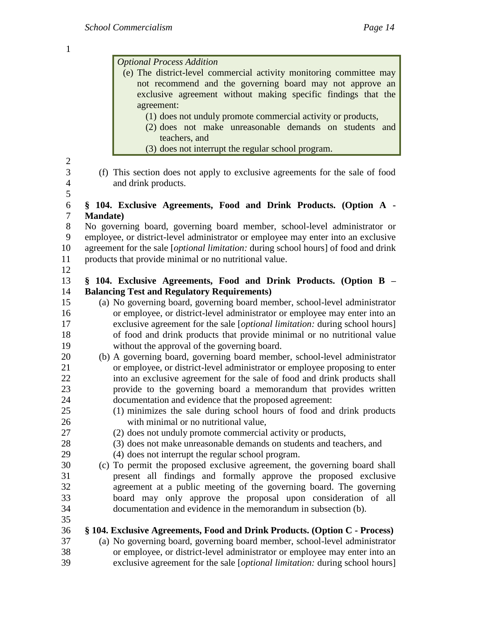| $\mathbf{1}$                             |                                                                                                                                                                                                                                                                                                                    |
|------------------------------------------|--------------------------------------------------------------------------------------------------------------------------------------------------------------------------------------------------------------------------------------------------------------------------------------------------------------------|
|                                          | <b>Optional Process Addition</b><br>(e) The district-level commercial activity monitoring committee may<br>not recommend and the governing board may not approve an<br>exclusive agreement without making specific findings that the<br>agreement:<br>(1) does not unduly promote commercial activity or products, |
|                                          | (2) does not make unreasonable demands on students and<br>teachers, and<br>(3) does not interrupt the regular school program.                                                                                                                                                                                      |
| $\mathbf{2}$<br>3<br>$\overline{4}$<br>5 | (f) This section does not apply to exclusive agreements for the sale of food<br>and drink products.                                                                                                                                                                                                                |
| $\boldsymbol{6}$                         | § 104. Exclusive Agreements, Food and Drink Products. (Option A -                                                                                                                                                                                                                                                  |
| $\overline{7}$                           | <b>Mandate</b> )                                                                                                                                                                                                                                                                                                   |
| $8\,$                                    | No governing board, governing board member, school-level administrator or                                                                                                                                                                                                                                          |
| 9                                        | employee, or district-level administrator or employee may enter into an exclusive                                                                                                                                                                                                                                  |
| 10                                       | agreement for the sale [ <i>optional limitation</i> : during school hours] of food and drink                                                                                                                                                                                                                       |
| 11                                       | products that provide minimal or no nutritional value.                                                                                                                                                                                                                                                             |
| 12<br>13<br>14                           | § 104. Exclusive Agreements, Food and Drink Products. (Option B –<br><b>Balancing Test and Regulatory Requirements)</b>                                                                                                                                                                                            |
| 15                                       | (a) No governing board, governing board member, school-level administrator                                                                                                                                                                                                                                         |
| 16                                       | or employee, or district-level administrator or employee may enter into an                                                                                                                                                                                                                                         |
| 17                                       | exclusive agreement for the sale [ <i>optional limitation</i> : during school hours]                                                                                                                                                                                                                               |
| 18                                       | of food and drink products that provide minimal or no nutritional value                                                                                                                                                                                                                                            |
| 19                                       | without the approval of the governing board.                                                                                                                                                                                                                                                                       |
| 20                                       | (b) A governing board, governing board member, school-level administrator                                                                                                                                                                                                                                          |
| 21                                       | or employee, or district-level administrator or employee proposing to enter                                                                                                                                                                                                                                        |
| 22                                       | into an exclusive agreement for the sale of food and drink products shall                                                                                                                                                                                                                                          |
| 23                                       | provide to the governing board a memorandum that provides written                                                                                                                                                                                                                                                  |
| 24                                       | documentation and evidence that the proposed agreement:                                                                                                                                                                                                                                                            |
| 25                                       | (1) minimizes the sale during school hours of food and drink products                                                                                                                                                                                                                                              |
| 26                                       | with minimal or no nutritional value,                                                                                                                                                                                                                                                                              |
| 27                                       | (2) does not unduly promote commercial activity or products,                                                                                                                                                                                                                                                       |
| 28                                       | (3) does not make unreasonable demands on students and teachers, and                                                                                                                                                                                                                                               |
| 29                                       | (4) does not interrupt the regular school program.                                                                                                                                                                                                                                                                 |
| 30                                       | (c) To permit the proposed exclusive agreement, the governing board shall                                                                                                                                                                                                                                          |
| 31                                       | present all findings and formally approve the proposed exclusive                                                                                                                                                                                                                                                   |
| 32                                       | agreement at a public meeting of the governing board. The governing                                                                                                                                                                                                                                                |
| 33                                       | board may only approve the proposal upon consideration of all                                                                                                                                                                                                                                                      |
| 34<br>35<br>36                           | documentation and evidence in the memorandum in subsection (b).<br>§ 104. Exclusive Agreements, Food and Drink Products. (Option C - Process)                                                                                                                                                                      |
| 37                                       | (a) No governing board, governing board member, school-level administrator                                                                                                                                                                                                                                         |
| 38                                       | or employee, or district-level administrator or employee may enter into an                                                                                                                                                                                                                                         |
| 39                                       | exclusive agreement for the sale [optional limitation: during school hours]                                                                                                                                                                                                                                        |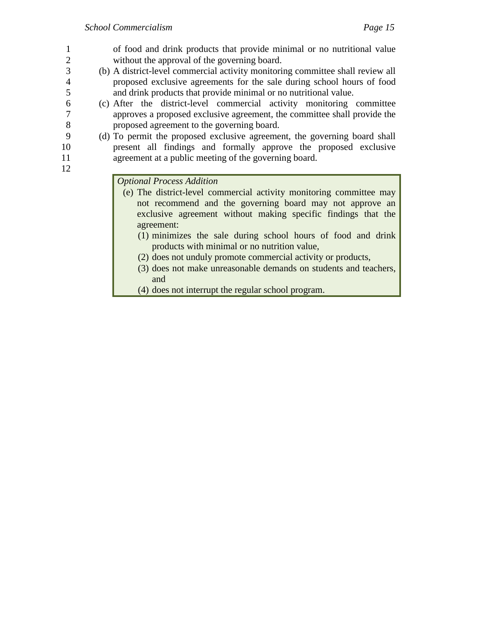- 1 of food and drink products that provide minimal or no nutritional value 2 without the approval of the governing board. 3 (b) A district-level commercial activity monitoring committee shall review all 4 proposed exclusive agreements for the sale during school hours of food 5 and drink products that provide minimal or no nutritional value. 6 (c) After the district-level commercial activity monitoring committee 7 approves a proposed exclusive agreement, the committee shall provide the 8 proposed agreement to the governing board. 9 (d) To permit the proposed exclusive agreement, the governing board shall 10 present all findings and formally approve the proposed exclusive 11 agreement at a public meeting of the governing board. 12 *Optional Process Addition* (e) The district-level commercial activity monitoring committee may
	- not recommend and the governing board may not approve an exclusive agreement without making specific findings that the agreement:
		- (1) minimizes the sale during school hours of food and drink products with minimal or no nutrition value,
		- (2) does not unduly promote commercial activity or products,
		- (3) does not make unreasonable demands on students and teachers, and
		- (4) does not interrupt the regular school program.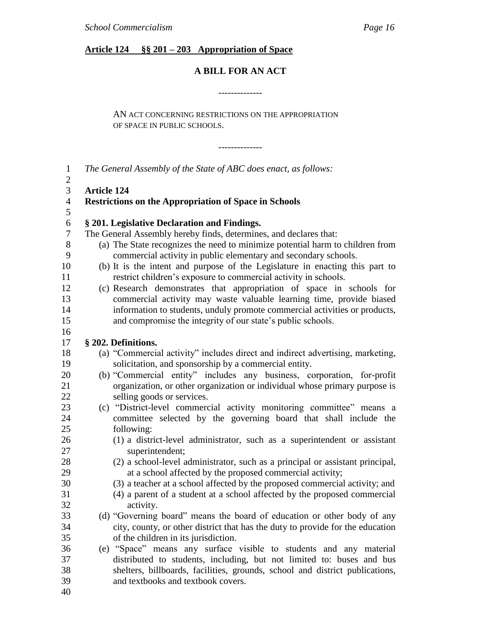### **Article 124 §§ 201 – 203 Appropriation of Space**

### **A BILL FOR AN ACT**

--------------

--------------

AN ACT CONCERNING RESTRICTIONS ON THE APPROPRIATION OF SPACE IN PUBLIC SCHOOLS.

 *The General Assembly of the State of ABC does enact, as follows:* **Article 124 Restrictions on the Appropriation of Space in Schools § 201. Legislative Declaration and Findings.** The General Assembly hereby finds, determines, and declares that: (a) The State recognizes the need to minimize potential harm to children from commercial activity in public elementary and secondary schools. (b) It is the intent and purpose of the Legislature in enacting this part to restrict children's exposure to commercial activity in schools. (c) Research demonstrates that appropriation of space in schools for commercial activity may waste valuable learning time, provide biased information to students, unduly promote commercial activities or products, and compromise the integrity of our state's public schools. **§ 202. Definitions.** 18 (a) "Commercial activity" includes direct and indirect advertising, marketing, solicitation, and sponsorship by a commercial entity. 20 (b) "Commercial entity" includes any business, corporation, for-profit organization, or other organization or individual whose primary purpose is selling goods or services. 23 (c) "District-level commercial activity monitoring committee" means a committee selected by the governing board that shall include the following: (1) a district-level administrator, such as a superintendent or assistant superintendent; (2) a school-level administrator, such as a principal or assistant principal, at a school affected by the proposed commercial activity; (3) a teacher at a school affected by the proposed commercial activity; and (4) a parent of a student at a school affected by the proposed commercial activity. 33 (d) "Governing board" means the board of education or other body of any city, county, or other district that has the duty to provide for the education of the children in its jurisdiction. (e) ―Space‖ means any surface visible to students and any material distributed to students, including, but not limited to: buses and bus

- shelters, billboards, facilities, grounds, school and district publications, and textbooks and textbook covers.
-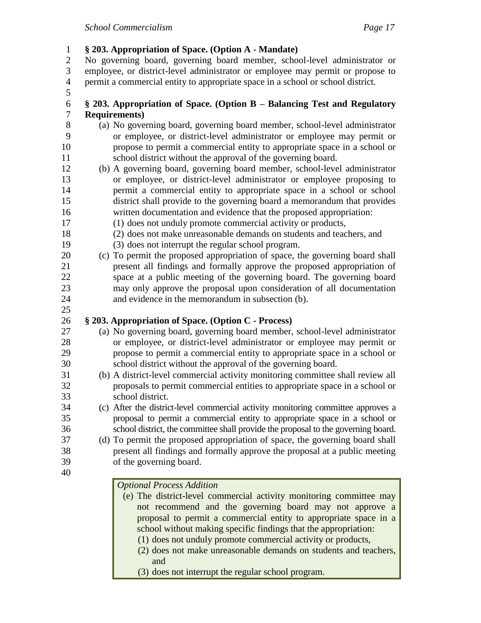**§ 203. Appropriation of Space. (Option A - Mandate)** No governing board, governing board member, school-level administrator or employee, or district-level administrator or employee may permit or propose to permit a commercial entity to appropriate space in a school or school district. **§ 203. Appropriation of Space. (Option B – Balancing Test and Regulatory Requirements)** (a) No governing board, governing board member, school-level administrator or employee, or district-level administrator or employee may permit or propose to permit a commercial entity to appropriate space in a school or school district without the approval of the governing board. (b) A governing board, governing board member, school-level administrator or employee, or district-level administrator or employee proposing to permit a commercial entity to appropriate space in a school or school district shall provide to the governing board a memorandum that provides written documentation and evidence that the proposed appropriation: (1) does not unduly promote commercial activity or products, (2) does not make unreasonable demands on students and teachers, and (3) does not interrupt the regular school program. (c) To permit the proposed appropriation of space, the governing board shall present all findings and formally approve the proposed appropriation of space at a public meeting of the governing board. The governing board may only approve the proposal upon consideration of all documentation and evidence in the memorandum in subsection (b). **§ 203. Appropriation of Space. (Option C - Process)** (a) No governing board, governing board member, school-level administrator or employee, or district-level administrator or employee may permit or propose to permit a commercial entity to appropriate space in a school or school district without the approval of the governing board. (b) A district-level commercial activity monitoring committee shall review all proposals to permit commercial entities to appropriate space in a school or school district. (c) After the district-level commercial activity monitoring committee approves a proposal to permit a commercial entity to appropriate space in a school or school district, the committee shall provide the proposal to the governing board. (d) To permit the proposed appropriation of space, the governing board shall present all findings and formally approve the proposal at a public meeting of the governing board. *Optional Process Addition* (e) The district-level commercial activity monitoring committee may not recommend and the governing board may not approve a proposal to permit a commercial entity to appropriate space in a school without making specific findings that the appropriation: (1) does not unduly promote commercial activity or products,

- (2) does not make unreasonable demands on students and teachers, and
- (3) does not interrupt the regular school program.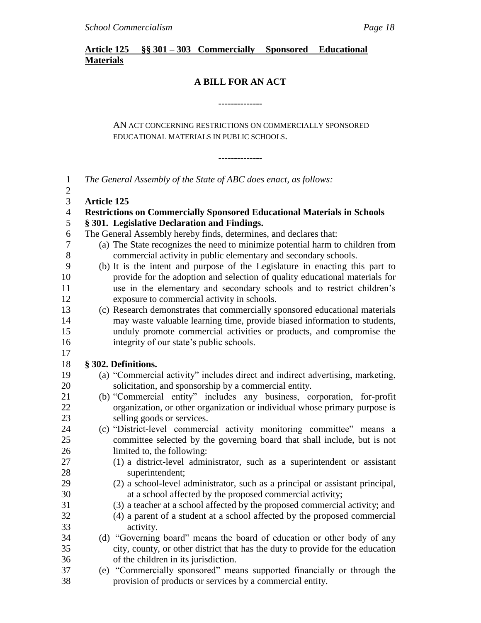### **Article 125 §§ 301 – 303 Commercially Sponsored Educational Materials**

### **A BILL FOR AN ACT**

--------------

### AN ACT CONCERNING RESTRICTIONS ON COMMERCIALLY SPONSORED EDUCATIONAL MATERIALS IN PUBLIC SCHOOLS.

--------------

| $\mathbf{1}$<br>$\mathbf{2}$ | The General Assembly of the State of ABC does enact, as follows:               |
|------------------------------|--------------------------------------------------------------------------------|
| 3                            | <b>Article 125</b>                                                             |
| $\overline{4}$               | <b>Restrictions on Commercially Sponsored Educational Materials in Schools</b> |
| 5                            | § 301. Legislative Declaration and Findings.                                   |
| 6                            | The General Assembly hereby finds, determines, and declares that:              |
| 7                            | (a) The State recognizes the need to minimize potential harm to children from  |
| 8                            | commercial activity in public elementary and secondary schools.                |
| 9                            | (b) It is the intent and purpose of the Legislature in enacting this part to   |
| 10                           | provide for the adoption and selection of quality educational materials for    |
| 11                           | use in the elementary and secondary schools and to restrict children's         |
| 12                           | exposure to commercial activity in schools.                                    |
| 13                           | (c) Research demonstrates that commercially sponsored educational materials    |
| 14                           | may waste valuable learning time, provide biased information to students,      |
| 15                           | unduly promote commercial activities or products, and compromise the           |
| 16                           | integrity of our state's public schools.                                       |
| 17                           |                                                                                |
| 18                           | § 302. Definitions.                                                            |
| 19                           | (a) "Commercial activity" includes direct and indirect advertising, marketing, |
| 20                           | solicitation, and sponsorship by a commercial entity.                          |
| 21                           | (b) "Commercial entity" includes any business, corporation, for-profit         |
| 22                           | organization, or other organization or individual whose primary purpose is     |
| 23                           | selling goods or services.                                                     |
| 24                           | (c) "District-level commercial activity monitoring committee" means a          |
| 25                           | committee selected by the governing board that shall include, but is not       |
| 26                           | limited to, the following:                                                     |
| 27                           | (1) a district-level administrator, such as a superintendent or assistant      |
| 28                           | superintendent;                                                                |
| 29                           | (2) a school-level administrator, such as a principal or assistant principal,  |
| 30                           | at a school affected by the proposed commercial activity;                      |
| 31                           | (3) a teacher at a school affected by the proposed commercial activity; and    |
| 32                           | (4) a parent of a student at a school affected by the proposed commercial      |
| 33                           | activity.                                                                      |
| 34                           | (d) "Governing board" means the board of education or other body of any        |
| 35                           | city, county, or other district that has the duty to provide for the education |
| 36                           | of the children in its jurisdiction.                                           |
| 37                           | (e) "Commercially sponsored" means supported financially or through the        |
| 38                           | provision of products or services by a commercial entity.                      |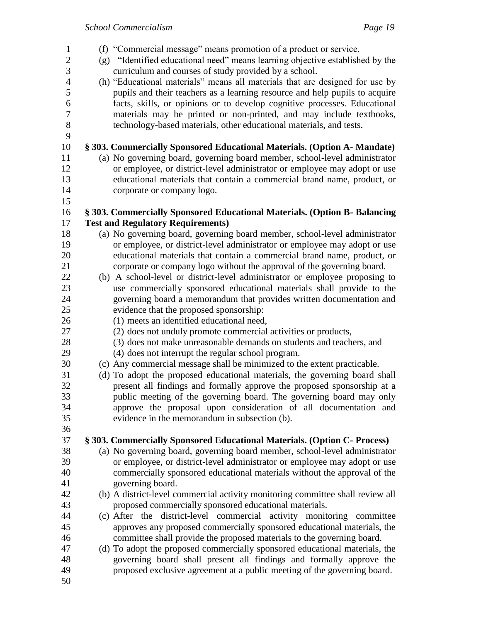- 1 (f) "Commercial message" means promotion of a product or service. 2 (g) "Identified educational need" means learning objective established by the curriculum and courses of study provided by a school. 4 (h) "Educational materials" means all materials that are designed for use by pupils and their teachers as a learning resource and help pupils to acquire facts, skills, or opinions or to develop cognitive processes. Educational materials may be printed or non-printed, and may include textbooks, technology-based materials, other educational materials, and tests. **§ 303. Commercially Sponsored Educational Materials. (Option A- Mandate)** (a) No governing board, governing board member, school-level administrator or employee, or district-level administrator or employee may adopt or use educational materials that contain a commercial brand name, product, or corporate or company logo. **§ 303. Commercially Sponsored Educational Materials. (Option B- Balancing Test and Regulatory Requirements)** (a) No governing board, governing board member, school-level administrator or employee, or district-level administrator or employee may adopt or use educational materials that contain a commercial brand name, product, or corporate or company logo without the approval of the governing board. (b) A school-level or district-level administrator or employee proposing to use commercially sponsored educational materials shall provide to the governing board a memorandum that provides written documentation and evidence that the proposed sponsorship: (1) meets an identified educational need, (2) does not unduly promote commercial activities or products, (3) does not make unreasonable demands on students and teachers, and (4) does not interrupt the regular school program. (c) Any commercial message shall be minimized to the extent practicable. (d) To adopt the proposed educational materials, the governing board shall present all findings and formally approve the proposed sponsorship at a public meeting of the governing board. The governing board may only approve the proposal upon consideration of all documentation and evidence in the memorandum in subsection (b). **§ 303. Commercially Sponsored Educational Materials. (Option C- Process)** (a) No governing board, governing board member, school-level administrator or employee, or district-level administrator or employee may adopt or use commercially sponsored educational materials without the approval of the governing board. (b) A district-level commercial activity monitoring committee shall review all proposed commercially sponsored educational materials. (c) After the district-level commercial activity monitoring committee approves any proposed commercially sponsored educational materials, the committee shall provide the proposed materials to the governing board. (d) To adopt the proposed commercially sponsored educational materials, the governing board shall present all findings and formally approve the
- proposed exclusive agreement at a public meeting of the governing board.
-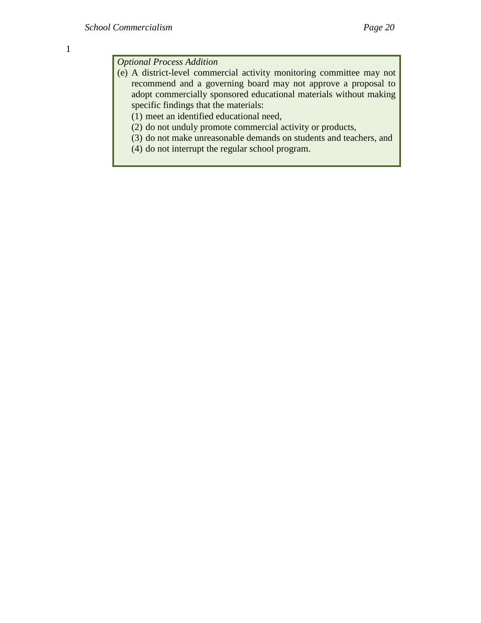*Optional Process Addition*

- (e) A district-level commercial activity monitoring committee may not recommend and a governing board may not approve a proposal to adopt commercially sponsored educational materials without making specific findings that the materials:
	- (1) meet an identified educational need,
	- (2) do not unduly promote commercial activity or products,
	- (3) do not make unreasonable demands on students and teachers, and
	- (4) do not interrupt the regular school program.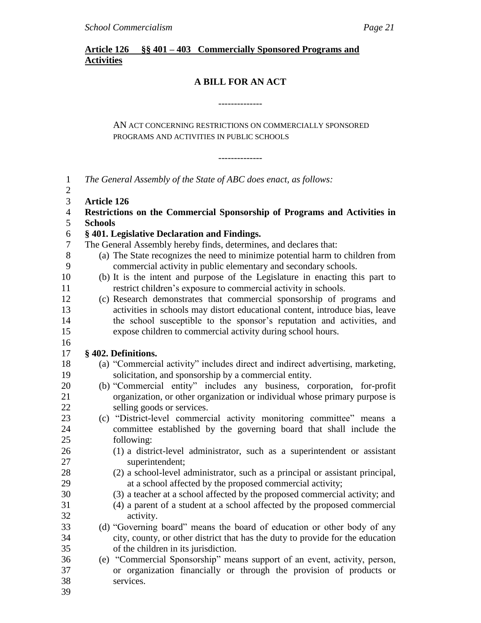### **Article 126 §§ 401 – 403 Commercially Sponsored Programs and Activities**

### **A BILL FOR AN ACT**

--------------

### AN ACT CONCERNING RESTRICTIONS ON COMMERCIALLY SPONSORED PROGRAMS AND ACTIVITIES IN PUBLIC SCHOOLS

--------------

| $\mathbf{1}$<br>$\mathbf{2}$ | The General Assembly of the State of ABC does enact, as follows:               |
|------------------------------|--------------------------------------------------------------------------------|
| 3                            | <b>Article 126</b>                                                             |
| $\overline{4}$               | Restrictions on the Commercial Sponsorship of Programs and Activities in       |
| 5                            | <b>Schools</b>                                                                 |
| 6                            | §401. Legislative Declaration and Findings.                                    |
| $\tau$                       | The General Assembly hereby finds, determines, and declares that:              |
| 8                            | (a) The State recognizes the need to minimize potential harm to children from  |
| 9                            | commercial activity in public elementary and secondary schools.                |
| 10                           | (b) It is the intent and purpose of the Legislature in enacting this part to   |
| 11                           | restrict children's exposure to commercial activity in schools.                |
| 12                           | (c) Research demonstrates that commercial sponsorship of programs and          |
| 13                           | activities in schools may distort educational content, introduce bias, leave   |
| 14                           | the school susceptible to the sponsor's reputation and activities, and         |
| 15                           | expose children to commercial activity during school hours.                    |
| 16                           |                                                                                |
| 17                           | § 402. Definitions.                                                            |
| 18                           | (a) "Commercial activity" includes direct and indirect advertising, marketing, |
| 19                           | solicitation, and sponsorship by a commercial entity.                          |
| 20                           | (b) "Commercial entity" includes any business, corporation, for-profit         |
| 21                           | organization, or other organization or individual whose primary purpose is     |
| 22                           | selling goods or services.                                                     |
| 23                           | (c) "District-level commercial activity monitoring committee" means a          |
| 24                           | committee established by the governing board that shall include the            |
| 25                           | following:                                                                     |
| 26                           | (1) a district-level administrator, such as a superintendent or assistant      |
| 27                           | superintendent;                                                                |
| 28                           | (2) a school-level administrator, such as a principal or assistant principal,  |
| 29                           | at a school affected by the proposed commercial activity;                      |
| 30                           | (3) a teacher at a school affected by the proposed commercial activity; and    |
| 31                           | (4) a parent of a student at a school affected by the proposed commercial      |
| 32                           | activity.                                                                      |
| 33                           | (d) "Governing board" means the board of education or other body of any        |
| 34                           | city, county, or other district that has the duty to provide for the education |
| 35                           | of the children in its jurisdiction.                                           |
| 36                           | (e) "Commercial Sponsorship" means support of an event, activity, person,      |
| 37                           | or organization financially or through the provision of products or            |
| 38                           | services.                                                                      |
| 39                           |                                                                                |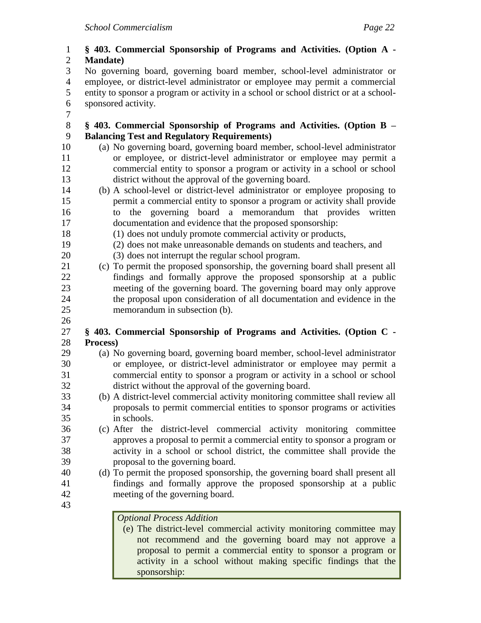- **§ 403. Commercial Sponsorship of Programs and Activities. (Option A - Mandate)** No governing board, governing board member, school-level administrator or employee, or district-level administrator or employee may permit a commercial entity to sponsor a program or activity in a school or school district or at a school- sponsored activity. **§ 403. Commercial Sponsorship of Programs and Activities. (Option B – Balancing Test and Regulatory Requirements)** (a) No governing board, governing board member, school-level administrator or employee, or district-level administrator or employee may permit a commercial entity to sponsor a program or activity in a school or school district without the approval of the governing board. (b) A school-level or district-level administrator or employee proposing to permit a commercial entity to sponsor a program or activity shall provide to the governing board a memorandum that provides written documentation and evidence that the proposed sponsorship: (1) does not unduly promote commercial activity or products, (2) does not make unreasonable demands on students and teachers, and (3) does not interrupt the regular school program. (c) To permit the proposed sponsorship, the governing board shall present all findings and formally approve the proposed sponsorship at a public meeting of the governing board. The governing board may only approve the proposal upon consideration of all documentation and evidence in the memorandum in subsection (b). **§ 403. Commercial Sponsorship of Programs and Activities. (Option C - Process)** (a) No governing board, governing board member, school-level administrator or employee, or district-level administrator or employee may permit a commercial entity to sponsor a program or activity in a school or school district without the approval of the governing board. (b) A district-level commercial activity monitoring committee shall review all proposals to permit commercial entities to sponsor programs or activities in schools. (c) After the district-level commercial activity monitoring committee approves a proposal to permit a commercial entity to sponsor a program or activity in a school or school district, the committee shall provide the proposal to the governing board. (d) To permit the proposed sponsorship, the governing board shall present all findings and formally approve the proposed sponsorship at a public meeting of the governing board. *Optional Process Addition*
	- (e) The district-level commercial activity monitoring committee may not recommend and the governing board may not approve a proposal to permit a commercial entity to sponsor a program or activity in a school without making specific findings that the sponsorship: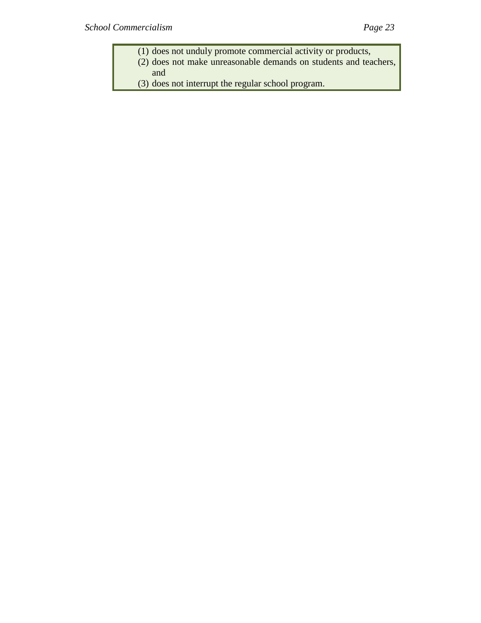- (1) does not unduly promote commercial activity or products,
- (2) does not make unreasonable demands on students and teachers, and
- (3) does not interrupt the regular school program.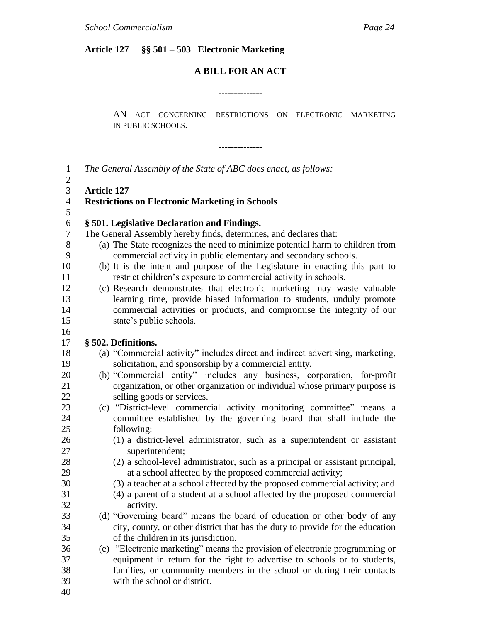### **Article 127 §§ 501 – 503 Electronic Marketing**

### **A BILL FOR AN ACT**

--------------

--------------

AN ACT CONCERNING RESTRICTIONS ON ELECTRONIC MARKETING IN PUBLIC SCHOOLS.

 *The General Assembly of the State of ABC does enact, as follows:* **Article 127 Restrictions on Electronic Marketing in Schools § 501. Legislative Declaration and Findings.** The General Assembly hereby finds, determines, and declares that: (a) The State recognizes the need to minimize potential harm to children from commercial activity in public elementary and secondary schools. (b) It is the intent and purpose of the Legislature in enacting this part to restrict children's exposure to commercial activity in schools. (c) Research demonstrates that electronic marketing may waste valuable learning time, provide biased information to students, unduly promote commercial activities or products, and compromise the integrity of our state's public schools. **§ 502. Definitions.** 18 (a) "Commercial activity" includes direct and indirect advertising, marketing, solicitation, and sponsorship by a commercial entity. 20 (b) "Commercial entity" includes any business, corporation, for-profit organization, or other organization or individual whose primary purpose is selling goods or services. 23 (c) "District-level commercial activity monitoring committee" means a committee established by the governing board that shall include the following: (1) a district-level administrator, such as a superintendent or assistant superintendent; (2) a school-level administrator, such as a principal or assistant principal, at a school affected by the proposed commercial activity; (3) a teacher at a school affected by the proposed commercial activity; and (4) a parent of a student at a school affected by the proposed commercial activity. 33 (d) "Governing board" means the board of education or other body of any city, county, or other district that has the duty to provide for the education of the children in its jurisdiction. 36 (e) "Electronic marketing" means the provision of electronic programming or equipment in return for the right to advertise to schools or to students, families, or community members in the school or during their contacts with the school or district.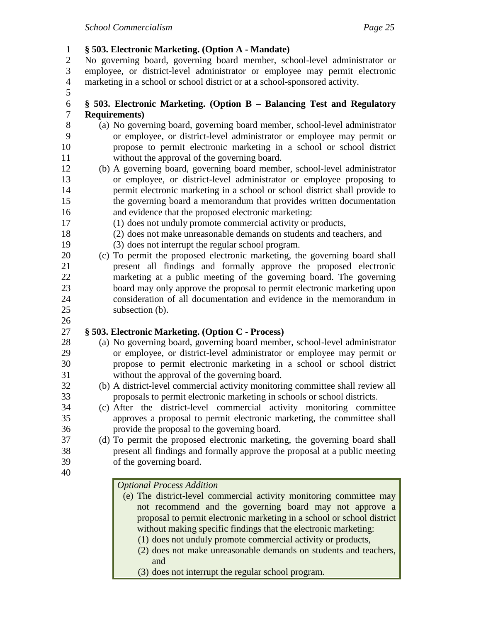**§ 503. Electronic Marketing. (Option A - Mandate)**

 No governing board, governing board member, school-level administrator or employee, or district-level administrator or employee may permit electronic marketing in a school or school district or at a school-sponsored activity.

### **§ 503. Electronic Marketing. (Option B – Balancing Test and Regulatory Requirements)**

- (a) No governing board, governing board member, school-level administrator or employee, or district-level administrator or employee may permit or propose to permit electronic marketing in a school or school district without the approval of the governing board.
- (b) A governing board, governing board member, school-level administrator or employee, or district-level administrator or employee proposing to permit electronic marketing in a school or school district shall provide to the governing board a memorandum that provides written documentation and evidence that the proposed electronic marketing:
- (1) does not unduly promote commercial activity or products,
- (2) does not make unreasonable demands on students and teachers, and
- (3) does not interrupt the regular school program.
- (c) To permit the proposed electronic marketing, the governing board shall present all findings and formally approve the proposed electronic marketing at a public meeting of the governing board. The governing board may only approve the proposal to permit electronic marketing upon consideration of all documentation and evidence in the memorandum in subsection (b).
- 

### **§ 503. Electronic Marketing. (Option C - Process)**

- (a) No governing board, governing board member, school-level administrator or employee, or district-level administrator or employee may permit or propose to permit electronic marketing in a school or school district without the approval of the governing board.
- (b) A district-level commercial activity monitoring committee shall review all proposals to permit electronic marketing in schools or school districts.
- (c) After the district-level commercial activity monitoring committee approves a proposal to permit electronic marketing, the committee shall provide the proposal to the governing board.
- (d) To permit the proposed electronic marketing, the governing board shall present all findings and formally approve the proposal at a public meeting of the governing board.
- 

### *Optional Process Addition*

- (e) The district-level commercial activity monitoring committee may not recommend and the governing board may not approve a proposal to permit electronic marketing in a school or school district without making specific findings that the electronic marketing:
	- (1) does not unduly promote commercial activity or products,
	- (2) does not make unreasonable demands on students and teachers, and
	- (3) does not interrupt the regular school program.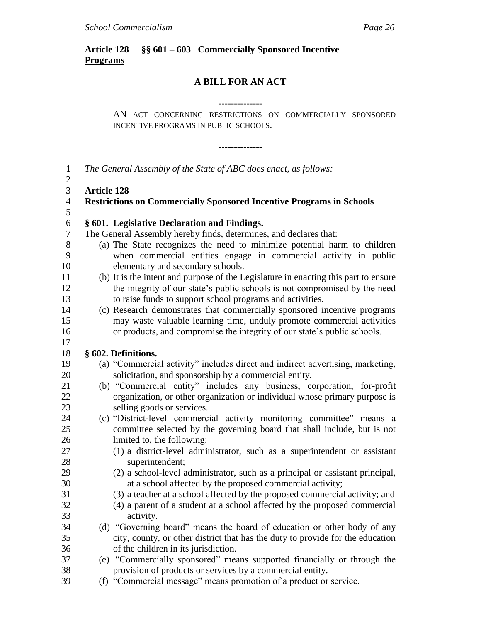### **Article 128 §§ 601 – 603 Commercially Sponsored Incentive Programs**

### **A BILL FOR AN ACT**

--------------

--------------

AN ACT CONCERNING RESTRICTIONS ON COMMERCIALLY SPONSORED INCENTIVE PROGRAMS IN PUBLIC SCHOOLS.

 *The General Assembly of the State of ABC does enact, as follows:*  $\mathcal{L}$  **Article 128 Restrictions on Commercially Sponsored Incentive Programs in Schools § 601. Legislative Declaration and Findings.**  The General Assembly hereby finds, determines, and declares that: (a) The State recognizes the need to minimize potential harm to children when commercial entities engage in commercial activity in public elementary and secondary schools. (b) It is the intent and purpose of the Legislature in enacting this part to ensure the integrity of our state's public schools is not compromised by the need to raise funds to support school programs and activities. (c) Research demonstrates that commercially sponsored incentive programs may waste valuable learning time, unduly promote commercial activities or products, and compromise the integrity of our state's public schools. **§ 602. Definitions.** 19 (a) "Commercial activity" includes direct and indirect advertising, marketing, solicitation, and sponsorship by a commercial entity. 21 (b) "Commercial entity" includes any business, corporation, for-profit organization, or other organization or individual whose primary purpose is selling goods or services. 24 (c) "District-level commercial activity monitoring committee" means a committee selected by the governing board that shall include, but is not limited to, the following: (1) a district-level administrator, such as a superintendent or assistant superintendent; (2) a school-level administrator, such as a principal or assistant principal, at a school affected by the proposed commercial activity; (3) a teacher at a school affected by the proposed commercial activity; and (4) a parent of a student at a school affected by the proposed commercial activity. 34 (d) "Governing board" means the board of education or other body of any city, county, or other district that has the duty to provide for the education of the children in its jurisdiction. 37 (e) "Commercially sponsored" means supported financially or through the provision of products or services by a commercial entity. 39 (f) "Commercial message" means promotion of a product or service.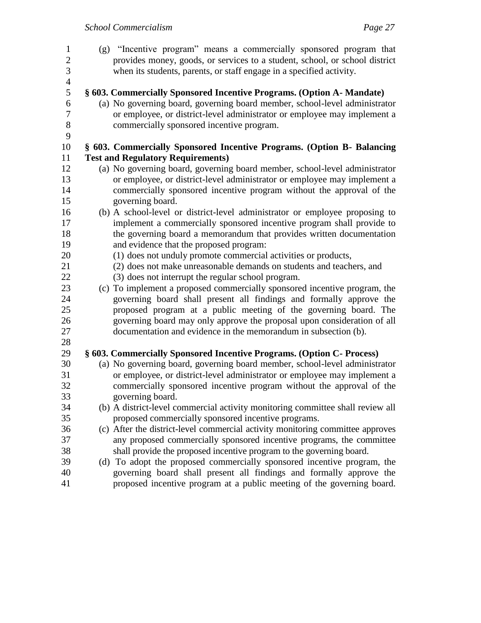(g) ―Incentive program‖ means a commercially sponsored program that provides money, goods, or services to a student, school, or school district when its students, parents, or staff engage in a specified activity. **§ 603. Commercially Sponsored Incentive Programs. (Option A- Mandate)** (a) No governing board, governing board member, school-level administrator or employee, or district-level administrator or employee may implement a commercially sponsored incentive program. **§ 603. Commercially Sponsored Incentive Programs. (Option B- Balancing Test and Regulatory Requirements)** (a) No governing board, governing board member, school-level administrator or employee, or district-level administrator or employee may implement a commercially sponsored incentive program without the approval of the governing board. (b) A school-level or district-level administrator or employee proposing to implement a commercially sponsored incentive program shall provide to the governing board a memorandum that provides written documentation and evidence that the proposed program: (1) does not unduly promote commercial activities or products, (2) does not make unreasonable demands on students and teachers, and (3) does not interrupt the regular school program. (c) To implement a proposed commercially sponsored incentive program, the governing board shall present all findings and formally approve the proposed program at a public meeting of the governing board. The governing board may only approve the proposal upon consideration of all documentation and evidence in the memorandum in subsection (b). **§ 603. Commercially Sponsored Incentive Programs. (Option C- Process)** (a) No governing board, governing board member, school-level administrator or employee, or district-level administrator or employee may implement a commercially sponsored incentive program without the approval of the governing board. (b) A district-level commercial activity monitoring committee shall review all proposed commercially sponsored incentive programs. (c) After the district-level commercial activity monitoring committee approves any proposed commercially sponsored incentive programs, the committee shall provide the proposed incentive program to the governing board. (d) To adopt the proposed commercially sponsored incentive program, the governing board shall present all findings and formally approve the proposed incentive program at a public meeting of the governing board.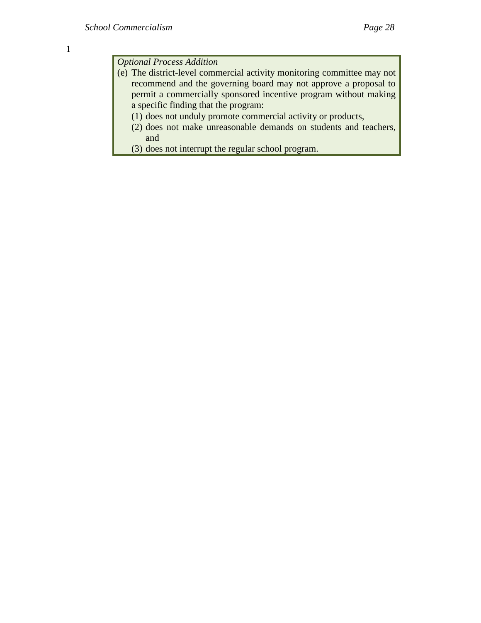*Optional Process Addition*

- (e) The district-level commercial activity monitoring committee may not recommend and the governing board may not approve a proposal to permit a commercially sponsored incentive program without making a specific finding that the program:
	- (1) does not unduly promote commercial activity or products,
	- (2) does not make unreasonable demands on students and teachers, and
	- (3) does not interrupt the regular school program.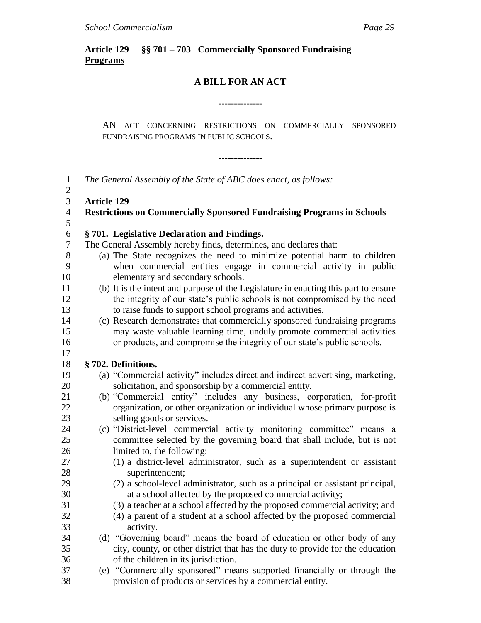### **Article 129 §§ 701 – 703 Commercially Sponsored Fundraising Programs**

### **A BILL FOR AN ACT**

--------------

--------------

AN ACT CONCERNING RESTRICTIONS ON COMMERCIALLY SPONSORED FUNDRAISING PROGRAMS IN PUBLIC SCHOOLS.

| $\mathbf{1}$<br>$\mathbf{2}$ |                    | The General Assembly of the State of ABC does enact, as follows:                    |
|------------------------------|--------------------|-------------------------------------------------------------------------------------|
| 3                            | <b>Article 129</b> |                                                                                     |
| $\overline{4}$               |                    | <b>Restrictions on Commercially Sponsored Fundraising Programs in Schools</b>       |
| 5                            |                    |                                                                                     |
| 6                            |                    | §701. Legislative Declaration and Findings.                                         |
| $\overline{7}$               |                    | The General Assembly hereby finds, determines, and declares that:                   |
| $8\,$                        |                    | (a) The State recognizes the need to minimize potential harm to children            |
| 9                            |                    | when commercial entities engage in commercial activity in public                    |
| 10                           |                    | elementary and secondary schools.                                                   |
| 11                           |                    | (b) It is the intent and purpose of the Legislature in enacting this part to ensure |
| 12                           |                    | the integrity of our state's public schools is not compromised by the need          |
| 13                           |                    | to raise funds to support school programs and activities.                           |
| 14                           |                    | (c) Research demonstrates that commercially sponsored fundraising programs          |
| 15                           |                    | may waste valuable learning time, unduly promote commercial activities              |
| 16                           |                    | or products, and compromise the integrity of our state's public schools.            |
| 17                           |                    |                                                                                     |
| 18                           |                    | § 702. Definitions.                                                                 |
| 19                           |                    | (a) "Commercial activity" includes direct and indirect advertising, marketing,      |
| 20                           |                    | solicitation, and sponsorship by a commercial entity.                               |
| 21                           |                    | (b) "Commercial entity" includes any business, corporation, for-profit              |
| 22                           |                    | organization, or other organization or individual whose primary purpose is          |
| 23                           |                    | selling goods or services.                                                          |
| 24                           |                    | (c) "District-level commercial activity monitoring committee" means a               |
| 25                           |                    | committee selected by the governing board that shall include, but is not            |
| 26                           |                    | limited to, the following:                                                          |
| 27                           |                    | (1) a district-level administrator, such as a superintendent or assistant           |
| 28                           |                    | superintendent;                                                                     |
| 29                           |                    | (2) a school-level administrator, such as a principal or assistant principal,       |
| 30                           |                    | at a school affected by the proposed commercial activity;                           |
| 31                           |                    | (3) a teacher at a school affected by the proposed commercial activity; and         |
| 32                           |                    | (4) a parent of a student at a school affected by the proposed commercial           |
| 33                           |                    | activity.                                                                           |
| 34                           |                    | (d) "Governing board" means the board of education or other body of any             |
| 35                           |                    | city, county, or other district that has the duty to provide for the education      |
| 36                           |                    | of the children in its jurisdiction.                                                |
| 37                           |                    | (e) "Commercially sponsored" means supported financially or through the             |
| 38                           |                    | provision of products or services by a commercial entity.                           |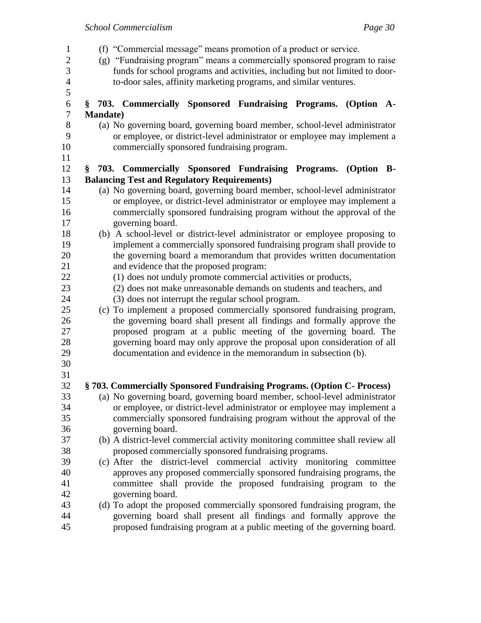| 1<br>$\overline{2}$<br>3<br>$\overline{4}$<br>5 | (f) "Commercial message" means promotion of a product or service.<br>(g) "Fundraising program" means a commercially sponsored program to raise<br>funds for school programs and activities, including but not limited to door-<br>to-door sales, affinity marketing programs, and similar ventures. |  |
|-------------------------------------------------|-----------------------------------------------------------------------------------------------------------------------------------------------------------------------------------------------------------------------------------------------------------------------------------------------------|--|
| 6                                               | § 703. Commercially Sponsored Fundraising Programs. (Option A-                                                                                                                                                                                                                                      |  |
| 7                                               | <b>Mandate</b> )                                                                                                                                                                                                                                                                                    |  |
| 8<br>9                                          | (a) No governing board, governing board member, school-level administrator<br>or employee, or district-level administrator or employee may implement a                                                                                                                                              |  |
| 10<br>11                                        | commercially sponsored fundraising program.                                                                                                                                                                                                                                                         |  |
| 12                                              | 703. Commercially Sponsored Fundraising Programs. (Option B-<br>§.                                                                                                                                                                                                                                  |  |
| 13                                              | <b>Balancing Test and Regulatory Requirements)</b>                                                                                                                                                                                                                                                  |  |
| 14                                              | (a) No governing board, governing board member, school-level administrator                                                                                                                                                                                                                          |  |
| 15                                              | or employee, or district-level administrator or employee may implement a                                                                                                                                                                                                                            |  |
| 16                                              | commercially sponsored fundraising program without the approval of the                                                                                                                                                                                                                              |  |
| 17                                              | governing board.                                                                                                                                                                                                                                                                                    |  |
| 18                                              | (b) A school-level or district-level administrator or employee proposing to                                                                                                                                                                                                                         |  |
| 19                                              | implement a commercially sponsored fundraising program shall provide to                                                                                                                                                                                                                             |  |
| 20                                              | the governing board a memorandum that provides written documentation                                                                                                                                                                                                                                |  |
| 21<br>22                                        | and evidence that the proposed program:<br>(1) does not unduly promote commercial activities or products,                                                                                                                                                                                           |  |
| 23                                              | (2) does not make unreasonable demands on students and teachers, and                                                                                                                                                                                                                                |  |
| 24                                              | (3) does not interrupt the regular school program.                                                                                                                                                                                                                                                  |  |
| 25                                              | (c) To implement a proposed commercially sponsored fundraising program,                                                                                                                                                                                                                             |  |
| 26                                              | the governing board shall present all findings and formally approve the                                                                                                                                                                                                                             |  |
| 27                                              | proposed program at a public meeting of the governing board. The                                                                                                                                                                                                                                    |  |
| 28                                              | governing board may only approve the proposal upon consideration of all                                                                                                                                                                                                                             |  |
| 29                                              | documentation and evidence in the memorandum in subsection (b).                                                                                                                                                                                                                                     |  |
| 30                                              |                                                                                                                                                                                                                                                                                                     |  |
| 31                                              |                                                                                                                                                                                                                                                                                                     |  |
| 32                                              | §703. Commercially Sponsored Fundraising Programs. (Option C- Process)                                                                                                                                                                                                                              |  |
| 33                                              | (a) No governing board, governing board member, school-level administrator                                                                                                                                                                                                                          |  |
| 34                                              | or employee, or district-level administrator or employee may implement a                                                                                                                                                                                                                            |  |
| 35                                              | commercially sponsored fundraising program without the approval of the                                                                                                                                                                                                                              |  |
| 36                                              | governing board.                                                                                                                                                                                                                                                                                    |  |
| 37                                              | (b) A district-level commercial activity monitoring committee shall review all                                                                                                                                                                                                                      |  |
| 38<br>39                                        | proposed commercially sponsored fundraising programs.                                                                                                                                                                                                                                               |  |
| 40                                              | (c) After the district-level commercial activity monitoring committee<br>approves any proposed commercially sponsored fundraising programs, the                                                                                                                                                     |  |
| 41                                              | committee shall provide the proposed fundraising program to the                                                                                                                                                                                                                                     |  |
| 42                                              | governing board.                                                                                                                                                                                                                                                                                    |  |
| 43                                              | (d) To adopt the proposed commercially sponsored fundraising program, the                                                                                                                                                                                                                           |  |
| 44                                              | governing board shall present all findings and formally approve the                                                                                                                                                                                                                                 |  |
| 45                                              | proposed fundraising program at a public meeting of the governing board.                                                                                                                                                                                                                            |  |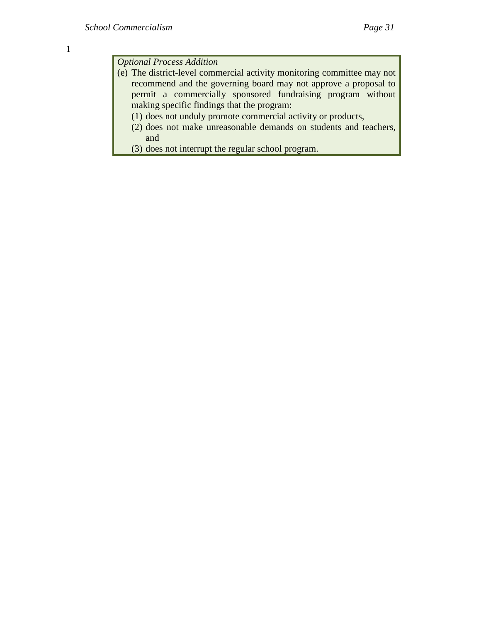*Optional Process Addition*

- (e) The district-level commercial activity monitoring committee may not recommend and the governing board may not approve a proposal to permit a commercially sponsored fundraising program without making specific findings that the program:
	- (1) does not unduly promote commercial activity or products,
	- (2) does not make unreasonable demands on students and teachers, and
	- (3) does not interrupt the regular school program.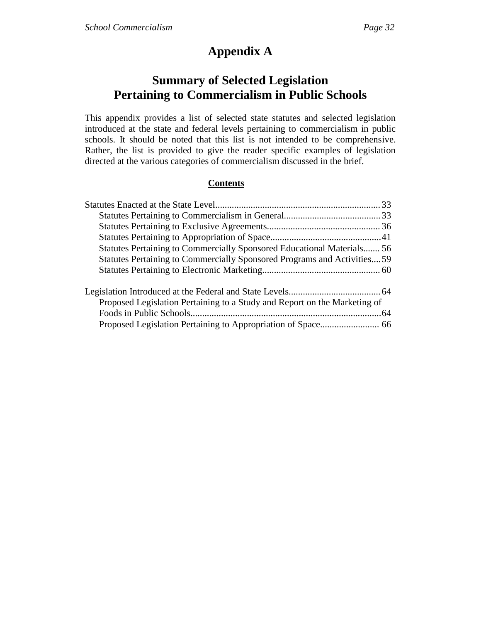# **Appendix A**

# **Summary of Selected Legislation Pertaining to Commercialism in Public Schools**

This appendix provides a list of selected state statutes and selected legislation introduced at the state and federal levels pertaining to commercialism in public schools. It should be noted that this list is not intended to be comprehensive. Rather, the list is provided to give the reader specific examples of legislation directed at the various categories of commercialism discussed in the brief.

## **Contents**

| Statutes Pertaining to Commercially Sponsored Educational Materials 56    |  |
|---------------------------------------------------------------------------|--|
| Statutes Pertaining to Commercially Sponsored Programs and Activities59   |  |
|                                                                           |  |
|                                                                           |  |
| Proposed Legislation Pertaining to a Study and Report on the Marketing of |  |
|                                                                           |  |
|                                                                           |  |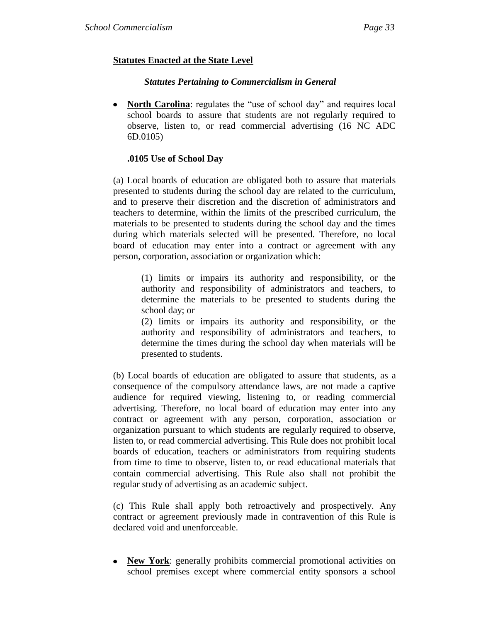# **Statutes Enacted at the State Level**

#### *Statutes Pertaining to Commercialism in General*

• **North Carolina**: regulates the "use of school day" and requires local school boards to assure that students are not regularly required to observe, listen to, or read commercial advertising (16 NC ADC 6D.0105)

#### **.0105 Use of School Day**

(a) Local boards of education are obligated both to assure that materials presented to students during the school day are related to the curriculum, and to preserve their discretion and the discretion of administrators and teachers to determine, within the limits of the prescribed curriculum, the materials to be presented to students during the school day and the times during which materials selected will be presented. Therefore, no local board of education may enter into a contract or agreement with any person, corporation, association or organization which:

(1) limits or impairs its authority and responsibility, or the authority and responsibility of administrators and teachers, to determine the materials to be presented to students during the school day; or

(2) limits or impairs its authority and responsibility, or the authority and responsibility of administrators and teachers, to determine the times during the school day when materials will be presented to students.

(b) Local boards of education are obligated to assure that students, as a consequence of the compulsory attendance laws, are not made a captive audience for required viewing, listening to, or reading commercial advertising. Therefore, no local board of education may enter into any contract or agreement with any person, corporation, association or organization pursuant to which students are regularly required to observe, listen to, or read commercial advertising. This Rule does not prohibit local boards of education, teachers or administrators from requiring students from time to time to observe, listen to, or read educational materials that contain commercial advertising. This Rule also shall not prohibit the regular study of advertising as an academic subject.

(c) This Rule shall apply both retroactively and prospectively. Any contract or agreement previously made in contravention of this Rule is declared void and unenforceable.

• **New York**: generally prohibits commercial promotional activities on school premises except where commercial entity sponsors a school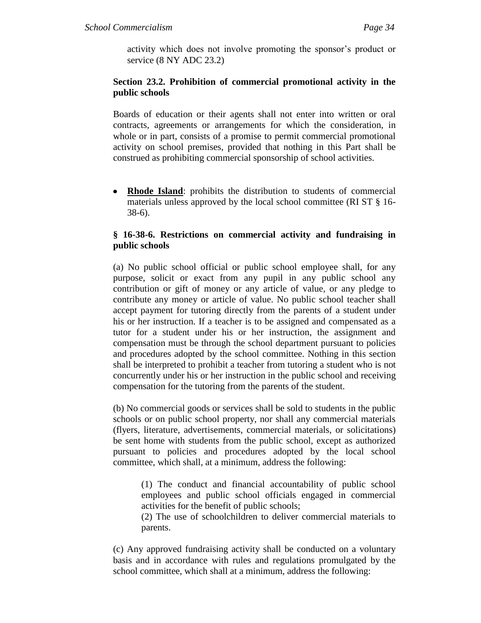activity which does not involve promoting the sponsor's product or service (8 NY ADC 23.2)

## **Section 23.2. Prohibition of commercial promotional activity in the public schools**

Boards of education or their agents shall not enter into written or oral contracts, agreements or arrangements for which the consideration, in whole or in part, consists of a promise to permit commercial promotional activity on school premises, provided that nothing in this Part shall be construed as prohibiting commercial sponsorship of school activities.

**Rhode Island**: prohibits the distribution to students of commercial materials unless approved by the local school committee (RI ST § 16- 38-6).

## **§ 16-38-6. Restrictions on commercial activity and fundraising in public schools**

(a) No public school official or public school employee shall, for any purpose, solicit or exact from any pupil in any public school any contribution or gift of money or any article of value, or any pledge to contribute any money or article of value. No public school teacher shall accept payment for tutoring directly from the parents of a student under his or her instruction. If a teacher is to be assigned and compensated as a tutor for a student under his or her instruction, the assignment and compensation must be through the school department pursuant to policies and procedures adopted by the school committee. Nothing in this section shall be interpreted to prohibit a teacher from tutoring a student who is not concurrently under his or her instruction in the public school and receiving compensation for the tutoring from the parents of the student.

(b) No commercial goods or services shall be sold to students in the public schools or on public school property, nor shall any commercial materials (flyers, literature, advertisements, commercial materials, or solicitations) be sent home with students from the public school, except as authorized pursuant to policies and procedures adopted by the local school committee, which shall, at a minimum, address the following:

(1) The conduct and financial accountability of public school employees and public school officials engaged in commercial activities for the benefit of public schools;

(2) The use of schoolchildren to deliver commercial materials to parents.

(c) Any approved fundraising activity shall be conducted on a voluntary basis and in accordance with rules and regulations promulgated by the school committee, which shall at a minimum, address the following: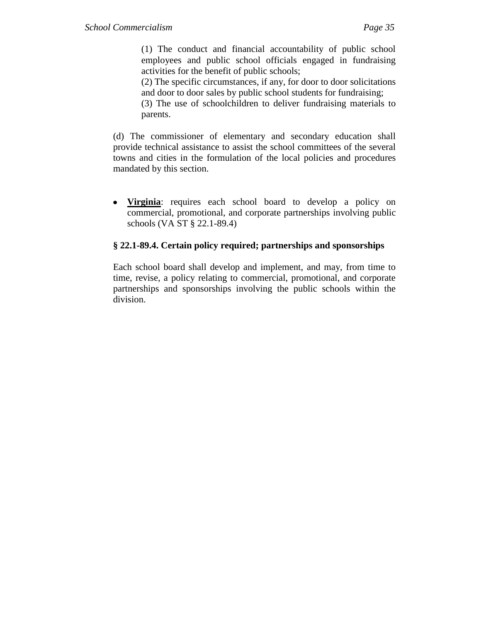(1) The conduct and financial accountability of public school employees and public school officials engaged in fundraising activities for the benefit of public schools;

(2) The specific circumstances, if any, for door to door solicitations and door to door sales by public school students for fundraising;

(3) The use of schoolchildren to deliver fundraising materials to parents.

(d) The commissioner of elementary and secondary education shall provide technical assistance to assist the school committees of the several towns and cities in the formulation of the local policies and procedures mandated by this section.

**Virginia**: requires each school board to develop a policy on commercial, promotional, and corporate partnerships involving public schools (VA ST § 22.1-89.4)

# **§ 22.1-89.4. Certain policy required; partnerships and sponsorships**

Each school board shall develop and implement, and may, from time to time, revise, a policy relating to commercial, promotional, and corporate partnerships and sponsorships involving the public schools within the division.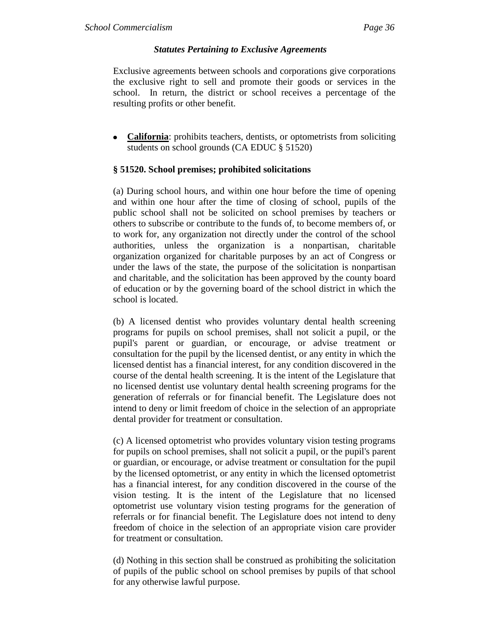## *Statutes Pertaining to Exclusive Agreements*

Exclusive agreements between schools and corporations give corporations the exclusive right to sell and promote their goods or services in the school. In return, the district or school receives a percentage of the resulting profits or other benefit.

• **California**: prohibits teachers, dentists, or optometrists from soliciting students on school grounds (CA EDUC § 51520)

## **§ 51520. School premises; prohibited solicitations**

(a) During school hours, and within one hour before the time of opening and within one hour after the time of closing of school, pupils of the public school shall not be solicited on school premises by teachers or others to subscribe or contribute to the funds of, to become members of, or to work for, any organization not directly under the control of the school authorities, unless the organization is a nonpartisan, charitable organization organized for charitable purposes by an act of Congress or under the laws of the state, the purpose of the solicitation is nonpartisan and charitable, and the solicitation has been approved by the county board of education or by the governing board of the school district in which the school is located.

(b) A licensed dentist who provides voluntary dental health screening programs for pupils on school premises, shall not solicit a pupil, or the pupil's parent or guardian, or encourage, or advise treatment or consultation for the pupil by the licensed dentist, or any entity in which the licensed dentist has a financial interest, for any condition discovered in the course of the dental health screening. It is the intent of the Legislature that no licensed dentist use voluntary dental health screening programs for the generation of referrals or for financial benefit. The Legislature does not intend to deny or limit freedom of choice in the selection of an appropriate dental provider for treatment or consultation.

(c) A licensed optometrist who provides voluntary vision testing programs for pupils on school premises, shall not solicit a pupil, or the pupil's parent or guardian, or encourage, or advise treatment or consultation for the pupil by the licensed optometrist, or any entity in which the licensed optometrist has a financial interest, for any condition discovered in the course of the vision testing. It is the intent of the Legislature that no licensed optometrist use voluntary vision testing programs for the generation of referrals or for financial benefit. The Legislature does not intend to deny freedom of choice in the selection of an appropriate vision care provider for treatment or consultation.

(d) Nothing in this section shall be construed as prohibiting the solicitation of pupils of the public school on school premises by pupils of that school for any otherwise lawful purpose.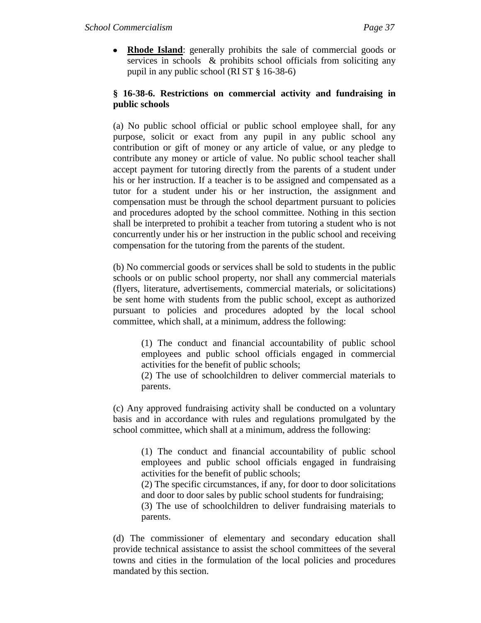• **Rhode Island**: generally prohibits the sale of commercial goods or services in schools & prohibits school officials from soliciting any pupil in any public school (RI ST § 16-38-6)

# **§ 16-38-6. Restrictions on commercial activity and fundraising in public schools**

(a) No public school official or public school employee shall, for any purpose, solicit or exact from any pupil in any public school any contribution or gift of money or any article of value, or any pledge to contribute any money or article of value. No public school teacher shall accept payment for tutoring directly from the parents of a student under his or her instruction. If a teacher is to be assigned and compensated as a tutor for a student under his or her instruction, the assignment and compensation must be through the school department pursuant to policies and procedures adopted by the school committee. Nothing in this section shall be interpreted to prohibit a teacher from tutoring a student who is not concurrently under his or her instruction in the public school and receiving compensation for the tutoring from the parents of the student.

(b) No commercial goods or services shall be sold to students in the public schools or on public school property, nor shall any commercial materials (flyers, literature, advertisements, commercial materials, or solicitations) be sent home with students from the public school, except as authorized pursuant to policies and procedures adopted by the local school committee, which shall, at a minimum, address the following:

(1) The conduct and financial accountability of public school employees and public school officials engaged in commercial activities for the benefit of public schools;

(2) The use of schoolchildren to deliver commercial materials to parents.

(c) Any approved fundraising activity shall be conducted on a voluntary basis and in accordance with rules and regulations promulgated by the school committee, which shall at a minimum, address the following:

(1) The conduct and financial accountability of public school employees and public school officials engaged in fundraising activities for the benefit of public schools;

(2) The specific circumstances, if any, for door to door solicitations and door to door sales by public school students for fundraising;

(3) The use of schoolchildren to deliver fundraising materials to parents.

(d) The commissioner of elementary and secondary education shall provide technical assistance to assist the school committees of the several towns and cities in the formulation of the local policies and procedures mandated by this section.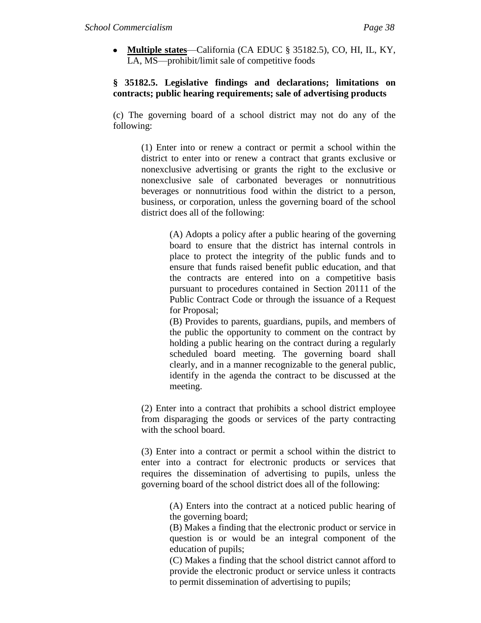**Multiple states**—California (CA EDUC § 35182.5), CO, HI, IL, KY, LA, MS—prohibit/limit sale of competitive foods

## **§ 35182.5. Legislative findings and declarations; limitations on contracts; public hearing requirements; sale of advertising products**

(c) The governing board of a school district may not do any of the following:

(1) Enter into or renew a contract or permit a school within the district to enter into or renew a contract that grants exclusive or nonexclusive advertising or grants the right to the exclusive or nonexclusive sale of carbonated beverages or nonnutritious beverages or nonnutritious food within the district to a person, business, or corporation, unless the governing board of the school district does all of the following:

> (A) Adopts a policy after a public hearing of the governing board to ensure that the district has internal controls in place to protect the integrity of the public funds and to ensure that funds raised benefit public education, and that the contracts are entered into on a competitive basis pursuant to procedures contained in Section 20111 of the Public Contract Code or through the issuance of a Request for Proposal;

> (B) Provides to parents, guardians, pupils, and members of the public the opportunity to comment on the contract by holding a public hearing on the contract during a regularly scheduled board meeting. The governing board shall clearly, and in a manner recognizable to the general public, identify in the agenda the contract to be discussed at the meeting.

(2) Enter into a contract that prohibits a school district employee from disparaging the goods or services of the party contracting with the school board.

(3) Enter into a contract or permit a school within the district to enter into a contract for electronic products or services that requires the dissemination of advertising to pupils, unless the governing board of the school district does all of the following:

> (A) Enters into the contract at a noticed public hearing of the governing board;

> (B) Makes a finding that the electronic product or service in question is or would be an integral component of the education of pupils;

> (C) Makes a finding that the school district cannot afford to provide the electronic product or service unless it contracts to permit dissemination of advertising to pupils;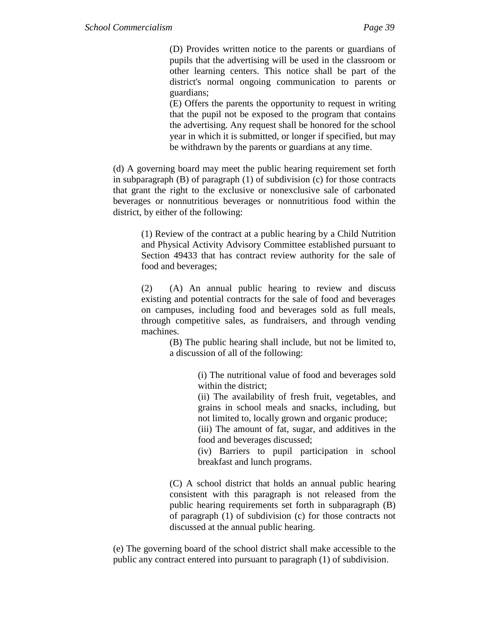(D) Provides written notice to the parents or guardians of pupils that the advertising will be used in the classroom or other learning centers. This notice shall be part of the district's normal ongoing communication to parents or guardians;

(E) Offers the parents the opportunity to request in writing that the pupil not be exposed to the program that contains the advertising. Any request shall be honored for the school year in which it is submitted, or longer if specified, but may be withdrawn by the parents or guardians at any time.

(d) A governing board may meet the public hearing requirement set forth in subparagraph (B) of paragraph (1) of subdivision (c) for those contracts that grant the right to the exclusive or nonexclusive sale of carbonated beverages or nonnutritious beverages or nonnutritious food within the district, by either of the following:

(1) Review of the contract at a public hearing by a Child Nutrition and Physical Activity Advisory Committee established pursuant to Section 49433 that has contract review authority for the sale of food and beverages;

(2) (A) An annual public hearing to review and discuss existing and potential contracts for the sale of food and beverages on campuses, including food and beverages sold as full meals, through competitive sales, as fundraisers, and through vending machines.

> (B) The public hearing shall include, but not be limited to, a discussion of all of the following:

> > (i) The nutritional value of food and beverages sold within the district;

> > (ii) The availability of fresh fruit, vegetables, and grains in school meals and snacks, including, but not limited to, locally grown and organic produce;

> > (iii) The amount of fat, sugar, and additives in the food and beverages discussed;

> > (iv) Barriers to pupil participation in school breakfast and lunch programs.

(C) A school district that holds an annual public hearing consistent with this paragraph is not released from the public hearing requirements set forth in subparagraph (B) of paragraph (1) of subdivision (c) for those contracts not discussed at the annual public hearing.

(e) The governing board of the school district shall make accessible to the public any contract entered into pursuant to paragraph (1) of subdivision.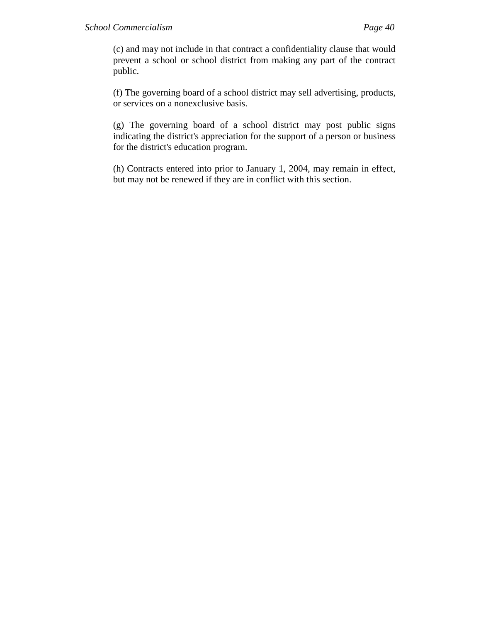(c) and may not include in that contract a confidentiality clause that would prevent a school or school district from making any part of the contract public.

(f) The governing board of a school district may sell advertising, products, or services on a nonexclusive basis.

(g) The governing board of a school district may post public signs indicating the district's appreciation for the support of a person or business for the district's education program.

(h) Contracts entered into prior to January 1, 2004, may remain in effect, but may not be renewed if they are in conflict with this section.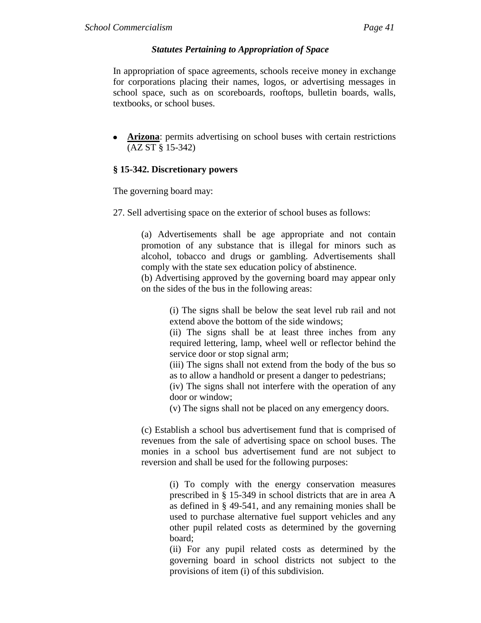## *Statutes Pertaining to Appropriation of Space*

In appropriation of space agreements, schools receive money in exchange for corporations placing their names, logos, or advertising messages in school space, such as on scoreboards, rooftops, bulletin boards, walls, textbooks, or school buses.

**Arizona**: permits advertising on school buses with certain restrictions (AZ ST § 15-342)

## **§ 15-342. Discretionary powers**

The governing board may:

27. Sell advertising space on the exterior of school buses as follows:

(a) Advertisements shall be age appropriate and not contain promotion of any substance that is illegal for minors such as alcohol, tobacco and drugs or gambling. Advertisements shall comply with the state sex education policy of abstinence.

(b) Advertising approved by the governing board may appear only on the sides of the bus in the following areas:

> (i) The signs shall be below the seat level rub rail and not extend above the bottom of the side windows;

> (ii) The signs shall be at least three inches from any required lettering, lamp, wheel well or reflector behind the service door or stop signal arm;

> (iii) The signs shall not extend from the body of the bus so as to allow a handhold or present a danger to pedestrians;

> (iv) The signs shall not interfere with the operation of any door or window;

(v) The signs shall not be placed on any emergency doors.

(c) Establish a school bus advertisement fund that is comprised of revenues from the sale of advertising space on school buses. The monies in a school bus advertisement fund are not subject to reversion and shall be used for the following purposes:

> (i) To comply with the energy conservation measures prescribed in § 15-349 in school districts that are in area A as defined in § 49-541, and any remaining monies shall be used to purchase alternative fuel support vehicles and any other pupil related costs as determined by the governing board;

> (ii) For any pupil related costs as determined by the governing board in school districts not subject to the provisions of item (i) of this subdivision.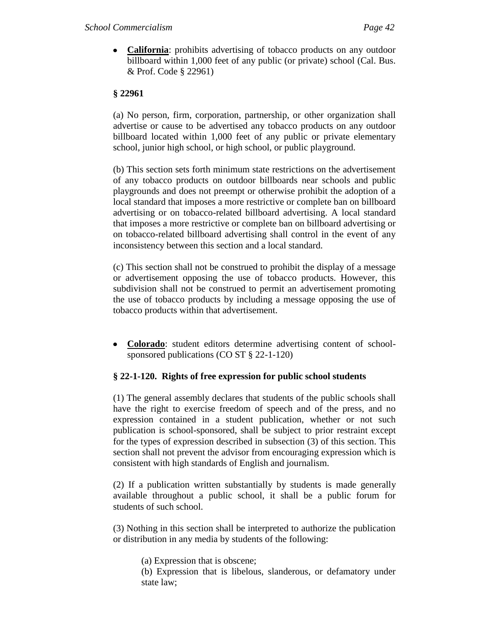**California**: prohibits advertising of tobacco products on any outdoor billboard within 1,000 feet of any public (or private) school (Cal. Bus. & Prof. Code § 22961)

# **§ 22961**

(a) No person, firm, corporation, partnership, or other organization shall advertise or cause to be advertised any tobacco products on any outdoor billboard located within 1,000 feet of any public or private elementary school, junior high school, or high school, or public playground.

(b) This section sets forth minimum state restrictions on the advertisement of any tobacco products on outdoor billboards near schools and public playgrounds and does not preempt or otherwise prohibit the adoption of a local standard that imposes a more restrictive or complete ban on billboard advertising or on tobacco-related billboard advertising. A local standard that imposes a more restrictive or complete ban on billboard advertising or on tobacco-related billboard advertising shall control in the event of any inconsistency between this section and a local standard.

(c) This section shall not be construed to prohibit the display of a message or advertisement opposing the use of tobacco products. However, this subdivision shall not be construed to permit an advertisement promoting the use of tobacco products by including a message opposing the use of tobacco products within that advertisement.

**Colorado**: student editors determine advertising content of schoolsponsored publications (CO ST § 22-1-120)

# **§ 22-1-120. Rights of free expression for public school students**

(1) The general assembly declares that students of the public schools shall have the right to exercise freedom of speech and of the press, and no expression contained in a student publication, whether or not such publication is school-sponsored, shall be subject to prior restraint except for the types of expression described in subsection (3) of this section. This section shall not prevent the advisor from encouraging expression which is consistent with high standards of English and journalism.

(2) If a publication written substantially by students is made generally available throughout a public school, it shall be a public forum for students of such school.

(3) Nothing in this section shall be interpreted to authorize the publication or distribution in any media by students of the following:

(a) Expression that is obscene;

(b) Expression that is libelous, slanderous, or defamatory under state law;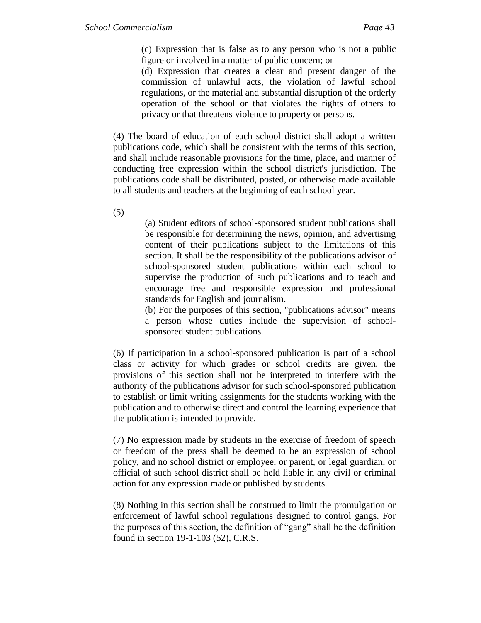(c) Expression that is false as to any person who is not a public figure or involved in a matter of public concern; or

(d) Expression that creates a clear and present danger of the commission of unlawful acts, the violation of lawful school regulations, or the material and substantial disruption of the orderly operation of the school or that violates the rights of others to privacy or that threatens violence to property or persons.

(4) The board of education of each school district shall adopt a written publications code, which shall be consistent with the terms of this section, and shall include reasonable provisions for the time, place, and manner of conducting free expression within the school district's jurisdiction. The publications code shall be distributed, posted, or otherwise made available to all students and teachers at the beginning of each school year.

(5)

(a) Student editors of school-sponsored student publications shall be responsible for determining the news, opinion, and advertising content of their publications subject to the limitations of this section. It shall be the responsibility of the publications advisor of school-sponsored student publications within each school to supervise the production of such publications and to teach and encourage free and responsible expression and professional standards for English and journalism.

(b) For the purposes of this section, "publications advisor" means a person whose duties include the supervision of schoolsponsored student publications.

(6) If participation in a school-sponsored publication is part of a school class or activity for which grades or school credits are given, the provisions of this section shall not be interpreted to interfere with the authority of the publications advisor for such school-sponsored publication to establish or limit writing assignments for the students working with the publication and to otherwise direct and control the learning experience that the publication is intended to provide.

(7) No expression made by students in the exercise of freedom of speech or freedom of the press shall be deemed to be an expression of school policy, and no school district or employee, or parent, or legal guardian, or official of such school district shall be held liable in any civil or criminal action for any expression made or published by students.

(8) Nothing in this section shall be construed to limit the promulgation or enforcement of lawful school regulations designed to control gangs. For the purposes of this section, the definition of "gang" shall be the definition found in section 19-1-103 (52), C.R.S.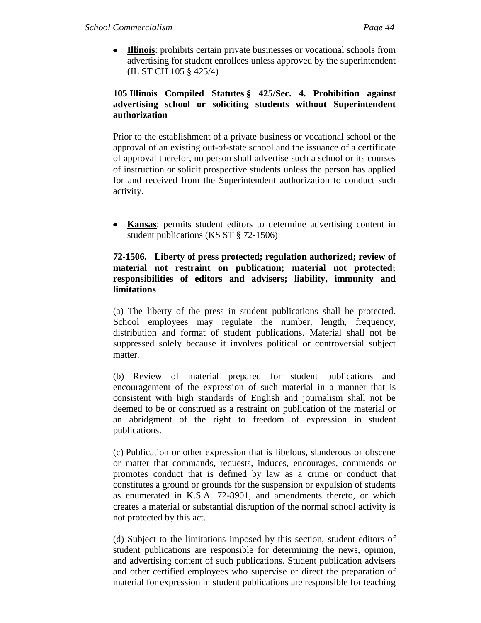**Illinois**: prohibits certain private businesses or vocational schools from advertising for student enrollees unless approved by the superintendent (IL ST CH 105 § 425/4)

# **105 Illinois Compiled Statutes § 425/Sec. 4. Prohibition against advertising school or soliciting students without Superintendent authorization**

Prior to the establishment of a private business or vocational school or the approval of an existing out-of-state school and the issuance of a certificate of approval therefor, no person shall advertise such a school or its courses of instruction or solicit prospective students unless the person has applied for and received from the Superintendent authorization to conduct such activity.

**Kansas**: permits student editors to determine advertising content in student publications (KS ST § 72-1506)

## **72-1506. Liberty of press protected; regulation authorized; review of material not restraint on publication; material not protected; responsibilities of editors and advisers; liability, immunity and limitations**

(a) The liberty of the press in student publications shall be protected. School employees may regulate the number, length, frequency, distribution and format of student publications. Material shall not be suppressed solely because it involves political or controversial subject matter.

(b) Review of material prepared for student publications and encouragement of the expression of such material in a manner that is consistent with high standards of English and journalism shall not be deemed to be or construed as a restraint on publication of the material or an abridgment of the right to freedom of expression in student publications.

(c) Publication or other expression that is libelous, slanderous or obscene or matter that commands, requests, induces, encourages, commends or promotes conduct that is defined by law as a crime or conduct that constitutes a ground or grounds for the suspension or expulsion of students as enumerated in K.S.A. 72-8901, and amendments thereto, or which creates a material or substantial disruption of the normal school activity is not protected by this act.

(d) Subject to the limitations imposed by this section, student editors of student publications are responsible for determining the news, opinion, and advertising content of such publications. Student publication advisers and other certified employees who supervise or direct the preparation of material for expression in student publications are responsible for teaching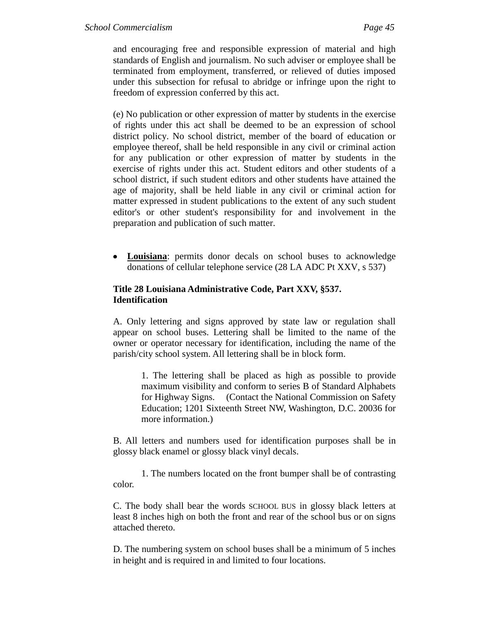and encouraging free and responsible expression of material and high standards of English and journalism. No such adviser or employee shall be terminated from employment, transferred, or relieved of duties imposed under this subsection for refusal to abridge or infringe upon the right to freedom of expression conferred by this act.

(e) No publication or other expression of matter by students in the exercise of rights under this act shall be deemed to be an expression of school district policy. No school district, member of the board of education or employee thereof, shall be held responsible in any civil or criminal action for any publication or other expression of matter by students in the exercise of rights under this act. Student editors and other students of a school district, if such student editors and other students have attained the age of majority, shall be held liable in any civil or criminal action for matter expressed in student publications to the extent of any such student editor's or other student's responsibility for and involvement in the preparation and publication of such matter.

**Louisiana**: permits donor decals on school buses to acknowledge donations of cellular telephone service (28 LA ADC Pt XXV, s 537)

## **Title 28 Louisiana Administrative Code, Part XXV, §537. Identification**

A. Only lettering and signs approved by state law or regulation shall appear on school buses. Lettering shall be limited to the name of the owner or operator necessary for identification, including the name of the parish/city school system. All lettering shall be in block form.

1. The lettering shall be placed as high as possible to provide maximum visibility and conform to series B of Standard Alphabets for Highway Signs. (Contact the National Commission on Safety Education; 1201 Sixteenth Street NW, Washington, D.C. 20036 for more information.)

B. All letters and numbers used for identification purposes shall be in glossy black enamel or glossy black vinyl decals.

1. The numbers located on the front bumper shall be of contrasting color.

C. The body shall bear the words SCHOOL BUS in glossy black letters at least 8 inches high on both the front and rear of the school bus or on signs attached thereto.

D. The numbering system on school buses shall be a minimum of 5 inches in height and is required in and limited to four locations.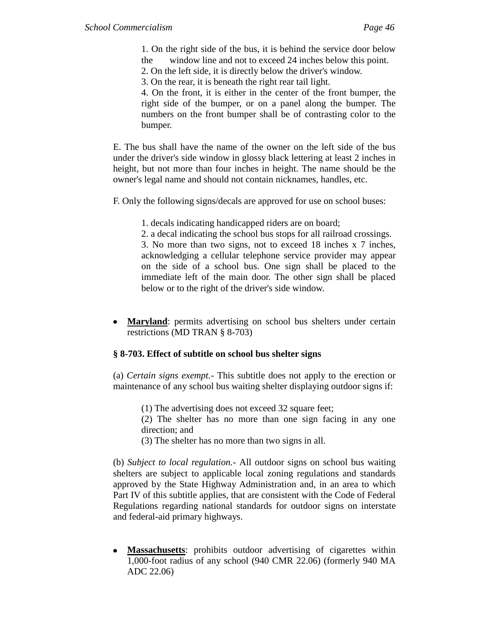1. On the right side of the bus, it is behind the service door below the window line and not to exceed 24 inches below this point.

2. On the left side, it is directly below the driver's window.

3. On the rear, it is beneath the right rear tail light.

4. On the front, it is either in the center of the front bumper, the right side of the bumper, or on a panel along the bumper. The numbers on the front bumper shall be of contrasting color to the bumper.

E. The bus shall have the name of the owner on the left side of the bus under the driver's side window in glossy black lettering at least 2 inches in height, but not more than four inches in height. The name should be the owner's legal name and should not contain nicknames, handles, etc.

F. Only the following signs/decals are approved for use on school buses:

1. decals indicating handicapped riders are on board;

2. a decal indicating the school bus stops for all railroad crossings.

3. No more than two signs, not to exceed 18 inches x 7 inches, acknowledging a cellular telephone service provider may appear on the side of a school bus. One sign shall be placed to the immediate left of the main door. The other sign shall be placed below or to the right of the driver's side window.

**Maryland**: permits advertising on school bus shelters under certain restrictions (MD TRAN § 8-703)

#### **§ 8-703. Effect of subtitle on school bus shelter signs**

(a) *Certain signs exempt.-* This subtitle does not apply to the erection or maintenance of any school bus waiting shelter displaying outdoor signs if:

(1) The advertising does not exceed 32 square feet;

(2) The shelter has no more than one sign facing in any one direction; and

(3) The shelter has no more than two signs in all.

(b) *Subject to local regulation.-* All outdoor signs on school bus waiting shelters are subject to applicable local zoning regulations and standards approved by the State Highway Administration and, in an area to which Part IV of this subtitle applies, that are consistent with the Code of Federal Regulations regarding national standards for outdoor signs on interstate and federal-aid primary highways.

**Massachusetts**: prohibits outdoor advertising of cigarettes within 1,000-foot radius of any school (940 CMR 22.06) (formerly 940 MA ADC 22.06)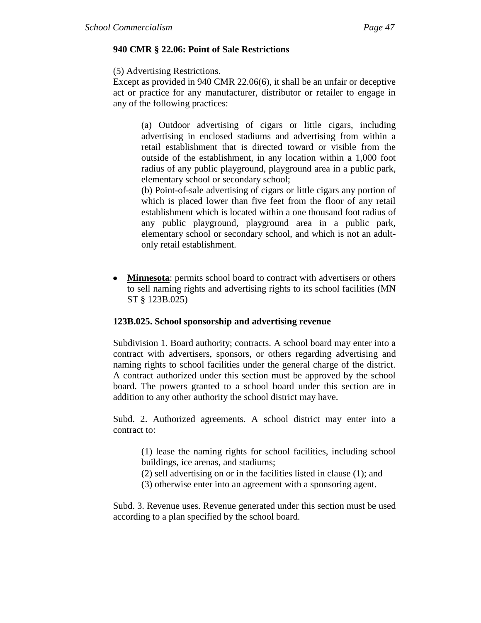## **940 CMR § 22.06: Point of Sale Restrictions**

(5) Advertising Restrictions.

Except as provided in 940 CMR 22.06(6), it shall be an unfair or deceptive act or practice for any manufacturer, distributor or retailer to engage in any of the following practices:

> (a) Outdoor advertising of cigars or little cigars, including advertising in enclosed stadiums and advertising from within a retail establishment that is directed toward or visible from the outside of the establishment, in any location within a 1,000 foot radius of any public playground, playground area in a public park, elementary school or secondary school;

> (b) Point-of-sale advertising of cigars or little cigars any portion of which is placed lower than five feet from the floor of any retail establishment which is located within a one thousand foot radius of any public playground, playground area in a public park, elementary school or secondary school, and which is not an adultonly retail establishment.

**Minnesota**: permits school board to contract with advertisers or others to sell naming rights and advertising rights to its school facilities (MN ST § 123B.025)

#### **123B.025. School sponsorship and advertising revenue**

Subdivision 1. Board authority; contracts. A school board may enter into a contract with advertisers, sponsors, or others regarding advertising and naming rights to school facilities under the general charge of the district. A contract authorized under this section must be approved by the school board. The powers granted to a school board under this section are in addition to any other authority the school district may have.

Subd. 2. Authorized agreements. A school district may enter into a contract to:

(1) lease the naming rights for school facilities, including school buildings, ice arenas, and stadiums;

- (2) sell advertising on or in the facilities listed in clause (1); and
- (3) otherwise enter into an agreement with a sponsoring agent.

Subd. 3. Revenue uses. Revenue generated under this section must be used according to a plan specified by the school board.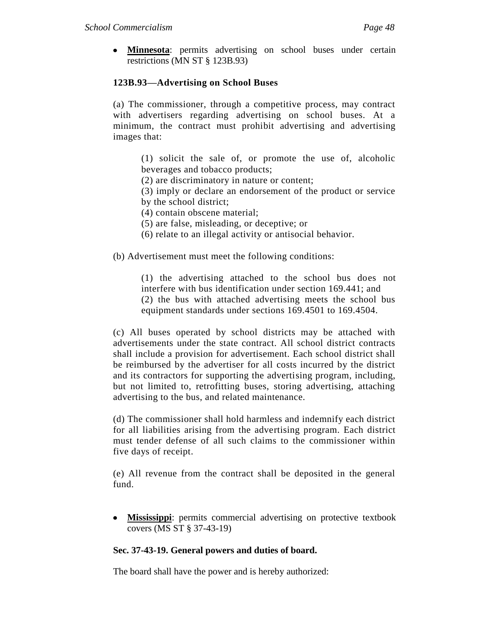**Minnesota**: permits advertising on school buses under certain restrictions (MN ST § 123B.93)

# **123B.93—Advertising on School Buses**

(a) The commissioner, through a competitive process, may contract with advertisers regarding advertising on school buses. At a minimum, the contract must prohibit advertising and advertising images that:

(1) solicit the sale of, or promote the use of, alcoholic beverages and tobacco products;

(2) are discriminatory in nature or content;

(3) imply or declare an endorsement of the product or service by the school district;

(4) contain obscene material;

(5) are false, misleading, or deceptive; or

(6) relate to an illegal activity or antisocial behavior.

(b) Advertisement must meet the following conditions:

(1) the advertising attached to the school bus does not interfere with bus identification under section 169.441; and (2) the bus with attached advertising meets the school bus equipment standards under sections 169.4501 to 169.4504.

(c) All buses operated by school districts may be attached with advertisements under the state contract. All school district contracts shall include a provision for advertisement. Each school district shall be reimbursed by the advertiser for all costs incurred by the district and its contractors for supporting the advertising program, including, but not limited to, retrofitting buses, storing advertising, attaching advertising to the bus, and related maintenance.

(d) The commissioner shall hold harmless and indemnify each district for all liabilities arising from the advertising program. Each district must tender defense of all such claims to the commissioner within five days of receipt.

(e) All revenue from the contract shall be deposited in the general fund.

**Mississippi**: permits commercial advertising on protective textbook covers (MS ST § 37-43-19)

# **Sec. 37-43-19. General powers and duties of board.**

The board shall have the power and is hereby authorized: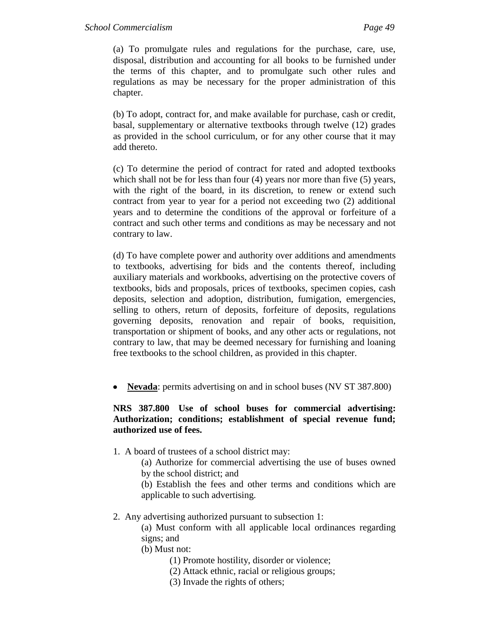(a) To promulgate rules and regulations for the purchase, care, use, disposal, distribution and accounting for all books to be furnished under the terms of this chapter, and to promulgate such other rules and regulations as may be necessary for the proper administration of this chapter.

(b) To adopt, contract for, and make available for purchase, cash or credit, basal, supplementary or alternative textbooks through twelve (12) grades as provided in the school curriculum, or for any other course that it may add thereto.

(c) To determine the period of contract for rated and adopted textbooks which shall not be for less than four (4) years nor more than five (5) years, with the right of the board, in its discretion, to renew or extend such contract from year to year for a period not exceeding two (2) additional years and to determine the conditions of the approval or forfeiture of a contract and such other terms and conditions as may be necessary and not contrary to law.

(d) To have complete power and authority over additions and amendments to textbooks, advertising for bids and the contents thereof, including auxiliary materials and workbooks, advertising on the protective covers of textbooks, bids and proposals, prices of textbooks, specimen copies, cash deposits, selection and adoption, distribution, fumigation, emergencies, selling to others, return of deposits, forfeiture of deposits, regulations governing deposits, renovation and repair of books, requisition, transportation or shipment of books, and any other acts or regulations, not contrary to law, that may be deemed necessary for furnishing and loaning free textbooks to the school children, as provided in this chapter.

• **Nevada**: permits advertising on and in school buses (NV ST 387.800)

# **NRS 387.800 Use of school buses for commercial advertising: Authorization; conditions; establishment of special revenue fund; authorized use of fees.**

- 1. A board of trustees of a school district may:
	- (a) Authorize for commercial advertising the use of buses owned by the school district; and
	- (b) Establish the fees and other terms and conditions which are applicable to such advertising.
- 2. Any advertising authorized pursuant to subsection 1:
	- (a) Must conform with all applicable local ordinances regarding signs; and
	- (b) Must not:
		- (1) Promote hostility, disorder or violence;
		- (2) Attack ethnic, racial or religious groups;
		- (3) Invade the rights of others;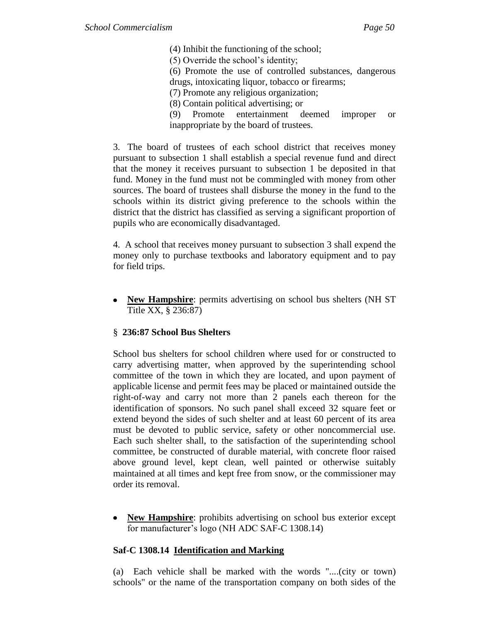(4) Inhibit the functioning of the school; (5) Override the school's identity; (6) Promote the use of controlled substances, dangerous drugs, intoxicating liquor, tobacco or firearms; (7) Promote any religious organization; (8) Contain political advertising; or (9) Promote entertainment deemed improper or inappropriate by the board of trustees.

3. The board of trustees of each school district that receives money pursuant to subsection 1 shall establish a special revenue fund and direct that the money it receives pursuant to subsection 1 be deposited in that fund. Money in the fund must not be commingled with money from other sources. The board of trustees shall disburse the money in the fund to the schools within its district giving preference to the schools within the district that the district has classified as serving a significant proportion of pupils who are economically disadvantaged.

4. A school that receives money pursuant to subsection 3 shall expend the money only to purchase textbooks and laboratory equipment and to pay for field trips.

**New Hampshire**: permits advertising on school bus shelters (NH ST Title XX, § 236:87)

# § **236:87 School Bus Shelters**

School bus shelters for school children where used for or constructed to carry advertising matter, when approved by the superintending school committee of the town in which they are located, and upon payment of applicable license and permit fees may be placed or maintained outside the right-of-way and carry not more than 2 panels each thereon for the identification of sponsors. No such panel shall exceed 32 square feet or extend beyond the sides of such shelter and at least 60 percent of its area must be devoted to public service, safety or other noncommercial use. Each such shelter shall, to the satisfaction of the superintending school committee, be constructed of durable material, with concrete floor raised above ground level, kept clean, well painted or otherwise suitably maintained at all times and kept free from snow, or the commissioner may order its removal.

**New Hampshire**: prohibits advertising on school bus exterior except for manufacturer's logo (NH ADC SAF-C 1308.14)

# **Saf-C 1308.14 Identification and Marking**

(a) Each vehicle shall be marked with the words "....(city or town) schools" or the name of the transportation company on both sides of the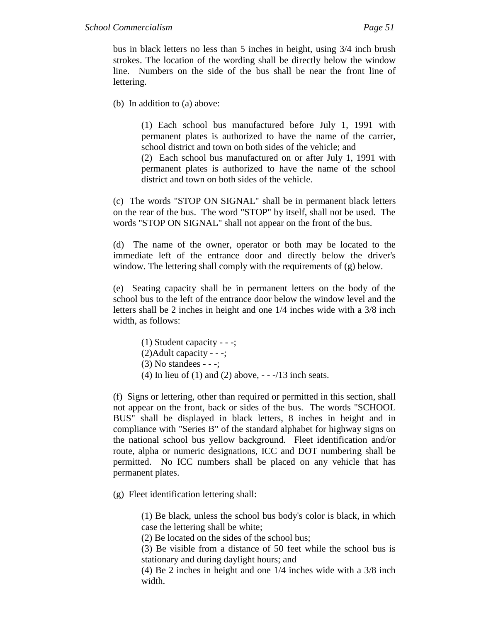bus in black letters no less than 5 inches in height, using 3/4 inch brush strokes. The location of the wording shall be directly below the window line. Numbers on the side of the bus shall be near the front line of lettering.

(b) In addition to (a) above:

(1) Each school bus manufactured before July 1, 1991 with permanent plates is authorized to have the name of the carrier, school district and town on both sides of the vehicle; and (2) Each school bus manufactured on or after July 1, 1991 with permanent plates is authorized to have the name of the school

(c) The words "STOP ON SIGNAL" shall be in permanent black letters on the rear of the bus. The word "STOP" by itself, shall not be used. The words "STOP ON SIGNAL" shall not appear on the front of the bus.

district and town on both sides of the vehicle.

(d) The name of the owner, operator or both may be located to the immediate left of the entrance door and directly below the driver's window. The lettering shall comply with the requirements of (g) below.

(e) Seating capacity shall be in permanent letters on the body of the school bus to the left of the entrance door below the window level and the letters shall be 2 inches in height and one 1/4 inches wide with a 3/8 inch width, as follows:

(1) Student capacity - - -; (2)Adult capacity - - -; (3) No standees - - -; (4) In lieu of (1) and (2) above,  $-$  - $/13$  inch seats.

(f) Signs or lettering, other than required or permitted in this section, shall not appear on the front, back or sides of the bus. The words "SCHOOL BUS" shall be displayed in black letters, 8 inches in height and in compliance with "Series B" of the standard alphabet for highway signs on the national school bus yellow background. Fleet identification and/or route, alpha or numeric designations, ICC and DOT numbering shall be permitted. No ICC numbers shall be placed on any vehicle that has permanent plates.

(g) Fleet identification lettering shall:

(1) Be black, unless the school bus body's color is black, in which case the lettering shall be white;

(2) Be located on the sides of the school bus;

(3) Be visible from a distance of 50 feet while the school bus is stationary and during daylight hours; and

(4) Be 2 inches in height and one 1/4 inches wide with a 3/8 inch width.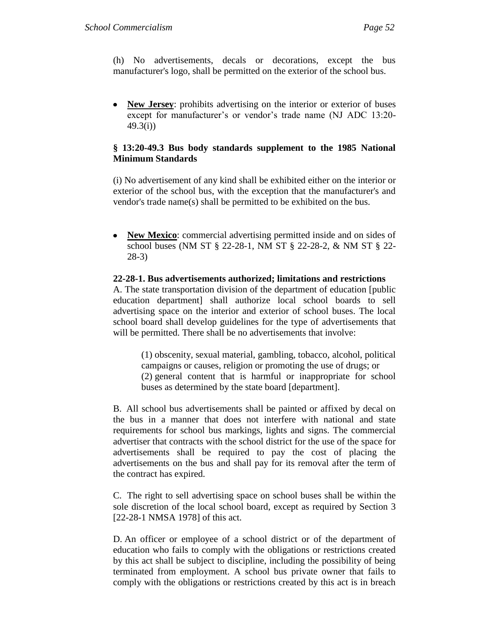(h) No advertisements, decals or decorations, except the bus manufacturer's logo, shall be permitted on the exterior of the school bus.

**New Jersey**: prohibits advertising on the interior or exterior of buses except for manufacturer's or vendor's trade name (NJ ADC 13:20- 49.3(i))

## **§ 13:20-49.3 Bus body standards supplement to the 1985 National Minimum Standards**

(i) No advertisement of any kind shall be exhibited either on the interior or exterior of the school bus, with the exception that the manufacturer's and vendor's trade name(s) shall be permitted to be exhibited on the bus.

 $\bullet$ **New Mexico**: commercial advertising permitted inside and on sides of school buses (NM ST § 22-28-1, NM ST § 22-28-2, & NM ST § 22- 28-3)

#### **[22-28-1. Bus advertisements authorized; limitations and restrictions](http://www.conwaygreene.com/nmsu/lpext.dll?f=FifLink&t=document-frame.htm&l=query&iid=56471360.2780daa8.0.0&q=%5BGroup%20%2722-28-1%27%5D)**

A. The state transportation division of the department of education [public education department] shall authorize local school boards to sell advertising space on the interior and exterior of school buses. The local school board shall develop guidelines for the type of advertisements that will be permitted. There shall be no advertisements that involve:

(1) obscenity, sexual material, gambling, tobacco, alcohol, political campaigns or causes, religion or promoting the use of drugs; or (2) general content that is harmful or inappropriate for school buses as determined by the state board [department].

B. All school bus advertisements shall be painted or affixed by decal on the bus in a manner that does not interfere with national and state requirements for school bus markings, lights and signs. The commercial advertiser that contracts with the school district for the use of the space for advertisements shall be required to pay the cost of placing the advertisements on the bus and shall pay for its removal after the term of the contract has expired.

C. The right to sell advertising space on school buses shall be within the sole discretion of the local school board, except as required by Section 3 [22-28-1 NMSA 1978] of this act.

D. An officer or employee of a school district or of the department of education who fails to comply with the obligations or restrictions created by this act shall be subject to discipline, including the possibility of being terminated from employment. A school bus private owner that fails to comply with the obligations or restrictions created by this act is in breach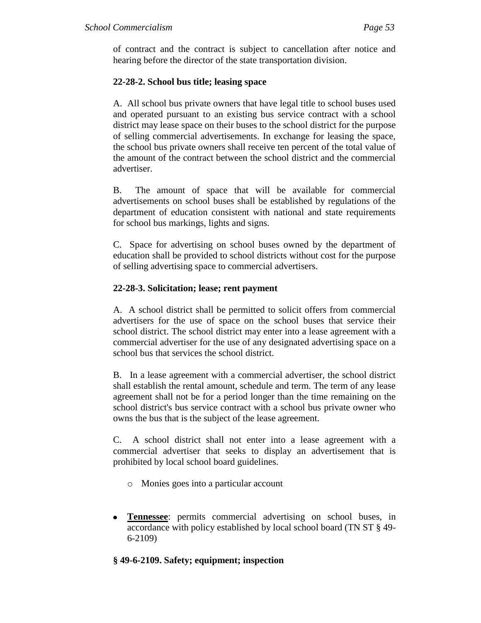of contract and the contract is subject to cancellation after notice and hearing before the director of the state transportation division.

# **22-28-2. School bus title; leasing space**

A. All school bus private owners that have legal title to school buses used and operated pursuant to an existing bus service contract with a school district may lease space on their buses to the school district for the purpose of selling commercial advertisements. In exchange for leasing the space, the school bus private owners shall receive ten percent of the total value of the amount of the contract between the school district and the commercial advertiser.

B. The amount of space that will be available for commercial advertisements on school buses shall be established by regulations of the department of education consistent with national and state requirements for school bus markings, lights and signs.

C. Space for advertising on school buses owned by the department of education shall be provided to school districts without cost for the purpose of selling advertising space to commercial advertisers.

# **22-28-3. Solicitation; lease; rent payment**

A. A school district shall be permitted to solicit offers from commercial advertisers for the use of space on the school buses that service their school district. The school district may enter into a lease agreement with a commercial advertiser for the use of any designated advertising space on a school bus that services the school district.

B. In a lease agreement with a commercial advertiser, the school district shall establish the rental amount, schedule and term. The term of any lease agreement shall not be for a period longer than the time remaining on the school district's bus service contract with a school bus private owner who owns the bus that is the subject of the lease agreement.

C. A school district shall not enter into a lease agreement with a commercial advertiser that seeks to display an advertisement that is prohibited by local school board guidelines.

- o Monies goes into a particular account
- **Tennessee**: permits commercial advertising on school buses, in accordance with policy established by local school board (TN ST § 49- 6-2109)

# **§ 49-6-2109. Safety; equipment; inspection**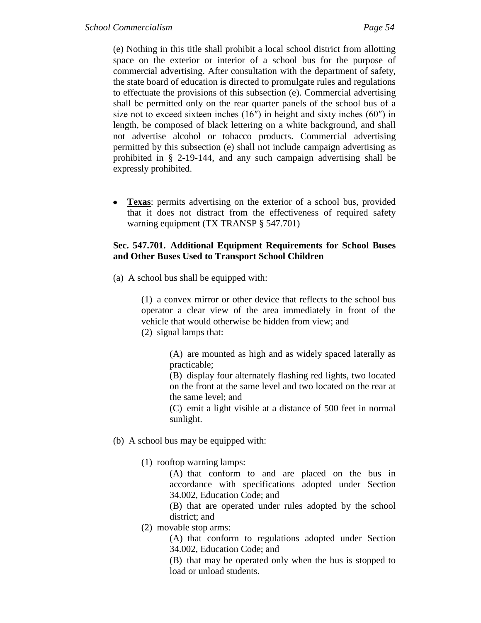(e) Nothing in this title shall prohibit a local school district from allotting space on the exterior or interior of a school bus for the purpose of commercial advertising. After consultation with the department of safety, the state board of education is directed to promulgate rules and regulations to effectuate the provisions of this subsection (e). Commercial advertising shall be permitted only on the rear quarter panels of the school bus of a size not to exceed sixteen inches  $(16'')$  in height and sixty inches  $(60'')$  in length, be composed of black lettering on a white background, and shall not advertise alcohol or tobacco products. Commercial advertising permitted by this subsection (e) shall not include campaign advertising as prohibited in § 2-19-144, and any such campaign advertising shall be expressly prohibited.

**Texas**: permits advertising on the exterior of a school bus, provided that it does not distract from the effectiveness of required safety warning equipment (TX TRANSP § 547.701)

## **Sec. 547.701. Additional Equipment Requirements for School Buses and Other Buses Used to Transport School Children**

(a) A school bus shall be equipped with:

(1) a convex mirror or other device that reflects to the school bus operator a clear view of the area immediately in front of the vehicle that would otherwise be hidden from view; and

(2) signal lamps that:

(A) are mounted as high and as widely spaced laterally as practicable;

(B) display four alternately flashing red lights, two located on the front at the same level and two located on the rear at the same level; and

(C) emit a light visible at a distance of 500 feet in normal sunlight.

- (b) A school bus may be equipped with:
	- (1) rooftop warning lamps:

(A) that conform to and are placed on the bus in accordance with specifications adopted under Section 34.002, Education Code; and

(B) that are operated under rules adopted by the school district; and

(2) movable stop arms:

(A) that conform to regulations adopted under Section 34.002, Education Code; and

(B) that may be operated only when the bus is stopped to load or unload students.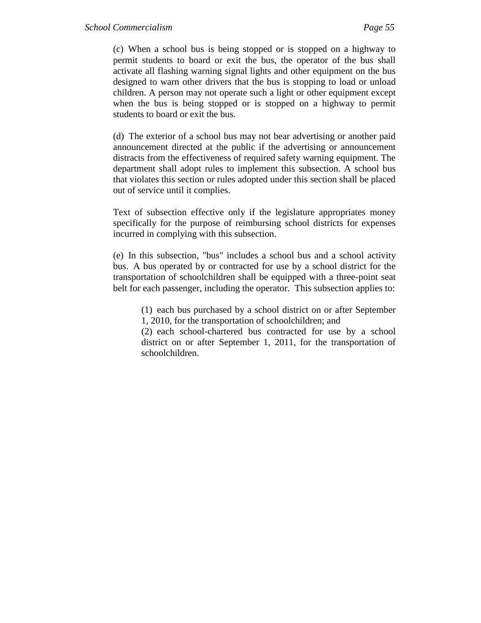(c) When a school bus is being stopped or is stopped on a highway to permit students to board or exit the bus, the operator of the bus shall activate all flashing warning signal lights and other equipment on the bus designed to warn other drivers that the bus is stopping to load or unload children. A person may not operate such a light or other equipment except when the bus is being stopped or is stopped on a highway to permit students to board or exit the bus.

(d) The exterior of a school bus may not bear advertising or another paid announcement directed at the public if the advertising or announcement distracts from the effectiveness of required safety warning equipment. The department shall adopt rules to implement this subsection. A school bus that violates this section or rules adopted under this section shall be placed out of service until it complies.

Text of subsection effective only if the legislature appropriates money specifically for the purpose of reimbursing school districts for expenses incurred in complying with this subsection.

(e) In this subsection, "bus" includes a school bus and a school activity bus. A bus operated by or contracted for use by a school district for the transportation of schoolchildren shall be equipped with a three-point seat belt for each passenger, including the operator. This subsection applies to:

(1) each bus purchased by a school district on or after September 1, 2010, for the transportation of schoolchildren; and

(2) each school-chartered bus contracted for use by a school district on or after September 1, 2011, for the transportation of schoolchildren.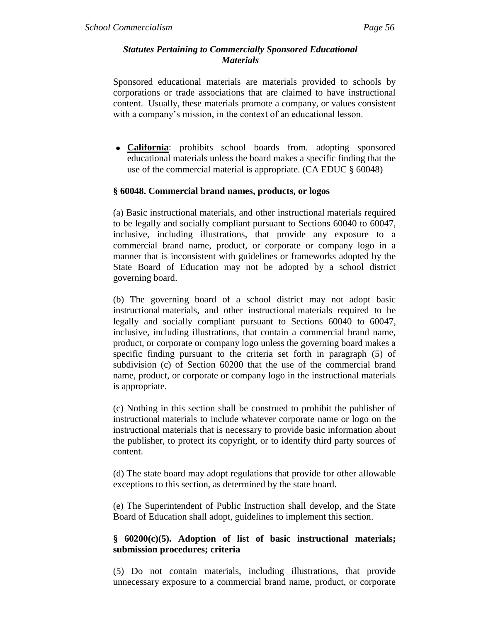#### *Statutes Pertaining to Commercially Sponsored Educational Materials*

Sponsored educational materials are materials provided to schools by corporations or trade associations that are claimed to have instructional content. Usually, these materials promote a company, or values consistent with a company's mission, in the context of an educational lesson.

**California**: prohibits school boards from. adopting sponsored educational materials unless the board makes a specific finding that the use of the commercial material is appropriate. (CA EDUC § 60048)

#### **§ 60048. Commercial brand names, products, or logos**

(a) Basic instructional materials, and other instructional materials required to be legally and socially compliant pursuant to Sections 60040 to 60047, inclusive, including illustrations, that provide any exposure to a commercial brand name, product, or corporate or company logo in a manner that is inconsistent with guidelines or frameworks adopted by the State Board of Education may not be adopted by a school district governing board.

(b) The governing board of a school district may not adopt basic instructional materials, and other instructional materials required to be legally and socially compliant pursuant to Sections 60040 to 60047, inclusive, including illustrations, that contain a commercial brand name, product, or corporate or company logo unless the governing board makes a specific finding pursuant to the criteria set forth in paragraph (5) of subdivision (c) of Section 60200 that the use of the commercial brand name, product, or corporate or company logo in the instructional materials is appropriate.

(c) Nothing in this section shall be construed to prohibit the publisher of instructional materials to include whatever corporate name or logo on the instructional materials that is necessary to provide basic information about the publisher, to protect its copyright, or to identify third party sources of content.

(d) The state board may adopt regulations that provide for other allowable exceptions to this section, as determined by the state board.

(e) The Superintendent of Public Instruction shall develop, and the State Board of Education shall adopt, guidelines to implement this section.

# **§ 60200(c)(5). Adoption of list of basic instructional materials; submission procedures; criteria**

(5) Do not contain materials, including illustrations, that provide unnecessary exposure to a commercial brand name, product, or corporate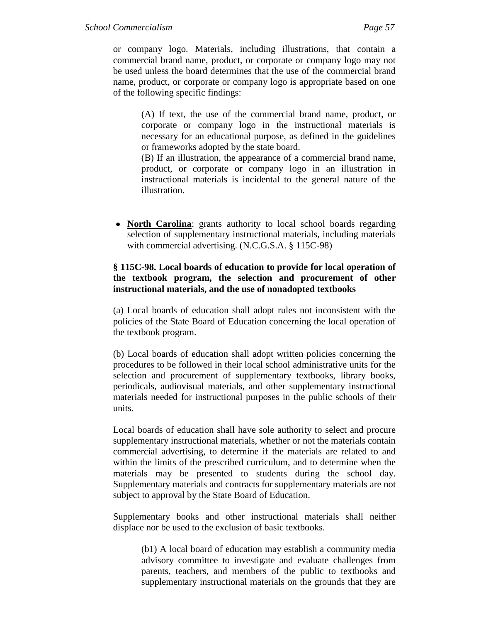or company logo. Materials, including illustrations, that contain a commercial brand name, product, or corporate or company logo may not be used unless the board determines that the use of the commercial brand name, product, or corporate or company logo is appropriate based on one of the following specific findings:

(A) If text, the use of the commercial brand name, product, or corporate or company logo in the instructional materials is necessary for an educational purpose, as defined in the guidelines or frameworks adopted by the state board.

(B) If an illustration, the appearance of a commercial brand name, product, or corporate or company logo in an illustration in instructional materials is incidental to the general nature of the illustration.

• **North Carolina**: grants authority to local school boards regarding selection of supplementary instructional materials, including materials with commercial advertising. (N.C.G.S.A. § 115C-98)

# **§ 115C-98. Local boards of education to provide for local operation of the textbook program, the selection and procurement of other instructional materials, and the use of nonadopted textbooks**

(a) Local boards of education shall adopt rules not inconsistent with the policies of the State Board of Education concerning the local operation of the textbook program.

(b) Local boards of education shall adopt written policies concerning the procedures to be followed in their local school administrative units for the selection and procurement of supplementary textbooks, library books, periodicals, audiovisual materials, and other supplementary instructional materials needed for instructional purposes in the public schools of their units.

Local boards of education shall have sole authority to select and procure supplementary instructional materials, whether or not the materials contain commercial advertising, to determine if the materials are related to and within the limits of the prescribed curriculum, and to determine when the materials may be presented to students during the school day. Supplementary materials and contracts for supplementary materials are not subject to approval by the State Board of Education.

Supplementary books and other instructional materials shall neither displace nor be used to the exclusion of basic textbooks.

(b1) A local board of education may establish a community media advisory committee to investigate and evaluate challenges from parents, teachers, and members of the public to textbooks and supplementary instructional materials on the grounds that they are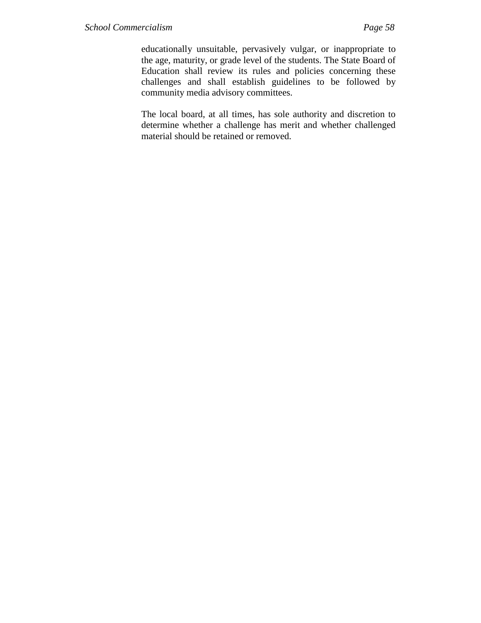educationally unsuitable, pervasively vulgar, or inappropriate to the age, maturity, or grade level of the students. The State Board of Education shall review its rules and policies concerning these challenges and shall establish guidelines to be followed by community media advisory committees.

The local board, at all times, has sole authority and discretion to determine whether a challenge has merit and whether challenged material should be retained or removed.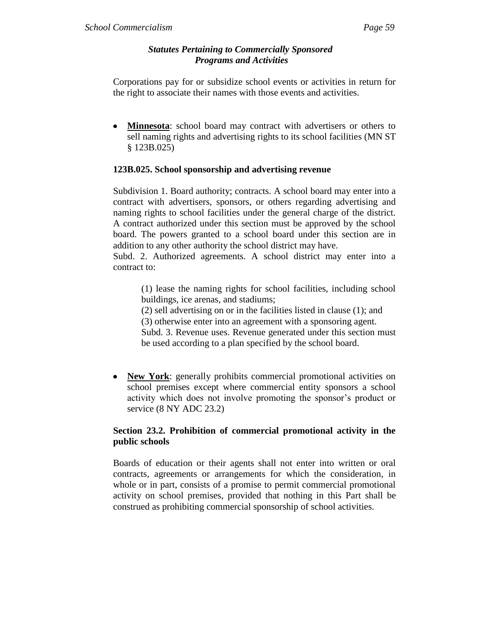#### *Statutes Pertaining to Commercially Sponsored Programs and Activities*

Corporations pay for or subsidize school events or activities in return for the right to associate their names with those events and activities.

**Minnesota**: school board may contract with advertisers or others to sell naming rights and advertising rights to its school facilities (MN ST § 123B.025)

## **123B.025. School sponsorship and advertising revenue**

Subdivision 1. Board authority; contracts. A school board may enter into a contract with advertisers, sponsors, or others regarding advertising and naming rights to school facilities under the general charge of the district. A contract authorized under this section must be approved by the school board. The powers granted to a school board under this section are in addition to any other authority the school district may have.

Subd. 2. Authorized agreements. A school district may enter into a contract to:

(1) lease the naming rights for school facilities, including school buildings, ice arenas, and stadiums;

(2) sell advertising on or in the facilities listed in clause (1); and

(3) otherwise enter into an agreement with a sponsoring agent.

Subd. 3. Revenue uses. Revenue generated under this section must be used according to a plan specified by the school board.

• New York: generally prohibits commercial promotional activities on school premises except where commercial entity sponsors a school activity which does not involve promoting the sponsor's product or service (8 NY ADC 23.2)

# **Section 23.2. Prohibition of commercial promotional activity in the public schools**

Boards of education or their agents shall not enter into written or oral contracts, agreements or arrangements for which the consideration, in whole or in part, consists of a promise to permit commercial promotional activity on school premises, provided that nothing in this Part shall be construed as prohibiting commercial sponsorship of school activities.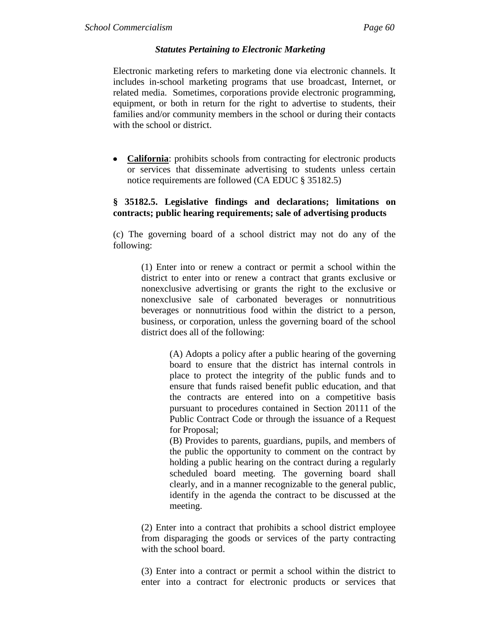#### *Statutes Pertaining to Electronic Marketing*

Electronic marketing refers to marketing done via electronic channels. It includes in-school marketing programs that use broadcast, Internet, or related media. Sometimes, corporations provide electronic programming, equipment, or both in return for the right to advertise to students, their families and/or community members in the school or during their contacts with the school or district.

**California**: prohibits schools from contracting for electronic products or services that disseminate advertising to students unless certain notice requirements are followed (CA EDUC § 35182.5)

#### **§ 35182.5. Legislative findings and declarations; limitations on contracts; public hearing requirements; sale of advertising products**

(c) The governing board of a school district may not do any of the following:

(1) Enter into or renew a contract or permit a school within the district to enter into or renew a contract that grants exclusive or nonexclusive advertising or grants the right to the exclusive or nonexclusive sale of carbonated beverages or nonnutritious beverages or nonnutritious food within the district to a person, business, or corporation, unless the governing board of the school district does all of the following:

> (A) Adopts a policy after a public hearing of the governing board to ensure that the district has internal controls in place to protect the integrity of the public funds and to ensure that funds raised benefit public education, and that the contracts are entered into on a competitive basis pursuant to procedures contained in Section 20111 of the Public Contract Code or through the issuance of a Request for Proposal;

> (B) Provides to parents, guardians, pupils, and members of the public the opportunity to comment on the contract by holding a public hearing on the contract during a regularly scheduled board meeting. The governing board shall clearly, and in a manner recognizable to the general public, identify in the agenda the contract to be discussed at the meeting.

(2) Enter into a contract that prohibits a school district employee from disparaging the goods or services of the party contracting with the school board.

(3) Enter into a contract or permit a school within the district to enter into a contract for electronic products or services that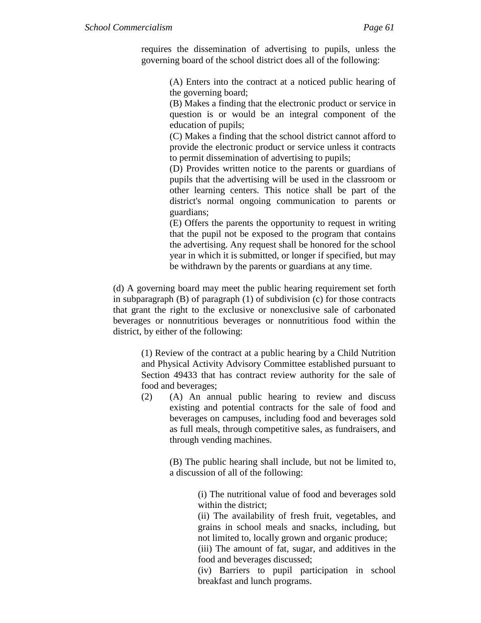requires the dissemination of advertising to pupils, unless the governing board of the school district does all of the following:

> (A) Enters into the contract at a noticed public hearing of the governing board;

> (B) Makes a finding that the electronic product or service in question is or would be an integral component of the education of pupils;

> (C) Makes a finding that the school district cannot afford to provide the electronic product or service unless it contracts to permit dissemination of advertising to pupils;

> (D) Provides written notice to the parents or guardians of pupils that the advertising will be used in the classroom or other learning centers. This notice shall be part of the district's normal ongoing communication to parents or guardians;

> (E) Offers the parents the opportunity to request in writing that the pupil not be exposed to the program that contains the advertising. Any request shall be honored for the school year in which it is submitted, or longer if specified, but may be withdrawn by the parents or guardians at any time.

(d) A governing board may meet the public hearing requirement set forth in subparagraph (B) of paragraph (1) of subdivision (c) for those contracts that grant the right to the exclusive or nonexclusive sale of carbonated beverages or nonnutritious beverages or nonnutritious food within the district, by either of the following:

(1) Review of the contract at a public hearing by a Child Nutrition and Physical Activity Advisory Committee established pursuant to Section 49433 that has contract review authority for the sale of food and beverages;

(2) (A) An annual public hearing to review and discuss existing and potential contracts for the sale of food and beverages on campuses, including food and beverages sold as full meals, through competitive sales, as fundraisers, and through vending machines.

> (B) The public hearing shall include, but not be limited to, a discussion of all of the following:

> > (i) The nutritional value of food and beverages sold within the district;

> > (ii) The availability of fresh fruit, vegetables, and grains in school meals and snacks, including, but not limited to, locally grown and organic produce;

> > (iii) The amount of fat, sugar, and additives in the food and beverages discussed;

> > (iv) Barriers to pupil participation in school breakfast and lunch programs.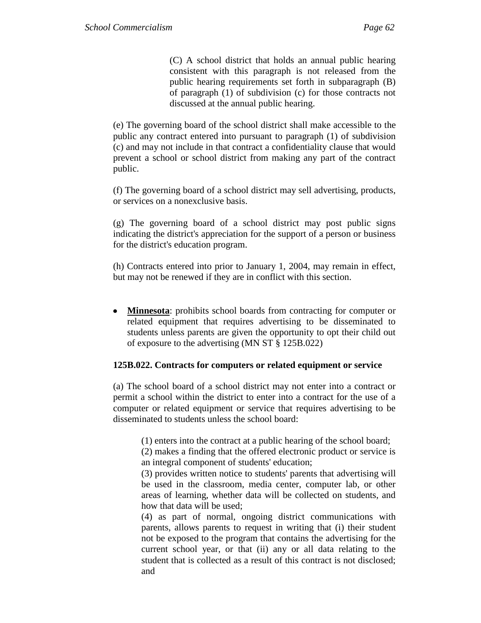(C) A school district that holds an annual public hearing consistent with this paragraph is not released from the public hearing requirements set forth in subparagraph (B) of paragraph (1) of subdivision (c) for those contracts not discussed at the annual public hearing.

(e) The governing board of the school district shall make accessible to the public any contract entered into pursuant to paragraph (1) of subdivision (c) and may not include in that contract a confidentiality clause that would prevent a school or school district from making any part of the contract public.

(f) The governing board of a school district may sell advertising, products, or services on a nonexclusive basis.

(g) The governing board of a school district may post public signs indicating the district's appreciation for the support of a person or business for the district's education program.

(h) Contracts entered into prior to January 1, 2004, may remain in effect, but may not be renewed if they are in conflict with this section.

 $\bullet$ **Minnesota**: prohibits school boards from contracting for computer or related equipment that requires advertising to be disseminated to students unless parents are given the opportunity to opt their child out of exposure to the advertising (MN ST § 125B.022)

#### **125B.022. Contracts for computers or related equipment or service**

(a) The school board of a school district may not enter into a contract or permit a school within the district to enter into a contract for the use of a computer or related equipment or service that requires advertising to be disseminated to students unless the school board:

(1) enters into the contract at a public hearing of the school board;

(2) makes a finding that the offered electronic product or service is an integral component of students' education;

(3) provides written notice to students' parents that advertising will be used in the classroom, media center, computer lab, or other areas of learning, whether data will be collected on students, and how that data will be used;

(4) as part of normal, ongoing district communications with parents, allows parents to request in writing that (i) their student not be exposed to the program that contains the advertising for the current school year, or that (ii) any or all data relating to the student that is collected as a result of this contract is not disclosed; and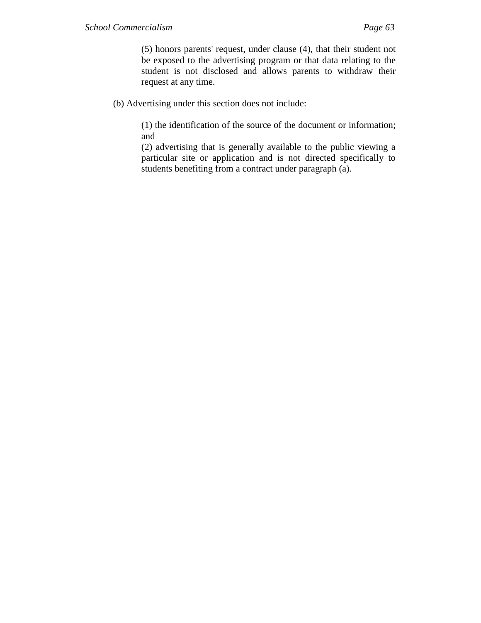(5) honors parents' request, under clause (4), that their student not be exposed to the advertising program or that data relating to the student is not disclosed and allows parents to withdraw their request at any time.

(b) Advertising under this section does not include:

(1) the identification of the source of the document or information; and

(2) advertising that is generally available to the public viewing a particular site or application and is not directed specifically to students benefiting from a contract under paragraph (a).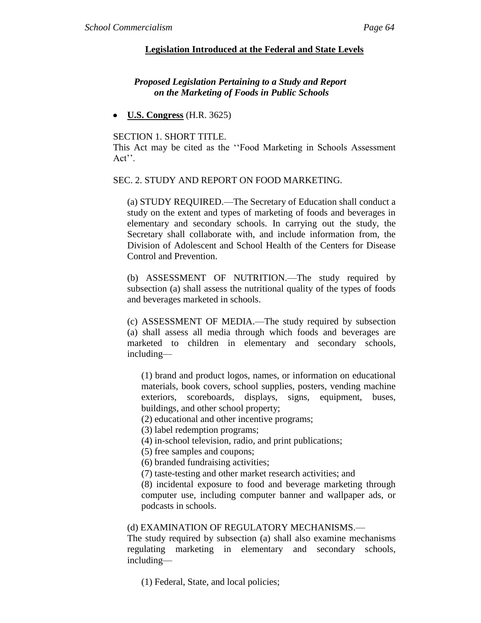#### **Legislation Introduced at the Federal and State Levels**

## *Proposed Legislation Pertaining to a Study and Report on the Marketing of Foods in Public Schools*

**U.S. Congress** (H.R. 3625)

#### SECTION 1. SHORT TITLE.

This Act may be cited as the "Food Marketing in Schools Assessment" Act''.

#### SEC. 2. STUDY AND REPORT ON FOOD MARKETING.

(a) STUDY REQUIRED.—The Secretary of Education shall conduct a study on the extent and types of marketing of foods and beverages in elementary and secondary schools. In carrying out the study, the Secretary shall collaborate with, and include information from, the Division of Adolescent and School Health of the Centers for Disease Control and Prevention.

(b) ASSESSMENT OF NUTRITION.—The study required by subsection (a) shall assess the nutritional quality of the types of foods and beverages marketed in schools.

(c) ASSESSMENT OF MEDIA.—The study required by subsection (a) shall assess all media through which foods and beverages are marketed to children in elementary and secondary schools, including—

(1) brand and product logos, names, or information on educational materials, book covers, school supplies, posters, vending machine exteriors, scoreboards, displays, signs, equipment, buses, buildings, and other school property;

(2) educational and other incentive programs;

(3) label redemption programs;

(4) in-school television, radio, and print publications;

(5) free samples and coupons;

(6) branded fundraising activities;

(7) taste-testing and other market research activities; and

(8) incidental exposure to food and beverage marketing through computer use, including computer banner and wallpaper ads, or podcasts in schools.

#### (d) EXAMINATION OF REGULATORY MECHANISMS.—

The study required by subsection (a) shall also examine mechanisms regulating marketing in elementary and secondary schools, including—

(1) Federal, State, and local policies;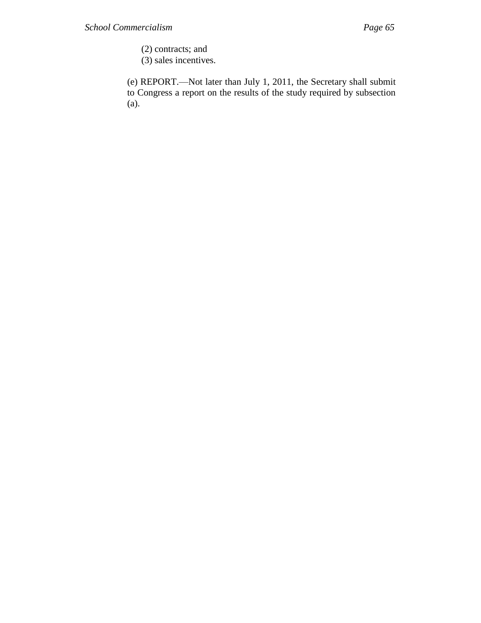- (2) contracts; and
- (3) sales incentives.

(e) REPORT.—Not later than July 1, 2011, the Secretary shall submit to Congress a report on the results of the study required by subsection (a).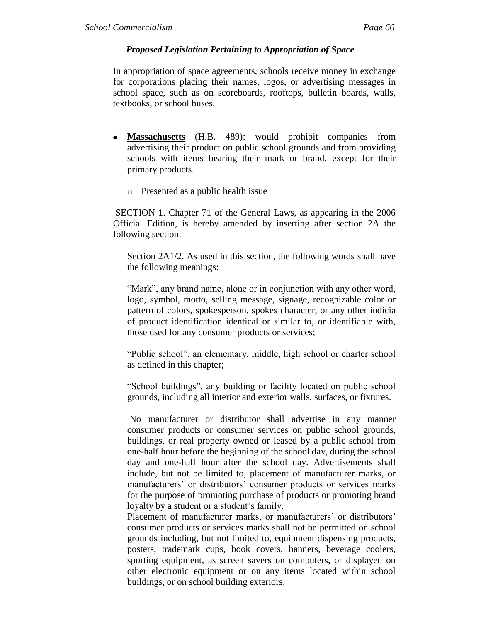## *Proposed Legislation Pertaining to Appropriation of Space*

In appropriation of space agreements, schools receive money in exchange for corporations placing their names, logos, or advertising messages in school space, such as on scoreboards, rooftops, bulletin boards, walls, textbooks, or school buses.

- **Massachusetts** (H.B. 489): would prohibit companies from  $\bullet$ advertising their product on public school grounds and from providing schools with items bearing their mark or brand, except for their primary products.
	- o Presented as a public health issue

SECTION 1. Chapter 71 of the General Laws, as appearing in the 2006 Official Edition, is hereby amended by inserting after section 2A the following section:

Section 2A1/2. As used in this section, the following words shall have the following meanings:

―Mark‖, any brand name, alone or in conjunction with any other word, logo, symbol, motto, selling message, signage, recognizable color or pattern of colors, spokesperson, spokes character, or any other indicia of product identification identical or similar to, or identifiable with, those used for any consumer products or services;

"Public school", an elementary, middle, high school or charter school as defined in this chapter;

―School buildings‖, any building or facility located on public school grounds, including all interior and exterior walls, surfaces, or fixtures.

No manufacturer or distributor shall advertise in any manner consumer products or consumer services on public school grounds, buildings, or real property owned or leased by a public school from one-half hour before the beginning of the school day, during the school day and one-half hour after the school day. Advertisements shall include, but not be limited to, placement of manufacturer marks, or manufacturers' or distributors' consumer products or services marks for the purpose of promoting purchase of products or promoting brand loyalty by a student or a student's family.

Placement of manufacturer marks, or manufacturers' or distributors' consumer products or services marks shall not be permitted on school grounds including, but not limited to, equipment dispensing products, posters, trademark cups, book covers, banners, beverage coolers, sporting equipment, as screen savers on computers, or displayed on other electronic equipment or on any items located within school buildings, or on school building exteriors.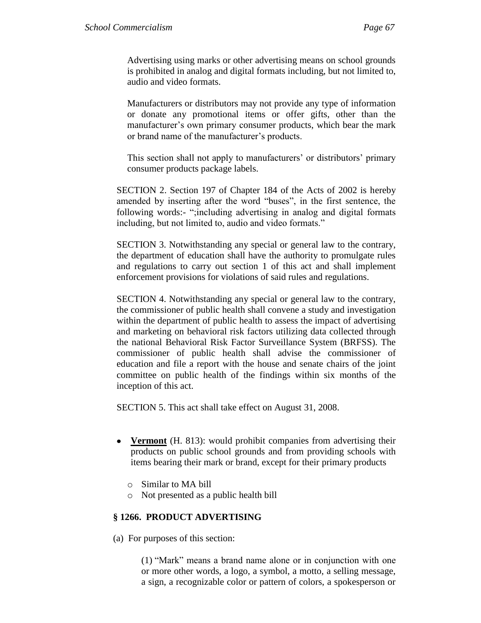Advertising using marks or other advertising means on school grounds is prohibited in analog and digital formats including, but not limited to, audio and video formats.

Manufacturers or distributors may not provide any type of information or donate any promotional items or offer gifts, other than the manufacturer's own primary consumer products, which bear the mark or brand name of the manufacturer's products.

This section shall not apply to manufacturers' or distributors' primary consumer products package labels.

SECTION 2. Section 197 of Chapter 184 of the Acts of 2002 is hereby amended by inserting after the word "buses", in the first sentence, the following words:- ";including advertising in analog and digital formats including, but not limited to, audio and video formats."

SECTION 3. Notwithstanding any special or general law to the contrary, the department of education shall have the authority to promulgate rules and regulations to carry out section 1 of this act and shall implement enforcement provisions for violations of said rules and regulations.

SECTION 4. Notwithstanding any special or general law to the contrary, the commissioner of public health shall convene a study and investigation within the department of public health to assess the impact of advertising and marketing on behavioral risk factors utilizing data collected through the national Behavioral Risk Factor Surveillance System (BRFSS). The commissioner of public health shall advise the commissioner of education and file a report with the house and senate chairs of the joint committee on public health of the findings within six months of the inception of this act.

SECTION 5. This act shall take effect on August 31, 2008.

- **Vermont** (H. 813): would prohibit companies from advertising their products on public school grounds and from providing schools with items bearing their mark or brand, except for their primary products
	- o Similar to MA bill
	- o Not presented as a public health bill

# **§ 1266. PRODUCT ADVERTISING**

(a) For purposes of this section:

 $(1)$  "Mark" means a brand name alone or in conjunction with one or more other words, a logo, a symbol, a motto, a selling message, a sign, a recognizable color or pattern of colors, a spokesperson or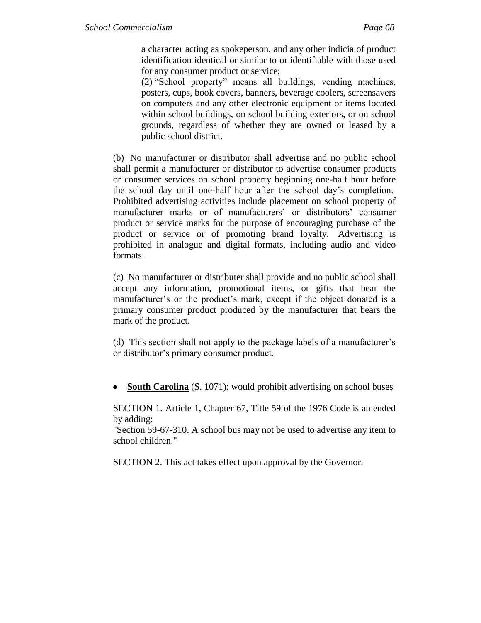a character acting as spokeperson, and any other indicia of product identification identical or similar to or identifiable with those used for any consumer product or service;

(2) "School property" means all buildings, vending machines, posters, cups, book covers, banners, beverage coolers, screensavers on computers and any other electronic equipment or items located within school buildings, on school building exteriors, or on school grounds, regardless of whether they are owned or leased by a public school district.

(b) No manufacturer or distributor shall advertise and no public school shall permit a manufacturer or distributor to advertise consumer products or consumer services on school property beginning one-half hour before the school day until one-half hour after the school day's completion. Prohibited advertising activities include placement on school property of manufacturer marks or of manufacturers' or distributors' consumer product or service marks for the purpose of encouraging purchase of the product or service or of promoting brand loyalty. Advertising is prohibited in analogue and digital formats, including audio and video formats.

(c) No manufacturer or distributer shall provide and no public school shall accept any information, promotional items, or gifts that bear the manufacturer's or the product's mark, except if the object donated is a primary consumer product produced by the manufacturer that bears the mark of the product.

(d) This section shall not apply to the package labels of a manufacturer's or distributor's primary consumer product.

**South Carolina** (S. 1071): would prohibit advertising on school buses

SECTION 1. Article 1, Chapter 67, Title 59 of the 1976 Code is amended by adding:

"Section 59-67-310. A school bus may not be used to advertise any item to school children."

SECTION 2. This act takes effect upon approval by the Governor.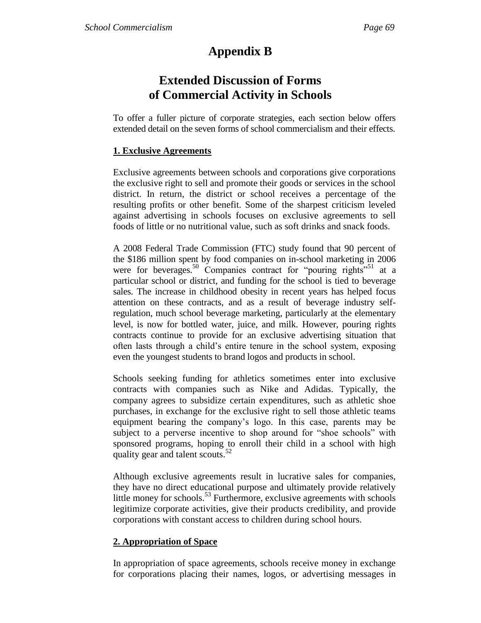# **Appendix B**

# **Extended Discussion of Forms of Commercial Activity in Schools**

To offer a fuller picture of corporate strategies, each section below offers extended detail on the seven forms of school commercialism and their effects.

### **1. Exclusive Agreements**

Exclusive agreements between schools and corporations give corporations the exclusive right to sell and promote their goods or services in the school district. In return, the district or school receives a percentage of the resulting profits or other benefit. Some of the sharpest criticism leveled against advertising in schools focuses on exclusive agreements to sell foods of little or no nutritional value, such as soft drinks and snack foods.

A 2008 Federal Trade Commission (FTC) study found that 90 percent of the \$186 million spent by food companies on in-school marketing in 2006 were for beverages.<sup>50</sup> Companies contract for "pouring rights"<sup>51</sup> at a particular school or district, and funding for the school is tied to beverage sales. The increase in childhood obesity in recent years has helped focus attention on these contracts, and as a result of beverage industry selfregulation, much school beverage marketing, particularly at the elementary level, is now for bottled water, juice, and milk. However, pouring rights contracts continue to provide for an exclusive advertising situation that often lasts through a child's entire tenure in the school system, exposing even the youngest students to brand logos and products in school.

Schools seeking funding for athletics sometimes enter into exclusive contracts with companies such as Nike and Adidas. Typically, the company agrees to subsidize certain expenditures, such as athletic shoe purchases, in exchange for the exclusive right to sell those athletic teams equipment bearing the company's logo. In this case, parents may be subject to a perverse incentive to shop around for "shoe schools" with sponsored programs, hoping to enroll their child in a school with high quality gear and talent scouts.<sup>52</sup>

Although exclusive agreements result in lucrative sales for companies, they have no direct educational purpose and ultimately provide relatively little money for schools.<sup>53</sup> Furthermore, exclusive agreements with schools legitimize corporate activities, give their products credibility, and provide corporations with constant access to children during school hours.

## **2. Appropriation of Space**

In appropriation of space agreements, schools receive money in exchange for corporations placing their names, logos, or advertising messages in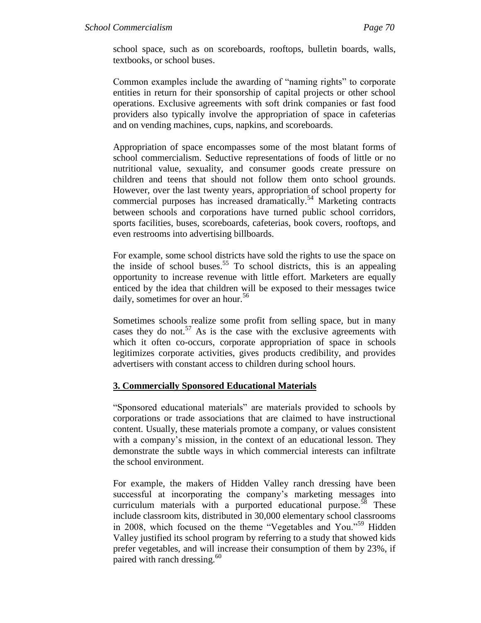school space, such as on scoreboards, rooftops, bulletin boards, walls, textbooks, or school buses.

Common examples include the awarding of "naming rights" to corporate entities in return for their sponsorship of capital projects or other school operations. Exclusive agreements with soft drink companies or fast food providers also typically involve the appropriation of space in cafeterias and on vending machines, cups, napkins, and scoreboards.

Appropriation of space encompasses some of the most blatant forms of school commercialism. Seductive representations of foods of little or no nutritional value, sexuality, and consumer goods create pressure on children and teens that should not follow them onto school grounds. However, over the last twenty years, appropriation of school property for commercial purposes has increased dramatically.<sup>54</sup> Marketing contracts between schools and corporations have turned public school corridors, sports facilities, buses, scoreboards, cafeterias, book covers, rooftops, and even restrooms into advertising billboards.

For example, some school districts have sold the rights to use the space on the inside of school buses.<sup>55</sup> To school districts, this is an appealing opportunity to increase revenue with little effort. Marketers are equally enticed by the idea that children will be exposed to their messages twice daily, sometimes for over an hour.<sup>56</sup>

Sometimes schools realize some profit from selling space, but in many cases they do not.<sup>57</sup> As is the case with the exclusive agreements with which it often co-occurs, corporate appropriation of space in schools legitimizes corporate activities, gives products credibility, and provides advertisers with constant access to children during school hours.

### **3. Commercially Sponsored Educational Materials**

―Sponsored educational materials‖ are materials provided to schools by corporations or trade associations that are claimed to have instructional content. Usually, these materials promote a company, or values consistent with a company's mission, in the context of an educational lesson. They demonstrate the subtle ways in which commercial interests can infiltrate the school environment.

For example, the makers of Hidden Valley ranch dressing have been successful at incorporating the company's marketing messages into curriculum materials with a purported educational purpose. $58$  These include classroom kits, distributed in 30,000 elementary school classrooms in 2008, which focused on the theme "Vegetables and You."<sup>59</sup> Hidden Valley justified its school program by referring to a study that showed kids prefer vegetables, and will increase their consumption of them by 23%, if paired with ranch dressing.<sup>60</sup>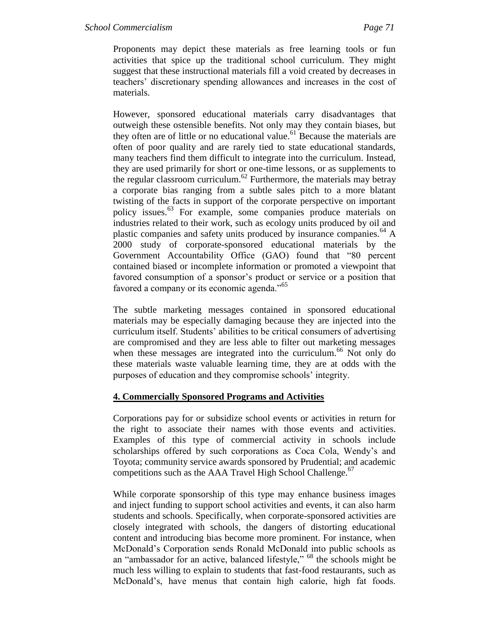Proponents may depict these materials as free learning tools or fun activities that spice up the traditional school curriculum. They might suggest that these instructional materials fill a void created by decreases in teachers' discretionary spending allowances and increases in the cost of materials.

However, sponsored educational materials carry disadvantages that outweigh these ostensible benefits. Not only may they contain biases, but they often are of little or no educational value.<sup>61</sup> Because the materials are often of poor quality and are rarely tied to state educational standards, many teachers find them difficult to integrate into the curriculum. Instead, they are used primarily for short or one-time lessons, or as supplements to the regular classroom curriculum.<sup>62</sup> Furthermore, the materials may betray a corporate bias ranging from a subtle sales pitch to a more blatant twisting of the facts in support of the corporate perspective on important policy issues.<sup>63</sup> For example, some companies produce materials on industries related to their work, such as ecology units produced by oil and plastic companies and safety units produced by insurance companies.<sup>64</sup> A 2000 study of corporate-sponsored educational materials by the Government Accountability Office (GAO) found that "80 percent contained biased or incomplete information or promoted a viewpoint that favored consumption of a sponsor's product or service or a position that favored a company or its economic agenda."<sup>65</sup>

The subtle marketing messages contained in sponsored educational materials may be especially damaging because they are injected into the curriculum itself. Students' abilities to be critical consumers of advertising are compromised and they are less able to filter out marketing messages when these messages are integrated into the curriculum.<sup>66</sup> Not only do these materials waste valuable learning time, they are at odds with the purposes of education and they compromise schools' integrity.

### **4. Commercially Sponsored Programs and Activities**

Corporations pay for or subsidize school events or activities in return for the right to associate their names with those events and activities. Examples of this type of commercial activity in schools include scholarships offered by such corporations as Coca Cola, Wendy's and Toyota; community service awards sponsored by Prudential; and academic competitions such as the AAA Travel High School Challenge.<sup>67</sup>

While corporate sponsorship of this type may enhance business images and inject funding to support school activities and events, it can also harm students and schools. Specifically, when corporate-sponsored activities are closely integrated with schools, the dangers of distorting educational content and introducing bias become more prominent. For instance, when McDonald's Corporation sends Ronald McDonald into public schools as an "ambassador for an active, balanced lifestyle," <sup>68</sup> the schools might be much less willing to explain to students that fast-food restaurants, such as McDonald's, have menus that contain high calorie, high fat foods.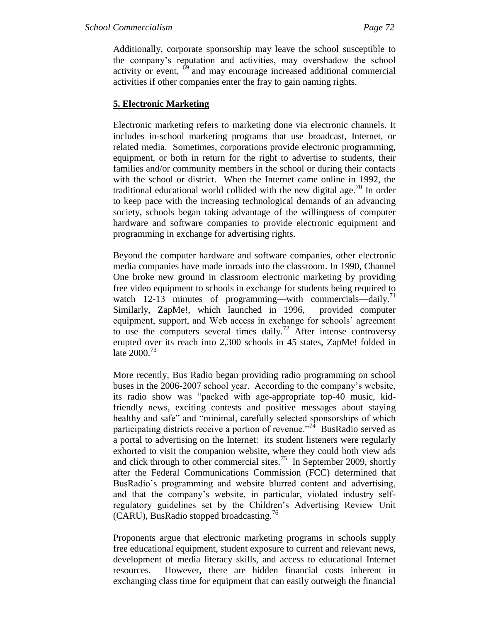Additionally, corporate sponsorship may leave the school susceptible to the company's reputation and activities, may overshadow the school activity or event,  $69$  and may encourage increased additional commercial activities if other companies enter the fray to gain naming rights.

#### **5. Electronic Marketing**

Electronic marketing refers to marketing done via electronic channels. It includes in-school marketing programs that use broadcast, Internet, or related media. Sometimes, corporations provide electronic programming, equipment, or both in return for the right to advertise to students, their families and/or community members in the school or during their contacts with the school or district. When the Internet came online in 1992, the traditional educational world collided with the new digital age.<sup>70</sup> In order to keep pace with the increasing technological demands of an advancing society, schools began taking advantage of the willingness of computer hardware and software companies to provide electronic equipment and programming in exchange for advertising rights.

Beyond the computer hardware and software companies, other electronic media companies have made inroads into the classroom. In 1990, Channel One broke new ground in classroom electronic marketing by providing free video equipment to schools in exchange for students being required to watch 12-13 minutes of programming—with commercials—daily.<sup>71</sup> Similarly, ZapMe!, which launched in 1996, provided computer equipment, support, and Web access in exchange for schools' agreement to use the computers several times daily.<sup>72</sup> After intense controversy erupted over its reach into 2,300 schools in 45 states, ZapMe! folded in late  $2000.^{73}$ 

More recently, Bus Radio began providing radio programming on school buses in the 2006-2007 school year. According to the company's website, its radio show was "packed with age-appropriate top-40 music, kidfriendly news, exciting contests and positive messages about staying healthy and safe" and "minimal, carefully selected sponsorships of which participating districts receive a portion of revenue."<sup>74</sup> BusRadio served as a portal to advertising on the Internet: its student listeners were regularly exhorted to visit the companion website, where they could both view ads and click through to other commercial sites.<sup>75</sup> In September 2009, shortly after the Federal Communications Commission (FCC) determined that BusRadio's programming and website blurred content and advertising, and that the company's website, in particular, violated industry selfregulatory guidelines set by the Children's Advertising Review Unit  $(CARU)$ , BusRadio stopped broadcasting.<sup>76</sup>

Proponents argue that electronic marketing programs in schools supply free educational equipment, student exposure to current and relevant news, development of media literacy skills, and access to educational Internet resources. However, there are hidden financial costs inherent in exchanging class time for equipment that can easily outweigh the financial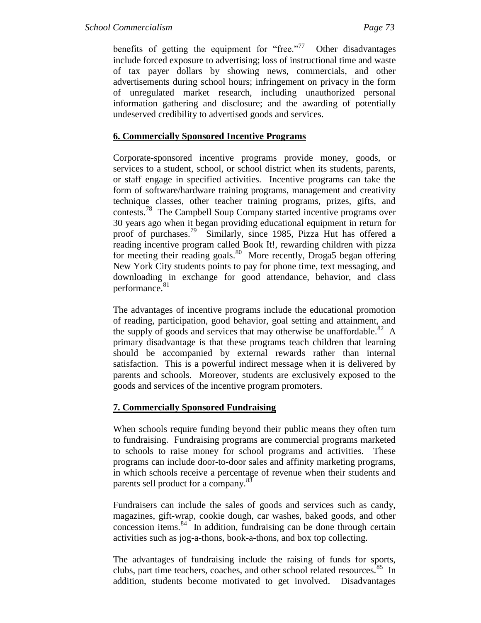benefits of getting the equipment for "free."<sup>77</sup> Other disadvantages include forced exposure to advertising; loss of instructional time and waste of tax payer dollars by showing news, commercials, and other advertisements during school hours; infringement on privacy in the form of unregulated market research, including unauthorized personal information gathering and disclosure; and the awarding of potentially undeserved credibility to advertised goods and services.

### **6. Commercially Sponsored Incentive Programs**

Corporate-sponsored incentive programs provide money, goods, or services to a student, school, or school district when its students, parents, or staff engage in specified activities. Incentive programs can take the form of software/hardware training programs, management and creativity technique classes, other teacher training programs, prizes, gifts, and contests.<sup>78</sup> The Campbell Soup Company started incentive programs over 30 years ago when it began providing educational equipment in return for proof of purchases.<sup>79</sup> Similarly, since 1985, Pizza Hut has offered a reading incentive program called Book It!, rewarding children with pizza for meeting their reading goals.<sup>80</sup> More recently, Droga5 began offering New York City students points to pay for phone time, text messaging, and downloading in exchange for good attendance, behavior, and class performance.<sup>81</sup>

The advantages of incentive programs include the educational promotion of reading, participation, good behavior, goal setting and attainment, and the supply of goods and services that may otherwise be unaffordable.<sup>82</sup> A primary disadvantage is that these programs teach children that learning should be accompanied by external rewards rather than internal satisfaction. This is a powerful indirect message when it is delivered by parents and schools. Moreover, students are exclusively exposed to the goods and services of the incentive program promoters.

### **7. Commercially Sponsored Fundraising**

When schools require funding beyond their public means they often turn to fundraising. Fundraising programs are commercial programs marketed to schools to raise money for school programs and activities. These programs can include door-to-door sales and affinity marketing programs, in which schools receive a percentage of revenue when their students and parents sell product for a company.<sup>83</sup>

Fundraisers can include the sales of goods and services such as candy, magazines, gift-wrap, cookie dough, car washes, baked goods, and other concession items.<sup>84</sup> In addition, fundraising can be done through certain activities such as jog-a-thons, book-a-thons, and box top collecting.

The advantages of fundraising include the raising of funds for sports, clubs, part time teachers, coaches, and other school related resources.<sup>85</sup> In addition, students become motivated to get involved. Disadvantages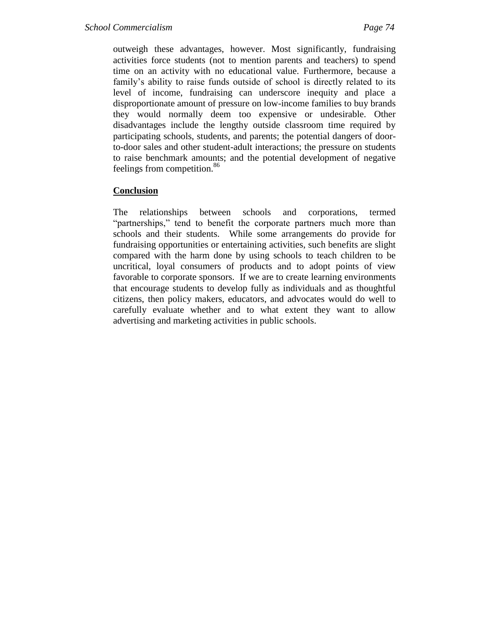outweigh these advantages, however. Most significantly, fundraising activities force students (not to mention parents and teachers) to spend time on an activity with no educational value. Furthermore, because a family's ability to raise funds outside of school is directly related to its level of income, fundraising can underscore inequity and place a disproportionate amount of pressure on low-income families to buy brands they would normally deem too expensive or undesirable. Other disadvantages include the lengthy outside classroom time required by participating schools, students, and parents; the potential dangers of doorto-door sales and other student-adult interactions; the pressure on students to raise benchmark amounts; and the potential development of negative feelings from competition.<sup>86</sup>

### **Conclusion**

The relationships between schools and corporations, termed "partnerships," tend to benefit the corporate partners much more than schools and their students. While some arrangements do provide for fundraising opportunities or entertaining activities, such benefits are slight compared with the harm done by using schools to teach children to be uncritical, loyal consumers of products and to adopt points of view favorable to corporate sponsors. If we are to create learning environments that encourage students to develop fully as individuals and as thoughtful citizens, then policy makers, educators, and advocates would do well to carefully evaluate whether and to what extent they want to allow advertising and marketing activities in public schools.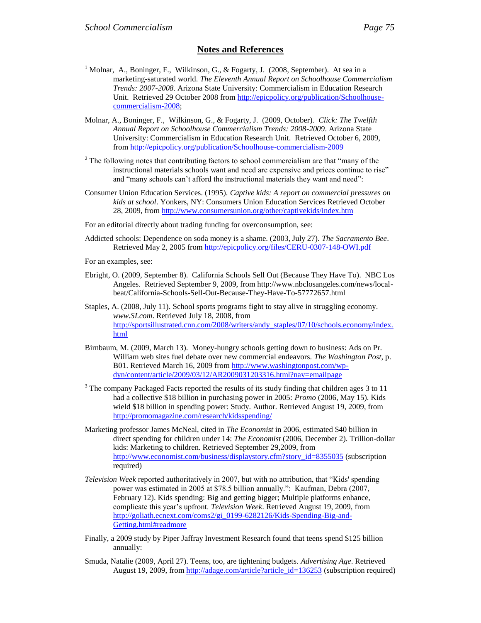#### **Notes and References**

- <sup>1</sup> Molnar, A., Boninger, F., Wilkinson, G., & Fogarty, J. (2008, September). At sea in a marketing-saturated world. *The Eleventh Annual Report on Schoolhouse Commercialism Trends: 2007-2008*. Arizona State University: Commercialism in Education Research Unit. Retrieved 29 October 2008 from [http://epicpolicy.org/publication/Schoolhouse](http://epicpolicy.org/publication/Schoolhouse-commercialism-2008)[commercialism-2008;](http://epicpolicy.org/publication/Schoolhouse-commercialism-2008)
- Molnar, A., Boninger, F., Wilkinson, G., & Fogarty, J. (2009, October). *Click: The Twelfth Annual Report on Schoolhouse Commercialism Trends: 2008-2009*. Arizona State University: Commercialism in Education Research Unit. Retrieved October 6, 2009, from<http://epicpolicy.org/publication/Schoolhouse-commercialism-2009>
- $2^2$  The following notes that contributing factors to school commercialism are that "many of the instructional materials schools want and need are expensive and prices continue to rise" and "many schools can't afford the instructional materials they want and need":
- Consumer Union Education Services. (1995). *Captive kids: A report on commercial pressures on kids at school*. Yonkers, NY: Consumers Union Education Services Retrieved October 28, 2009, from<http://www.consumersunion.org/other/captivekids/index.htm>

For an editorial directly about trading funding for overconsumption, see:

Addicted schools: Dependence on soda money is a shame. (2003, July 27). *The Sacramento Bee*. Retrieved May 2, 2005 fro[m http://epicpolicy.org/files/CERU-0307-148-OWI.pdf](http://epicpolicy.org/files/CERU-0307-148-OWI.pdf)

For an examples, see:

- Ebright, O. (2009, September 8). California Schools Sell Out (Because They Have To). NBC Los Angeles. Retrieved September 9, 2009, from http://www.nbclosangeles.com/news/localbeat/California-Schools-Sell-Out-Because-They-Have-To-57772657.html
- Staples, A. (2008, July 11). School sports programs fight to stay alive in struggling economy. *www.SI.com*. Retrieved July 18, 2008, from [http://sportsillustrated.cnn.com/2008/writers/andy\\_staples/07/10/schools.economy/index.](http://sportsillustrated.cnn.com/2008/writers/andy_staples/07/10/schools.economy/index.html) [html](http://sportsillustrated.cnn.com/2008/writers/andy_staples/07/10/schools.economy/index.html)
- Birnbaum, M. (2009, March 13). Money-hungry schools getting down to business: Ads on Pr. William web sites fuel debate over new commercial endeavors. *The Washington Post*, p. B01. Retrieved March 16, 2009 from [http://www.washingtonpost.com/wp](http://www.washingtonpost.com/wp-dyn/content/article/2009/03/12/AR2009031203316.html?nav=emailpage)[dyn/content/article/2009/03/12/AR2009031203316.html?nav=emailpage](http://www.washingtonpost.com/wp-dyn/content/article/2009/03/12/AR2009031203316.html?nav=emailpage)
- $3$  The company Packaged Facts reported the results of its study finding that children ages 3 to 11 had a collective \$18 billion in purchasing power in 2005: *Promo* (2006, May 15). Kids wield \$18 billion in spending power: Study. Author. Retrieved August 19, 2009, from <http://promomagazine.com/research/kidsspending/>
- Marketing professor James McNeal, cited in *The Economist* in 2006, estimated \$40 billion in direct spending for children under 14: *The Economist* (2006, December 2). Trillion-dollar kids: Marketing to children. Retrieved September 29,2009, from [http://www.economist.com/business/displaystory.cfm?story\\_id=8355035](http://www.economist.com/business/displaystory.cfm?story_id=8355035) (subscription required)
- *Television Week* reported authoritatively in 2007, but with no attribution, that "Kids' spending power was estimated in 2005 at \$78.5 billion annually.": Kaufman, Debra (2007, February 12). Kids spending: Big and getting bigger; Multiple platforms enhance, complicate this year's upfront. *Television Week*. Retrieved August 19, 2009, from [http://goliath.ecnext.com/coms2/gi\\_0199-6282126/Kids-Spending-Big-and-](http://goliath.ecnext.com/coms2/gi_0199-6282126/Kids-Spending-Big-and-Getting.html#readmore)[Getting.html#readmore](http://goliath.ecnext.com/coms2/gi_0199-6282126/Kids-Spending-Big-and-Getting.html#readmore)
- Finally, a 2009 study by Piper Jaffray Investment Research found that teens spend \$125 billion annually:
- Smuda, Natalie (2009, April 27). Teens, too, are tightening budgets. *Advertising Age*. Retrieved August 19, 2009, from [http://adage.com/article?article\\_id=136253](http://adage.com/article?article_id=136253) (subscription required)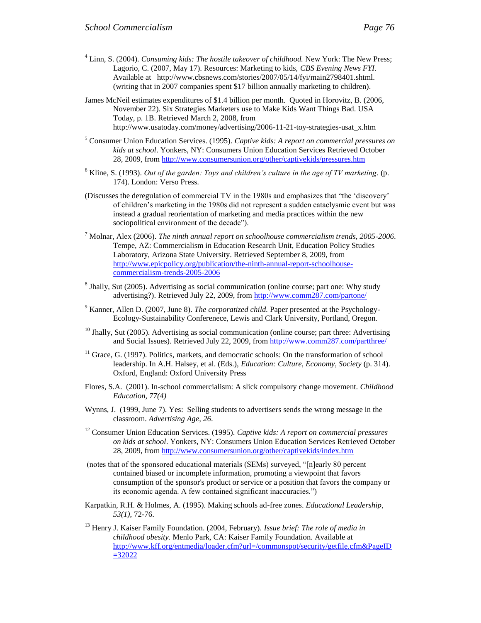- <sup>4</sup> Linn, S. (2004). *Consuming kids: The hostile takeover of childhood.* New York: The New Press; Lagorio, C. (2007, May 17). Resources: Marketing to kids, *CBS Evening News FYI*. Available at http://www.cbsnews.com/stories/2007/05/14/fyi/main2798401.shtml. (writing that in 2007 companies spent \$17 billion annually marketing to children).
- James McNeil estimates expenditures of \$1.4 billion per month. Quoted in Horovitz, B. (2006, November 22). Six Strategies Marketers use to Make Kids Want Things Bad. USA Today, p. 1B. Retrieved March 2, 2008, from http://www.usatoday.com/money/advertising/2006-11-21-toy-strategies-usat\_x.htm
- <sup>5</sup> Consumer Union Education Services. (1995). *Captive kids: A report on commercial pressures on kids at school*. Yonkers, NY: Consumers Union Education Services Retrieved October 28, 2009, from<http://www.consumersunion.org/other/captivekids/pressures.htm>
- $6$  Kline, S. (1993). *Out of the garden: Toys and children's culture in the age of TV marketing.* (p. 174). London: Verso Press.
- (Discusses the deregulation of commercial TV in the 1980s and emphasizes that "the 'discovery' of children's marketing in the 1980s did not represent a sudden cataclysmic event but was instead a gradual reorientation of marketing and media practices within the new sociopolitical environment of the decade").
- <sup>7</sup> Molnar, Alex (2006). *The ninth annual report on schoolhouse commercialism trends, 2005-2006*. Tempe, AZ: Commercialism in Education Research Unit, Education Policy Studies Laboratory, Arizona State University. Retrieved September 8, 2009, from [http://www.epicpolicy.org/publication/the-ninth-annual-report-schoolhouse](http://www.epicpolicy.org/publication/the-ninth-annual-report-schoolhouse-commercialism-trends-2005-2006)[commercialism-trends-2005-2006](http://www.epicpolicy.org/publication/the-ninth-annual-report-schoolhouse-commercialism-trends-2005-2006)
- <sup>8</sup> Jhally, Sut (2005). Advertising as social communication (online course; part one: Why study advertising?). Retrieved July 22, 2009, fro[m http://www.comm287.com/partone/](http://www.comm287.com/partone/)
- <sup>9</sup> Kanner, Allen D. (2007, June 8). *The corporatized child.* Paper presented at the Psychology-Ecology-Sustainability Conferenece, Lewis and Clark University, Portland, Oregon.
- $10$  Jhally, Sut (2005). Advertising as social communication (online course; part three: Advertising and Social Issues). Retrieved July 22, 2009, fro[m http://www.comm287.com/partthree/](http://www.comm287.com/partthree/)
- $11$  Grace, G. (1997). Politics, markets, and democratic schools: On the transformation of school leadership. In A.H. Halsey, et al. (Eds.), *Education: Culture, Economy, Society* (p. 314). Oxford, England: Oxford University Press
- Flores, S.A. (2001). In-school commercialism: A slick compulsory change movement. *Childhood Education, 77(4)*
- Wynns, J. (1999, June 7). Yes: Selling students to advertisers sends the wrong message in the classroom. *Advertising Age, 26*.
- <sup>12</sup> Consumer Union Education Services. (1995). *Captive kids: A report on commercial pressures on kids at school*. Yonkers, NY: Consumers Union Education Services Retrieved October 28, 2009, from<http://www.consumersunion.org/other/captivekids/index.htm>
- (notes that of the sponsored educational materials (SEMs) surveyed, "[n]early 80 percent contained biased or incomplete information, promoting a viewpoint that favors consumption of the sponsor's product or service or a position that favors the company or its economic agenda. A few contained significant inaccuracies.")
- Karpatkin, R.H. & Holmes, A. (1995). Making schools ad-free zones. *Educational Leadership*, *53(1)*, 72-76.
- <sup>13</sup> Henry J. Kaiser Family Foundation. (2004, February). *Issue brief: The role of media in childhood obesity.* Menlo Park, CA: Kaiser Family Foundation. Available at [http://www.kff.org/entmedia/loader.cfm?url=/commonspot/security/getfile.cfm&PageID](http://www.kff.org/entmedia/loader.cfm?url=/commonspot/security/getfile.cfm&PageID=32022)  $=32022$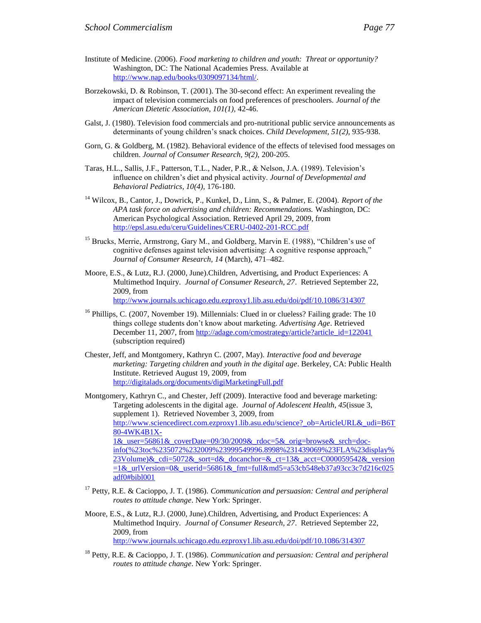- Borzekowski, D. & Robinson, T. (2001). The 30-second effect: An experiment revealing the impact of television commercials on food preferences of preschoolers. *Journal of the American Dietetic Association, 101(1),* 42-46.
- Galst, J. (1980). Television food commercials and pro-nutritional public service announcements as determinants of young children's snack choices. *Child Development, 51(2),* 935-938.
- Gorn, G. & Goldberg, M. (1982). Behavioral evidence of the effects of televised food messages on children. *Journal of Consumer Research, 9(2),* 200-205.
- Taras, H.L., Sallis, J.F., Patterson, T.L., Nader, P.R., & Nelson, J.A. (1989). Television's influence on children's diet and physical activity. *Journal of Developmental and Behavioral Pediatrics, 10(4),* 176-180.
- <sup>14</sup> Wilcox, B., Cantor, J., Dowrick, P., Kunkel, D., Linn, S., & Palmer, E. (2004). *Report of the APA task force on advertising and children: Recommendations.* Washington, DC: American Psychological Association. Retrieved April 29, 2009, from <http://epsl.asu.edu/ceru/Guidelines/CERU-0402-201-RCC.pdf>
- <sup>15</sup> Brucks, Merrie, Armstrong, Gary M., and Goldberg, Marvin E. (1988), "Children's use of cognitive defenses against television advertising: A cognitive response approach," *Journal of Consumer Research, 14* (March), 471–482.
- Moore, E.S., & Lutz, R.J. (2000, June).Children, Advertising, and Product Experiences: A Multimethod Inquiry. *Journal of Consumer Research, 27*. Retrieved September 22, 2009, from <http://www.journals.uchicago.edu.ezproxy1.lib.asu.edu/doi/pdf/10.1086/314307>
- <sup>16</sup> Phillips, C. (2007, November 19). Millennials: Clued in or clueless? Failing grade: The 10 things college students don't know about marketing. *Advertising Age*. Retrieved December 11, 2007, fro[m http://adage.com/cmostrategy/article?article\\_id=122041](http://adage.com/cmostrategy/article?article_id=122041) (subscription required)
- Chester, Jeff, and Montgomery, Kathryn C. (2007, May). *Interactive food and beverage marketing: Targeting children and youth in the digital age*. Berkeley, CA: Public Health Institute. Retrieved August 19, 2009, from <http://digitalads.org/documents/digiMarketingFull.pdf>

Montgomery, Kathryn C., and Chester, Jeff (2009). Interactive food and beverage marketing: Targeting adolescents in the digital age. *Journal of Adolescent Health, 45*(issue 3, supplement 1). Retrieved November 3, 2009, from [http://www.sciencedirect.com.ezproxy1.lib.asu.edu/science?\\_ob=ArticleURL&\\_udi=B6T](http://www.sciencedirect.com.ezproxy1.lib.asu.edu/science?_ob=ArticleURL&_udi=B6T80-4WK4B1X-1&_user=56861&_coverDate=09/30/2009&_rdoc=5&_orig=browse&_srch=doc-info(%23toc%235072%232009%23999549996.8998%231439069%23FLA%23display%23Volume)&_cdi=5072&_sort=d&_docanchor=&_ct=13&_acct=C000059542&_version=1&_urlVersion=0&_userid=56861&_fmt=full&md5=a53cb548eb37a93cc3c7d216c025adf0#bibl001) [80-4WK4B1X-](http://www.sciencedirect.com.ezproxy1.lib.asu.edu/science?_ob=ArticleURL&_udi=B6T80-4WK4B1X-1&_user=56861&_coverDate=09/30/2009&_rdoc=5&_orig=browse&_srch=doc-info(%23toc%235072%232009%23999549996.8998%231439069%23FLA%23display%23Volume)&_cdi=5072&_sort=d&_docanchor=&_ct=13&_acct=C000059542&_version=1&_urlVersion=0&_userid=56861&_fmt=full&md5=a53cb548eb37a93cc3c7d216c025adf0#bibl001)[1&\\_user=56861&\\_coverDate=09/30/2009&\\_rdoc=5&\\_orig=browse&\\_srch=doc](http://www.sciencedirect.com.ezproxy1.lib.asu.edu/science?_ob=ArticleURL&_udi=B6T80-4WK4B1X-1&_user=56861&_coverDate=09/30/2009&_rdoc=5&_orig=browse&_srch=doc-info(%23toc%235072%232009%23999549996.8998%231439069%23FLA%23display%23Volume)&_cdi=5072&_sort=d&_docanchor=&_ct=13&_acct=C000059542&_version=1&_urlVersion=0&_userid=56861&_fmt=full&md5=a53cb548eb37a93cc3c7d216c025adf0#bibl001)[info\(%23toc%235072%232009%23999549996.8998%231439069%23FLA%23display%](http://www.sciencedirect.com.ezproxy1.lib.asu.edu/science?_ob=ArticleURL&_udi=B6T80-4WK4B1X-1&_user=56861&_coverDate=09/30/2009&_rdoc=5&_orig=browse&_srch=doc-info(%23toc%235072%232009%23999549996.8998%231439069%23FLA%23display%23Volume)&_cdi=5072&_sort=d&_docanchor=&_ct=13&_acct=C000059542&_version=1&_urlVersion=0&_userid=56861&_fmt=full&md5=a53cb548eb37a93cc3c7d216c025adf0#bibl001) [23Volume\)&\\_cdi=5072&\\_sort=d&\\_docanchor=&\\_ct=13&\\_acct=C000059542&\\_version](http://www.sciencedirect.com.ezproxy1.lib.asu.edu/science?_ob=ArticleURL&_udi=B6T80-4WK4B1X-1&_user=56861&_coverDate=09/30/2009&_rdoc=5&_orig=browse&_srch=doc-info(%23toc%235072%232009%23999549996.8998%231439069%23FLA%23display%23Volume)&_cdi=5072&_sort=d&_docanchor=&_ct=13&_acct=C000059542&_version=1&_urlVersion=0&_userid=56861&_fmt=full&md5=a53cb548eb37a93cc3c7d216c025adf0#bibl001)  $=1$ & urlVersion=0& userid=56861& fmt=full&md5=a53cb548eb37a93cc3c7d216c025 [adf0#bibl001](http://www.sciencedirect.com.ezproxy1.lib.asu.edu/science?_ob=ArticleURL&_udi=B6T80-4WK4B1X-1&_user=56861&_coverDate=09/30/2009&_rdoc=5&_orig=browse&_srch=doc-info(%23toc%235072%232009%23999549996.8998%231439069%23FLA%23display%23Volume)&_cdi=5072&_sort=d&_docanchor=&_ct=13&_acct=C000059542&_version=1&_urlVersion=0&_userid=56861&_fmt=full&md5=a53cb548eb37a93cc3c7d216c025adf0#bibl001)

- <sup>17</sup> Petty, R.E. & Cacioppo, J. T. (1986). *Communication and persuasion: Central and peripheral routes to attitude change*. New York: Springer.
- Moore, E.S., & Lutz, R.J. (2000, June).Children, Advertising, and Product Experiences: A Multimethod Inquiry. *Journal of Consumer Research, 27*. Retrieved September 22, 2009, from <http://www.journals.uchicago.edu.ezproxy1.lib.asu.edu/doi/pdf/10.1086/314307>
- <sup>18</sup> Petty, R.E. & Cacioppo, J. T. (1986). *Communication and persuasion: Central and peripheral routes to attitude change*. New York: Springer.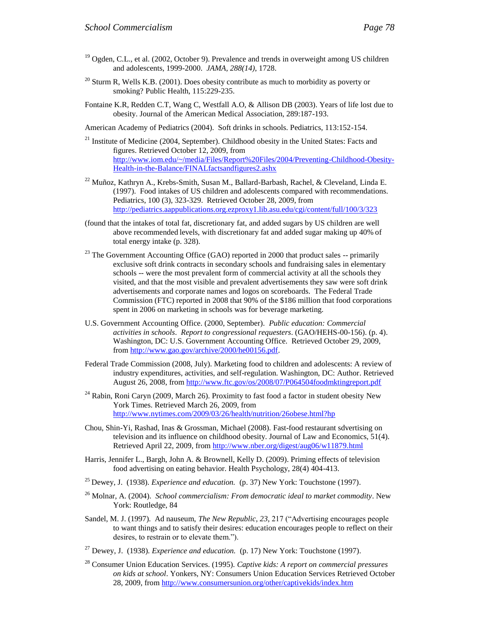- $19$  Ogden, C.L., et al. (2002, October 9). Prevalence and trends in overweight among US children and adolescents, 1999-2000. *JAMA, 288(14)*, 1728.
- $^{20}$  Sturm R, Wells K.B. (2001). Does obesity contribute as much to morbidity as poverty or smoking? Public Health, 115:229-235.
- Fontaine K.R, Redden C.T, Wang C, Westfall A.O, & Allison DB (2003). Years of life lost due to obesity. Journal of the American Medical Association, 289:187-193.

American Academy of Pediatrics (2004). Soft drinks in schools. Pediatrics, 113:152-154.

- <sup>21</sup> Institute of Medicine (2004, September). Childhood obesity in the United States: Facts and figures. Retrieved October 12, 2009, from [http://www.iom.edu/~/media/Files/Report%20Files/2004/Preventing-Childhood-Obesity-](http://www.iom.edu/~/media/Files/Report%20Files/2004/Preventing-Childhood-Obesity-Health-in-the-Balance/FINALfactsandfigures2.ashx)[Health-in-the-Balance/FINALfactsandfigures2.ashx](http://www.iom.edu/~/media/Files/Report%20Files/2004/Preventing-Childhood-Obesity-Health-in-the-Balance/FINALfactsandfigures2.ashx)
- $^{22}$  Muñoz, Kathryn A., Krebs-Smith, Susan M., Ballard-Barbash, Rachel, & Cleveland, Linda E. (1997). Food intakes of US children and adolescents compared with recommendations. Pediatrics, 100 (3), 323-329. Retrieved October 28, 2009, from <http://pediatrics.aappublications.org.ezproxy1.lib.asu.edu/cgi/content/full/100/3/323>
- (found that the intakes of total fat, discretionary fat, and added sugars by US children are well above recommended levels, with discretionary fat and added sugar making up 40% of total energy intake (p. 328).
- $23$  The Government Accounting Office (GAO) reported in 2000 that product sales  $-$  primarily exclusive soft drink contracts in secondary schools and fundraising sales in elementary schools -- were the most prevalent form of commercial activity at all the schools they visited, and that the most visible and prevalent advertisements they saw were soft drink advertisements and corporate names and logos on scoreboards. The Federal Trade Commission (FTC) reported in 2008 that 90% of the \$186 million that food corporations spent in 2006 on marketing in schools was for beverage marketing.
- U.S. Government Accounting Office. (2000, September). *Public education: Commercial activities in schools*. *Report to congressional requesters*. (GAO/HEHS-00-156). (p. 4). Washington, DC: U.S. Government Accounting Office. Retrieved October 29, 2009, from [http://www.gao.gov/archive/2000/he00156.pdf.](http://www.gao.gov/archive/2000/he00156.pdf)
- Federal Trade Commission (2008, July). Marketing food to children and adolescents: A review of industry expenditures, activities, and self-regulation. Washington, DC: Author. Retrieved August 26, 2008, from<http://www.ftc.gov/os/2008/07/P064504foodmktingreport.pdf>
- <sup>24</sup> Rabin, Roni Caryn (2009, March 26). Proximity to fast food a factor in student obesity New York Times. Retrieved March 26, 2009, from <http://www.nytimes.com/2009/03/26/health/nutrition/26obese.html?hp>
- Chou, Shin-Yi, Rashad, Inas & Grossman, Michael (2008). Fast-food restaurant sdvertising on television and its influence on childhood obesity. Journal of Law and Economics, 51(4). Retrieved April 22, 2009, from<http://www.nber.org/digest/aug06/w11879.html>
- Harris, Jennifer L., Bargh, John A. & Brownell, Kelly D. (2009). Priming effects of television food advertising on eating behavior. Health Psychology, 28(4) 404-413.
- <sup>25</sup> Dewey, J. (1938). *Experience and education.* (p. 37) New York: Touchstone (1997).
- <sup>26</sup> Molnar, A. (2004). *School commercialism: From democratic ideal to market commodity*. New York: Routledge, 84
- Sandel, M. J. (1997). Ad nauseum, *The New Republic*, 23, 217 ("Advertising encourages people to want things and to satisfy their desires: education encourages people to reflect on their desires, to restrain or to elevate them.").
- <sup>27</sup> Dewey, J. (1938). *Experience and education.* (p. 17) New York: Touchstone (1997).
- <sup>28</sup> Consumer Union Education Services. (1995). *Captive kids: A report on commercial pressures on kids at school*. Yonkers, NY: Consumers Union Education Services Retrieved October 28, 2009, from<http://www.consumersunion.org/other/captivekids/index.htm>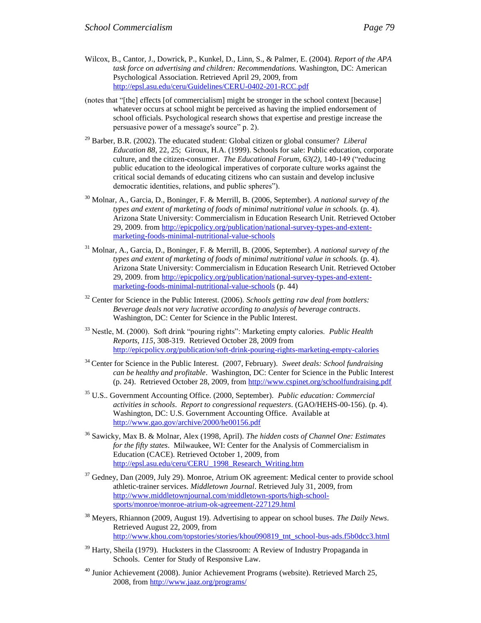- (notes that "[the] effects [of commercialism] might be stronger in the school context [because] whatever occurs at school might be perceived as having the implied endorsement of school officials. Psychological research shows that expertise and prestige increase the persuasive power of a message's source" p. 2).
- <sup>29</sup> Barber, B.R. (2002). The educated student: Global citizen or global consumer? *Liberal Education 88,* 22, 25; Giroux, H.A. (1999). Schools for sale: Public education, corporate culture, and the citizen-consumer. *The Educational Forum, 63(2),* 140-149 ("reducing public education to the ideological imperatives of corporate culture works against the critical social demands of educating citizens who can sustain and develop inclusive democratic identities, relations, and public spheres").
- <sup>30</sup> Molnar, A., Garcia, D., Boninger, F. & Merrill, B. (2006, September). *A national survey of the types and extent of marketing of foods of minimal nutritional value in schools.* (p. 4). Arizona State University: Commercialism in Education Research Unit. Retrieved October 29, 2009. from [http://epicpolicy.org/publication/national-survey-types-and-extent](http://epicpolicy.org/publication/national-survey-types-and-extent-marketing-foods-minimal-nutritional-value-schools)[marketing-foods-minimal-nutritional-value-schools](http://epicpolicy.org/publication/national-survey-types-and-extent-marketing-foods-minimal-nutritional-value-schools)
- <sup>31</sup> Molnar, A., Garcia, D., Boninger, F. & Merrill, B. (2006, September). *A national survey of the types and extent of marketing of foods of minimal nutritional value in schools.* (p. 4). Arizona State University: Commercialism in Education Research Unit. Retrieved October 29, 2009. from [http://epicpolicy.org/publication/national-survey-types-and-extent](http://epicpolicy.org/publication/national-survey-types-and-extent-marketing-foods-minimal-nutritional-value-schools)[marketing-foods-minimal-nutritional-value-schools](http://epicpolicy.org/publication/national-survey-types-and-extent-marketing-foods-minimal-nutritional-value-schools) (p. 44)
- <sup>32</sup> Center for Science in the Public Interest. (2006). *Schools getting raw deal from bottlers: Beverage deals not very lucrative according to analysis of beverage contracts*. Washington, DC: Center for Science in the Public Interest.
- <sup>33</sup> Nestle, M. (2000). Soft drink "pouring rights": Marketing empty calories. *Public Health Reports, 115*, 308-319. Retrieved October 28, 2009 from <http://epicpolicy.org/publication/soft-drink-pouring-rights-marketing-empty-calories>
- <sup>34</sup> Center for Science in the Public Interest. (2007, February). *Sweet deals: School fundraising can be healthy and profitable*. Washington, DC: Center for Science in the Public Interest (p. 24). Retrieved October 28, 2009, from<http://www.cspinet.org/schoolfundraising.pdf>
- <sup>35</sup> U.S.. Government Accounting Office. (2000, September). *Public education: Commercial activities in schools*. *Report to congressional requesters*. (GAO/HEHS-00-156). (p. 4). Washington, DC: U.S. Government Accounting Office. Available at <http://www.gao.gov/archive/2000/he00156.pdf>
- <sup>36</sup> Sawicky, Max B. & Molnar, Alex (1998, April). *The hidden costs of Channel One: Estimates for the fifty states*. Milwaukee, WI: Center for the Analysis of Commercialism in Education (CACE). Retrieved October 1, 2009, from [http://epsl.asu.edu/ceru/CERU\\_1998\\_Research\\_Writing.htm](http://epsl.asu.edu/ceru/CERU_1998_Research_Writing.htm)
- <sup>37</sup> Gedney, Dan (2009, July 29). Monroe, Atrium OK agreement: Medical center to provide school athletic-trainer services. *Middletown Journal*. Retrieved July 31, 2009, from [http://www.middletownjournal.com/middletown-sports/high-school](http://www.middletownjournal.com/middletown-sports/high-school-sports/monroe/monroe-atrium-ok-agreement-227129.html)[sports/monroe/monroe-atrium-ok-agreement-227129.html](http://www.middletownjournal.com/middletown-sports/high-school-sports/monroe/monroe-atrium-ok-agreement-227129.html)
- <sup>38</sup> Meyers, Rhiannon (2009, August 19). Advertising to appear on school buses. *The Daily News*. Retrieved August 22, 2009, from [http://www.khou.com/topstories/stories/khou090819\\_tnt\\_school-bus-ads.f5b0dcc3.html](http://www.khou.com/topstories/stories/khou090819_tnt_school-bus-ads.f5b0dcc3.html)
- $39$  Harty, Sheila (1979). Hucksters in the Classroom: A Review of Industry Propaganda in Schools. Center for Study of Responsive Law.
- $40$  Junior Achievement (2008). Junior Achievement Programs (website). Retrieved March 25, 2008, from<http://www.jaaz.org/programs/>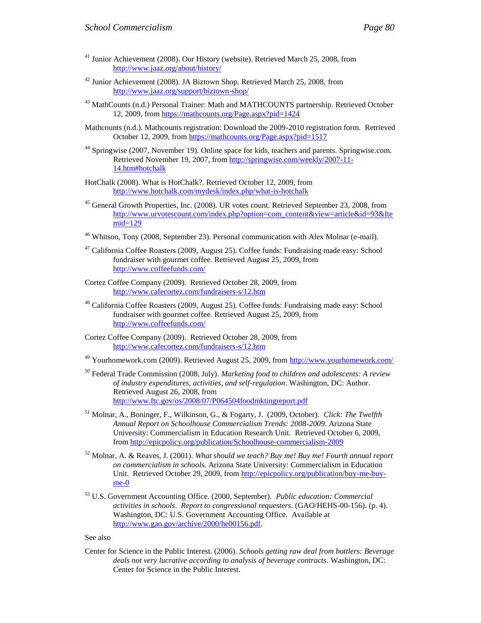- <sup>41</sup> Junior Achievement (2008). Our History (website). Retrieved March 25, 2008, from <http://www.jaaz.org/about/history/>
- <sup>42</sup> Junior Achievement (2008). JA Biztown Shop. Retrieved March 25, 2008, from <http://www.jaaz.org/support/biztown-shop/>
- <sup>43</sup> MathCounts (n.d.) Personal Trainer: Math and MATHCOUNTS partnership. Retrieved October 12, 2009, from<https://mathcounts.org/Page.aspx?pid=1424>
- Mathcounts (n.d.). Mathcounts registration: Download the 2009-2010 registration form. Retrieved October 12, 2009, fro[m https://mathcounts.org/Page.aspx?pid=1517](https://mathcounts.org/Page.aspx?pid=1517)
- <sup>44</sup> Springwise (2007, November 19). Online space for kids, teachers and parents. Springwise.com. Retrieved November 19, 2007, from [http://springwise.com/weekly/2007-11-](http://springwise.com/weekly/2007-11-14.htm#hotchalk) [14.htm#hotchalk](http://springwise.com/weekly/2007-11-14.htm#hotchalk)
- HotChalk (2008). What is HotChalk?. Retrieved October 12, 2009, from <http://www.hotchalk.com/mydesk/index.php/what-is-hotchalk>
- <sup>45</sup> General Growth Properties, Inc. (2008). UR votes count. Retrieved September 23, 2008, from [http://www.urvotescount.com/index.php?option=com\\_content&view=article&id=93&Ite](http://www.urvotescount.com/index.php?option=com_content&view=article&id=93&Itemid=129) [mid=129](http://www.urvotescount.com/index.php?option=com_content&view=article&id=93&Itemid=129)
- $46$  Whitson, Tony (2008, September 23). Personal communication with Alex Molnar (e-mail).
- <sup>47</sup> California Coffee Roasters (2009, August 25). Coffee funds: Fundraising made easy: School fundraiser with gourmet coffee. Retrieved August 25, 2009, from <http://www.coffeefunds.com/>
- Cortez Coffee Company (2009). Retrieved October 28, 2009, from <http://www.cafecortez.com/fundraisers-s/12.htm>
- $48$  California Coffee Roasters (2009, August 25). Coffee funds: Fundraising made easy: School fundraiser with gourmet coffee. Retrieved August 25, 2009, from <http://www.coffeefunds.com/>
- Cortez Coffee Company (2009). Retrieved October 28, 2009, from <http://www.cafecortez.com/fundraisers-s/12.htm>
- <sup>49</sup> Yourhomework.com (2009). Retrieved August 25, 2009, from<http://www.yourhomework.com/>
- <sup>50</sup> Federal Trade Commission (2008, July). *Marketing food to children and adolescents: A review of industry expenditures, activities, and self-regulation*. Washington, DC: Author. Retrieved August 26, 2008, from <http://www.ftc.gov/os/2008/07/P064504foodmktingreport.pdf>
- <sup>51</sup> Molnar, A., Boninger, F., Wilkinson, G., & Fogarty, J. (2009, October). *Click: The Twelfth Annual Report on Schoolhouse Commercialism Trends: 2008-2009*. Arizona State University: Commercialism in Education Research Unit. Retrieved October 6, 2009, from<http://epicpolicy.org/publication/Schoolhouse-commercialism-2009>
- <sup>52</sup> Molnar, A. & Reaves, J. (2001). *What should we teach? Buy me! Buy me! Fourth annual report on commercialism in schools.* Arizona State University: Commercialism in Education Unit. Retrieved October 29, 2009, from [http://epicpolicy.org/publication/buy-me-buy](http://epicpolicy.org/publication/buy-me-buy-me-0)[me-0](http://epicpolicy.org/publication/buy-me-buy-me-0)
- <sup>53</sup> U.S. Government Accounting Office. (2000, September). *Public education: Commercial activities in schools*. *Report to congressional requesters*. (GAO/HEHS-00-156). (p. 4). Washington, DC: U.S. Government Accounting Office. Available at [http://www.gao.gov/archive/2000/he00156.pdf.](http://www.gao.gov/archive/2000/he00156.pdf)

See also

Center for Science in the Public Interest. (2006). *Schools getting raw deal from bottlers: Beverage deals not very lucrative according to analysis of beverage contracts*. Washington, DC: Center for Science in the Public Interest.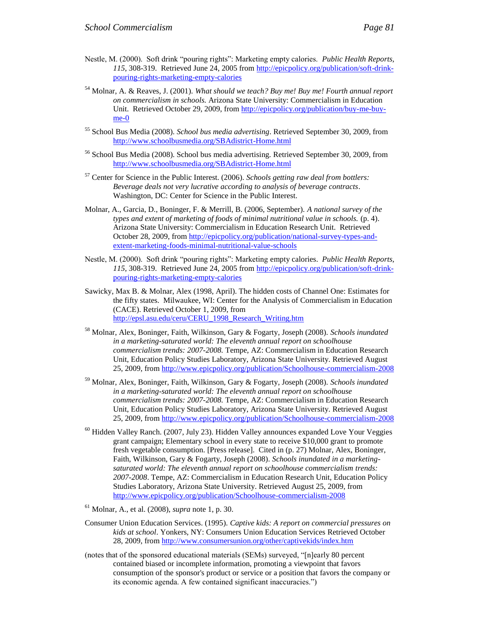- <sup>54</sup> Molnar, A. & Reaves, J. (2001). *What should we teach? Buy me! Buy me! Fourth annual report on commercialism in schools.* Arizona State University: Commercialism in Education Unit. Retrieved October 29, 2009, from [http://epicpolicy.org/publication/buy-me-buy](http://epicpolicy.org/publication/buy-me-buy-me-0)[me-0](http://epicpolicy.org/publication/buy-me-buy-me-0)
- <sup>55</sup> School Bus Media (2008). *School bus media advertising*. Retrieved September 30, 2009, from <http://www.schoolbusmedia.org/SBAdistrict-Home.html>
- <sup>56</sup> School Bus Media (2008). School bus media advertising. Retrieved September 30, 2009, from <http://www.schoolbusmedia.org/SBAdistrict-Home.html>
- <sup>57</sup> Center for Science in the Public Interest. (2006). *Schools getting raw deal from bottlers: Beverage deals not very lucrative according to analysis of beverage contracts*. Washington, DC: Center for Science in the Public Interest.
- Molnar, A., Garcia, D., Boninger, F. & Merrill, B. (2006, September). *A national survey of the types and extent of marketing of foods of minimal nutritional value in schools.* (p. 4). Arizona State University: Commercialism in Education Research Unit. Retrieved October 28, 2009, fro[m http://epicpolicy.org/publication/national-survey-types-and](http://epicpolicy.org/publication/national-survey-types-and-extent-marketing-foods-minimal-nutritional-value-schools)[extent-marketing-foods-minimal-nutritional-value-schools](http://epicpolicy.org/publication/national-survey-types-and-extent-marketing-foods-minimal-nutritional-value-schools)
- Nestle, M. (2000). Soft drink "pouring rights": Marketing empty calories. *Public Health Reports, 115*, 308-319. Retrieved June 24, 2005 from [http://epicpolicy.org/publication/soft-drink](http://epicpolicy.org/publication/soft-drink-pouring-rights-marketing-empty-calories)[pouring-rights-marketing-empty-calories](http://epicpolicy.org/publication/soft-drink-pouring-rights-marketing-empty-calories)
- Sawicky, Max B. & Molnar, Alex (1998, April). The hidden costs of Channel One: Estimates for the fifty states. Milwaukee, WI: Center for the Analysis of Commercialism in Education (CACE). Retrieved October 1, 2009, from [http://epsl.asu.edu/ceru/CERU\\_1998\\_Research\\_Writing.htm](http://epsl.asu.edu/ceru/CERU_1998_Research_Writing.htm)
- <sup>58</sup> Molnar, Alex, Boninger, Faith, Wilkinson, Gary & Fogarty, Joseph (2008). *Schools inundated in a marketing-saturated world: The eleventh annual report on schoolhouse commercialism trends: 2007-2008.* Tempe, AZ: Commercialism in Education Research Unit, Education Policy Studies Laboratory, Arizona State University. Retrieved August 25, 2009, from<http://www.epicpolicy.org/publication/Schoolhouse-commercialism-2008>
- <sup>59</sup> Molnar, Alex, Boninger, Faith, Wilkinson, Gary & Fogarty, Joseph (2008). *Schools inundated in a marketing-saturated world: The eleventh annual report on schoolhouse commercialism trends: 2007-2008.* Tempe, AZ: Commercialism in Education Research Unit, Education Policy Studies Laboratory, Arizona State University. Retrieved August 25, 2009, from<http://www.epicpolicy.org/publication/Schoolhouse-commercialism-2008>
- $60$  Hidden Valley Ranch. (2007, July 23). Hidden Valley announces expanded Love Your Veggies grant campaign; Elementary school in every state to receive \$10,000 grant to promote fresh vegetable consumption. [Press release]. Cited in (p. 27) Molnar, Alex, Boninger, Faith, Wilkinson, Gary & Fogarty, Joseph (2008). *Schools inundated in a marketingsaturated world: The eleventh annual report on schoolhouse commercialism trends: 2007-2008*. Tempe, AZ: Commercialism in Education Research Unit, Education Policy Studies Laboratory, Arizona State University. Retrieved August 25, 2009, from <http://www.epicpolicy.org/publication/Schoolhouse-commercialism-2008>
- <sup>61</sup> Molnar, A., et al. (2008), *supra* note 1, p. 30.
- Consumer Union Education Services. (1995). *Captive kids: A report on commercial pressures on kids at school*. Yonkers, NY: Consumers Union Education Services Retrieved October 28, 2009, from<http://www.consumersunion.org/other/captivekids/index.htm>
- (notes that of the sponsored educational materials (SEMs) surveyed, "[n]early 80 percent contained biased or incomplete information, promoting a viewpoint that favors consumption of the sponsor's product or service or a position that favors the company or its economic agenda. A few contained significant inaccuracies.")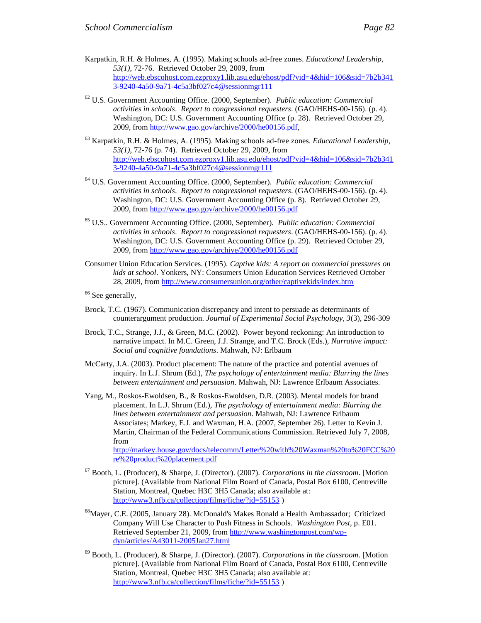- <sup>62</sup> U.S. Government Accounting Office. (2000, September). *Public education: Commercial activities in schools*. *Report to congressional requesters*. (GAO/HEHS-00-156). (p. 4). Washington, DC: U.S. Government Accounting Office (p. 28). Retrieved October 29, 2009, from [http://www.gao.gov/archive/2000/he00156.pdf,](http://www.gao.gov/archive/2000/he00156.pdf)
- <sup>63</sup> Karpatkin, R.H. & Holmes, A. (1995). Making schools ad-free zones. *Educational Leadership*, *53(1)*, 72-76 (p. 74). Retrieved October 29, 2009, from [http://web.ebscohost.com.ezproxy1.lib.asu.edu/ehost/pdf?vid=4&hid=106&sid=7b2b341](http://web.ebscohost.com.ezproxy1.lib.asu.edu/ehost/pdf?vid=4&hid=106&sid=7b2b3413-9240-4a50-9a71-4c5a3bf027c4@sessionmgr111) [3-9240-4a50-9a71-4c5a3bf027c4@sessionmgr111](http://web.ebscohost.com.ezproxy1.lib.asu.edu/ehost/pdf?vid=4&hid=106&sid=7b2b3413-9240-4a50-9a71-4c5a3bf027c4@sessionmgr111)
- <sup>64</sup> U.S. Government Accounting Office. (2000, September). *Public education: Commercial activities in schools*. *Report to congressional requesters*. (GAO/HEHS-00-156). (p. 4). Washington, DC: U.S. Government Accounting Office (p. 8). Retrieved October 29, 2009, from<http://www.gao.gov/archive/2000/he00156.pdf>
- <sup>65</sup> U.S.. Government Accounting Office. (2000, September). *Public education: Commercial activities in schools*. *Report to congressional requesters*. (GAO/HEHS-00-156). (p. 4). Washington, DC: U.S. Government Accounting Office (p. 29). Retrieved October 29, 2009, from<http://www.gao.gov/archive/2000/he00156.pdf>
- Consumer Union Education Services. (1995). *Captive kids: A report on commercial pressures on kids at school*. Yonkers, NY: Consumers Union Education Services Retrieved October 28, 2009, from<http://www.consumersunion.org/other/captivekids/index.htm>
- <sup>66</sup> See generally,
- Brock, T.C. (1967). Communication discrepancy and intent to persuade as determinants of counterargument production. *Journal of Experimental Social Psychology, 3*(3), 296-309
- Brock, T.C., Strange, J.J., & Green, M.C. (2002). Power beyond reckoning: An introduction to narrative impact. In M.C. Green, J.J. Strange, and T.C. Brock (Eds.), *Narrative impact: Social and cognitive foundations*. Mahwah, NJ: Erlbaum
- McCarty, J.A. (2003). Product placement: The nature of the practice and potential avenues of inquiry. In L.J. Shrum (Ed.), *The psychology of entertainment media: Blurring the lines between entertainment and persuasion*. Mahwah, NJ: Lawrence Erlbaum Associates.
- Yang, M., Roskos-Ewoldsen, B., & Roskos-Ewoldsen, D.R. (2003). Mental models for brand placement. In L.J. Shrum (Ed.), *The psychology of entertainment media: Blurring the lines between entertainment and persuasion*. Mahwah, NJ: Lawrence Erlbaum Associates; Markey, E.J. and Waxman, H.A. (2007, September 26). Letter to Kevin J. Martin, Chairman of the Federal Communications Commission. Retrieved July 7, 2008, from [http://markey.house.gov/docs/telecomm/Letter%20with%20Waxman%20to%20FCC%20](http://markey.house.gov/docs/telecomm/Letter%20with%20Waxman%20to%20FCC%20re%20product%20placement.pdf) [re%20product%20placement.pdf](http://markey.house.gov/docs/telecomm/Letter%20with%20Waxman%20to%20FCC%20re%20product%20placement.pdf)
- <sup>67</sup> Booth, L. (Producer), & Sharpe, J. (Director). (2007). *Corporations in the classroom*. [Motion picture]. (Available from National Film Board of Canada, Postal Box 6100, Centreville Station, Montreal, Quebec H3C 3H5 Canada; also available at: <http://www3.nfb.ca/collection/films/fiche/?id=55153> )
- <sup>68</sup>Mayer, C.E. (2005, January 28). McDonald's Makes Ronald a Health Ambassador; Criticized Company Will Use Character to Push Fitness in Schools. *Washington Post*, p. E01. Retrieved September 21, 2009, fro[m http://www.washingtonpost.com/wp](http://www.washingtonpost.com/wp-dyn/articles/A43011-2005Jan27.html)[dyn/articles/A43011-2005Jan27.html](http://www.washingtonpost.com/wp-dyn/articles/A43011-2005Jan27.html)
- <sup>69</sup> Booth, L. (Producer), & Sharpe, J. (Director). (2007). *Corporations in the classroom*. [Motion picture]. (Available from National Film Board of Canada, Postal Box 6100, Centreville Station, Montreal, Quebec H3C 3H5 Canada; also available at: <http://www3.nfb.ca/collection/films/fiche/?id=55153> )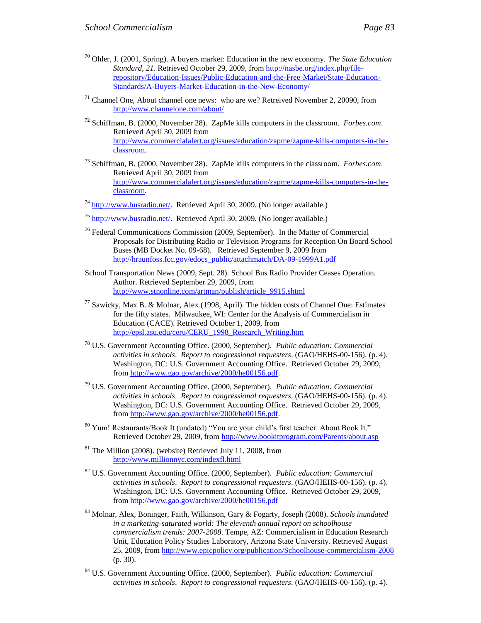- $71$  Channel One, About channel one news: who are we? Retreived November 2, 20090, from <http://www.channelone.com/about/>
- <sup>72</sup> Schiffman, B. (2000, November 28). ZapMe kills computers in the classroom. *Forbes.com*. Retrieved April 30, 2009 from [http://www.commercialalert.org/issues/education/zapme/zapme-kills-computers-in-the](http://www.commercialalert.org/issues/education/zapme/zapme-kills-computers-in-the-classroom)[classroom](http://www.commercialalert.org/issues/education/zapme/zapme-kills-computers-in-the-classroom)*.*
- <sup>73</sup> Schiffman, B. (2000, November 28). ZapMe kills computers in the classroom. *Forbes.com*. Retrieved April 30, 2009 from [http://www.commercialalert.org/issues/education/zapme/zapme-kills-computers-in-the](http://www.commercialalert.org/issues/education/zapme/zapme-kills-computers-in-the-classroom)[classroom](http://www.commercialalert.org/issues/education/zapme/zapme-kills-computers-in-the-classroom)*.*
- $^{74}$  [http://www.busradio.net/.](http://www.busradio.net/) Retrieved April 30, 2009. (No longer available.)
- $^{75}$  [http://www.busradio.net/.](http://www.busradio.net/) Retrieved April 30, 2009. (No longer available.)
- <sup>76</sup> Federal Communications Commission (2009, September). In the Matter of Commercial Proposals for Distributing Radio or Television Programs for Reception On Board School Buses (MB Docket No. 09-68). Retrieved September 9, 2009 from [http://hraunfoss.fcc.gov/edocs\\_public/attachmatch/DA-09-1999A1.pdf](http://hraunfoss.fcc.gov/edocs_public/attachmatch/DA-09-1999A1.pdf)
- School Transportation News (2009, Sept. 28). School Bus Radio Provider Ceases Operation. Author. Retrieved September 29, 2009, from [http://www.stnonline.com/artman/publish/article\\_9915.shtml](http://www.stnonline.com/artman/publish/article_9915.shtml)
- $^{77}$  Sawicky, Max B. & Molnar, Alex (1998, April). The hidden costs of Channel One: Estimates for the fifty states. Milwaukee, WI: Center for the Analysis of Commercialism in Education (CACE). Retrieved October 1, 2009, from [http://epsl.asu.edu/ceru/CERU\\_1998\\_Research\\_Writing.htm](http://epsl.asu.edu/ceru/CERU_1998_Research_Writing.htm)
- <sup>78</sup> U.S. Government Accounting Office. (2000, September). *Public education: Commercial activities in schools*. *Report to congressional requesters*. (GAO/HEHS-00-156). (p. 4). Washington, DC: U.S. Government Accounting Office. Retrieved October 29, 2009, from [http://www.gao.gov/archive/2000/he00156.pdf.](http://www.gao.gov/archive/2000/he00156.pdf)
- <sup>79</sup> U.S. Government Accounting Office. (2000, September). *Public education: Commercial activities in schools*. *Report to congressional requesters*. (GAO/HEHS-00-156). (p. 4). Washington, DC: U.S. Government Accounting Office. Retrieved October 29, 2009, from [http://www.gao.gov/archive/2000/he00156.pdf.](http://www.gao.gov/archive/2000/he00156.pdf)
- <sup>80</sup> Yum! Restaurants/Book It (undated) "You are your child's first teacher. About Book It." Retrieved October 29, 2009, from<http://www.bookitprogram.com/Parents/about.asp>
- $81$  The Million (2008). (website) Retrieved July 11, 2008, from <http://www.millionnyc.com/indexfl.html>
- <sup>82</sup> U.S. Government Accounting Office. (2000, September). *Public education: Commercial activities in schools*. *Report to congressional requesters*. (GAO/HEHS-00-156). (p. 4). Washington, DC: U.S. Government Accounting Office. Retrieved October 29, 2009, from<http://www.gao.gov/archive/2000/he00156.pdf>
- <sup>83</sup> Molnar, Alex, Boninger, Faith, Wilkinson, Gary & Fogarty, Joseph (2008). *Schools inundated in a marketing-saturated world: The eleventh annual report on schoolhouse commercialism trends: 2007-2008*. Tempe, AZ: Commercialism in Education Research Unit, Education Policy Studies Laboratory, Arizona State University. Retrieved August 25, 2009, from<http://www.epicpolicy.org/publication/Schoolhouse-commercialism-2008> (p. 30).
- <sup>84</sup> U.S. Government Accounting Office. (2000, September). *Public education: Commercial activities in schools*. *Report to congressional requesters*. (GAO/HEHS-00-156). (p. 4).